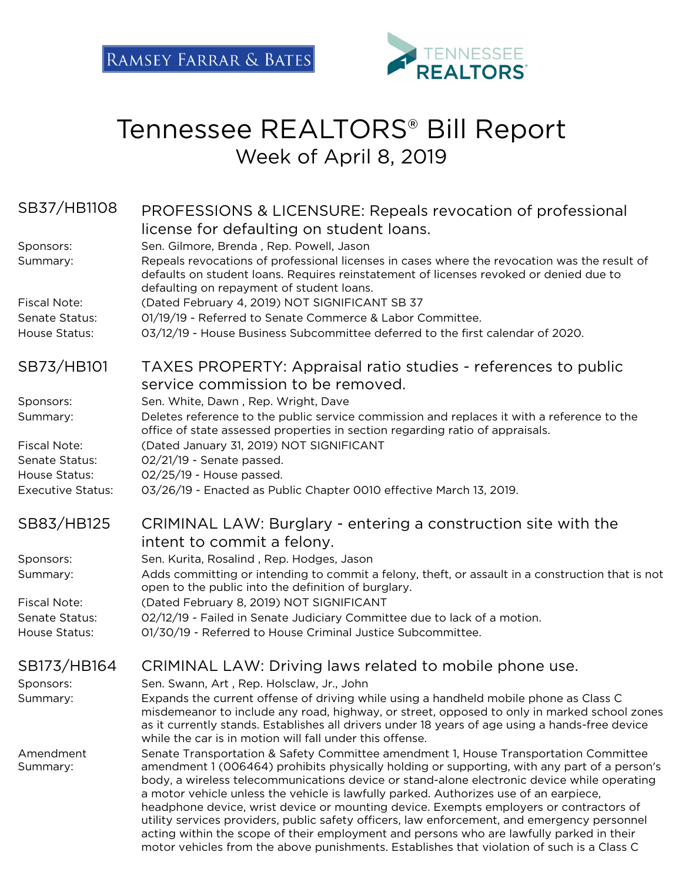

# Tennessee REALTORS® Bill Report Week of April 8, 2019

| SB37/HB1108              | PROFESSIONS & LICENSURE: Repeals revocation of professional                                                                                                                                                                                                                                                                                                                                                                                                                                                                                                                                                                                                                                                                                                      |
|--------------------------|------------------------------------------------------------------------------------------------------------------------------------------------------------------------------------------------------------------------------------------------------------------------------------------------------------------------------------------------------------------------------------------------------------------------------------------------------------------------------------------------------------------------------------------------------------------------------------------------------------------------------------------------------------------------------------------------------------------------------------------------------------------|
|                          | license for defaulting on student loans.                                                                                                                                                                                                                                                                                                                                                                                                                                                                                                                                                                                                                                                                                                                         |
| Sponsors:<br>Summary:    | Sen. Gilmore, Brenda, Rep. Powell, Jason<br>Repeals revocations of professional licenses in cases where the revocation was the result of<br>defaults on student loans. Requires reinstatement of licenses revoked or denied due to<br>defaulting on repayment of student loans.                                                                                                                                                                                                                                                                                                                                                                                                                                                                                  |
| <b>Fiscal Note:</b>      | (Dated February 4, 2019) NOT SIGNIFICANT SB 37                                                                                                                                                                                                                                                                                                                                                                                                                                                                                                                                                                                                                                                                                                                   |
| Senate Status:           | 01/19/19 - Referred to Senate Commerce & Labor Committee.                                                                                                                                                                                                                                                                                                                                                                                                                                                                                                                                                                                                                                                                                                        |
| House Status:            | 03/12/19 - House Business Subcommittee deferred to the first calendar of 2020.                                                                                                                                                                                                                                                                                                                                                                                                                                                                                                                                                                                                                                                                                   |
| SB73/HB101               | TAXES PROPERTY: Appraisal ratio studies - references to public<br>service commission to be removed.                                                                                                                                                                                                                                                                                                                                                                                                                                                                                                                                                                                                                                                              |
| Sponsors:                | Sen. White, Dawn, Rep. Wright, Dave                                                                                                                                                                                                                                                                                                                                                                                                                                                                                                                                                                                                                                                                                                                              |
| Summary:                 | Deletes reference to the public service commission and replaces it with a reference to the                                                                                                                                                                                                                                                                                                                                                                                                                                                                                                                                                                                                                                                                       |
|                          | office of state assessed properties in section regarding ratio of appraisals.                                                                                                                                                                                                                                                                                                                                                                                                                                                                                                                                                                                                                                                                                    |
| <b>Fiscal Note:</b>      | (Dated January 31, 2019) NOT SIGNIFICANT                                                                                                                                                                                                                                                                                                                                                                                                                                                                                                                                                                                                                                                                                                                         |
| Senate Status:           | 02/21/19 - Senate passed.                                                                                                                                                                                                                                                                                                                                                                                                                                                                                                                                                                                                                                                                                                                                        |
| House Status:            | 02/25/19 - House passed.                                                                                                                                                                                                                                                                                                                                                                                                                                                                                                                                                                                                                                                                                                                                         |
| <b>Executive Status:</b> | 03/26/19 - Enacted as Public Chapter 0010 effective March 13, 2019.                                                                                                                                                                                                                                                                                                                                                                                                                                                                                                                                                                                                                                                                                              |
| SB83/HB125               | CRIMINAL LAW: Burglary - entering a construction site with the<br>intent to commit a felony.                                                                                                                                                                                                                                                                                                                                                                                                                                                                                                                                                                                                                                                                     |
| Sponsors:                | Sen. Kurita, Rosalind, Rep. Hodges, Jason                                                                                                                                                                                                                                                                                                                                                                                                                                                                                                                                                                                                                                                                                                                        |
| Summary:                 | Adds committing or intending to commit a felony, theft, or assault in a construction that is not<br>open to the public into the definition of burglary.                                                                                                                                                                                                                                                                                                                                                                                                                                                                                                                                                                                                          |
| <b>Fiscal Note:</b>      | (Dated February 8, 2019) NOT SIGNIFICANT                                                                                                                                                                                                                                                                                                                                                                                                                                                                                                                                                                                                                                                                                                                         |
| Senate Status:           | 02/12/19 - Failed in Senate Judiciary Committee due to lack of a motion.                                                                                                                                                                                                                                                                                                                                                                                                                                                                                                                                                                                                                                                                                         |
| House Status:            | 01/30/19 - Referred to House Criminal Justice Subcommittee.                                                                                                                                                                                                                                                                                                                                                                                                                                                                                                                                                                                                                                                                                                      |
| SB173/HB164              | CRIMINAL LAW: Driving laws related to mobile phone use.                                                                                                                                                                                                                                                                                                                                                                                                                                                                                                                                                                                                                                                                                                          |
| Sponsors:                | Sen. Swann, Art, Rep. Holsclaw, Jr., John                                                                                                                                                                                                                                                                                                                                                                                                                                                                                                                                                                                                                                                                                                                        |
| Summary:                 | Expands the current offense of driving while using a handheld mobile phone as Class C<br>misdemeanor to include any road, highway, or street, opposed to only in marked school zones<br>as it currently stands. Establishes all drivers under 18 years of age using a hands-free device<br>while the car is in motion will fall under this offense.                                                                                                                                                                                                                                                                                                                                                                                                              |
| Amendment<br>Summary:    | Senate Transportation & Safety Committee amendment 1, House Transportation Committee<br>amendment 1 (006464) prohibits physically holding or supporting, with any part of a person's<br>body, a wireless telecommunications device or stand-alone electronic device while operating<br>a motor vehicle unless the vehicle is lawfully parked. Authorizes use of an earpiece,<br>headphone device, wrist device or mounting device. Exempts employers or contractors of<br>utility services providers, public safety officers, law enforcement, and emergency personnel<br>acting within the scope of their employment and persons who are lawfully parked in their<br>motor vehicles from the above punishments. Establishes that violation of such is a Class C |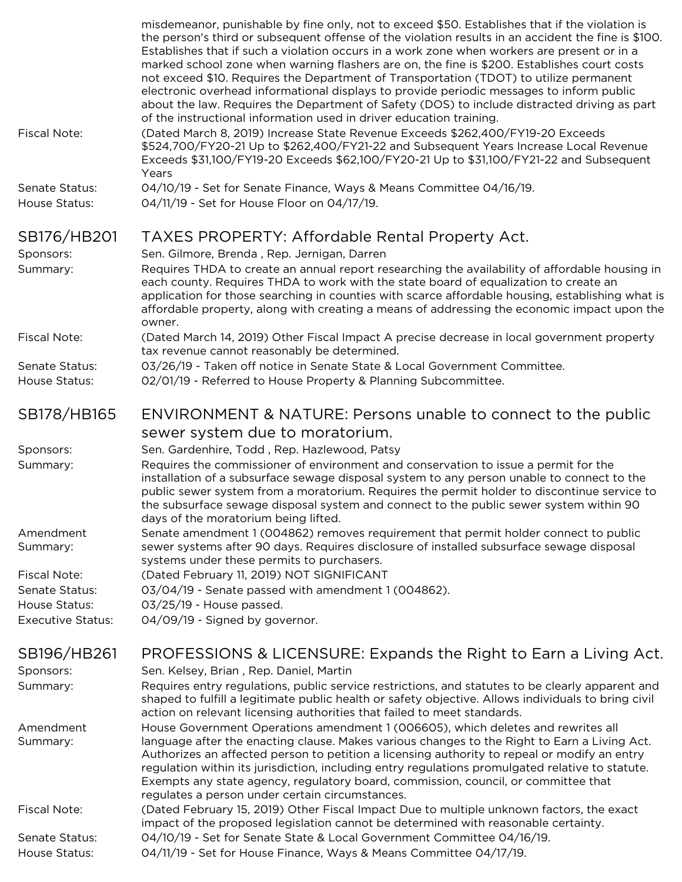|                                 | misdemeanor, punishable by fine only, not to exceed \$50. Establishes that if the violation is<br>the person's third or subsequent offense of the violation results in an accident the fine is \$100.<br>Establishes that if such a violation occurs in a work zone when workers are present or in a<br>marked school zone when warning flashers are on, the fine is \$200. Establishes court costs<br>not exceed \$10. Requires the Department of Transportation (TDOT) to utilize permanent<br>electronic overhead informational displays to provide periodic messages to inform public<br>about the law. Requires the Department of Safety (DOS) to include distracted driving as part<br>of the instructional information used in driver education training. |
|---------------------------------|------------------------------------------------------------------------------------------------------------------------------------------------------------------------------------------------------------------------------------------------------------------------------------------------------------------------------------------------------------------------------------------------------------------------------------------------------------------------------------------------------------------------------------------------------------------------------------------------------------------------------------------------------------------------------------------------------------------------------------------------------------------|
| <b>Fiscal Note:</b>             | (Dated March 8, 2019) Increase State Revenue Exceeds \$262,400/FY19-20 Exceeds<br>\$524,700/FY20-21 Up to \$262,400/FY21-22 and Subsequent Years Increase Local Revenue<br>Exceeds \$31,100/FY19-20 Exceeds \$62,100/FY20-21 Up to \$31,100/FY21-22 and Subsequent<br>Years                                                                                                                                                                                                                                                                                                                                                                                                                                                                                      |
| Senate Status:<br>House Status: | 04/10/19 - Set for Senate Finance, Ways & Means Committee 04/16/19.<br>04/11/19 - Set for House Floor on 04/17/19.                                                                                                                                                                                                                                                                                                                                                                                                                                                                                                                                                                                                                                               |
| SB176/HB201                     | TAXES PROPERTY: Affordable Rental Property Act.                                                                                                                                                                                                                                                                                                                                                                                                                                                                                                                                                                                                                                                                                                                  |
| Sponsors:                       | Sen. Gilmore, Brenda, Rep. Jernigan, Darren                                                                                                                                                                                                                                                                                                                                                                                                                                                                                                                                                                                                                                                                                                                      |
| Summary:                        | Requires THDA to create an annual report researching the availability of affordable housing in<br>each county. Requires THDA to work with the state board of equalization to create an<br>application for those searching in counties with scarce affordable housing, establishing what is<br>affordable property, along with creating a means of addressing the economic impact upon the<br>owner.                                                                                                                                                                                                                                                                                                                                                              |
| <b>Fiscal Note:</b>             | (Dated March 14, 2019) Other Fiscal Impact A precise decrease in local government property<br>tax revenue cannot reasonably be determined.                                                                                                                                                                                                                                                                                                                                                                                                                                                                                                                                                                                                                       |
| Senate Status:                  | 03/26/19 - Taken off notice in Senate State & Local Government Committee.                                                                                                                                                                                                                                                                                                                                                                                                                                                                                                                                                                                                                                                                                        |
| House Status:                   | 02/01/19 - Referred to House Property & Planning Subcommittee.                                                                                                                                                                                                                                                                                                                                                                                                                                                                                                                                                                                                                                                                                                   |
| SB178/HB165                     | ENVIRONMENT & NATURE: Persons unable to connect to the public                                                                                                                                                                                                                                                                                                                                                                                                                                                                                                                                                                                                                                                                                                    |
|                                 | sewer system due to moratorium.                                                                                                                                                                                                                                                                                                                                                                                                                                                                                                                                                                                                                                                                                                                                  |
| Sponsors:                       | Sen. Gardenhire, Todd, Rep. Hazlewood, Patsy                                                                                                                                                                                                                                                                                                                                                                                                                                                                                                                                                                                                                                                                                                                     |
| Summary:                        | Requires the commissioner of environment and conservation to issue a permit for the<br>installation of a subsurface sewage disposal system to any person unable to connect to the<br>public sewer system from a moratorium. Requires the permit holder to discontinue service to<br>the subsurface sewage disposal system and connect to the public sewer system within 90<br>days of the moratorium being lifted.                                                                                                                                                                                                                                                                                                                                               |
| Amendment<br>Summary:           | Senate amendment 1 (004862) removes requirement that permit holder connect to public<br>sewer systems after 90 days. Requires disclosure of installed subsurface sewage disposal<br>systems under these permits to purchasers.                                                                                                                                                                                                                                                                                                                                                                                                                                                                                                                                   |
| <b>Fiscal Note:</b>             | (Dated February 11, 2019) NOT SIGNIFICANT                                                                                                                                                                                                                                                                                                                                                                                                                                                                                                                                                                                                                                                                                                                        |
| Senate Status:                  | 03/04/19 - Senate passed with amendment 1 (004862).                                                                                                                                                                                                                                                                                                                                                                                                                                                                                                                                                                                                                                                                                                              |
| House Status:                   | 03/25/19 - House passed.                                                                                                                                                                                                                                                                                                                                                                                                                                                                                                                                                                                                                                                                                                                                         |
| <b>Executive Status:</b>        | 04/09/19 - Signed by governor.                                                                                                                                                                                                                                                                                                                                                                                                                                                                                                                                                                                                                                                                                                                                   |
| SB196/HB261                     | PROFESSIONS & LICENSURE: Expands the Right to Earn a Living Act.                                                                                                                                                                                                                                                                                                                                                                                                                                                                                                                                                                                                                                                                                                 |
| Sponsors:                       | Sen. Kelsey, Brian, Rep. Daniel, Martin                                                                                                                                                                                                                                                                                                                                                                                                                                                                                                                                                                                                                                                                                                                          |
| Summary:                        | Requires entry regulations, public service restrictions, and statutes to be clearly apparent and<br>shaped to fulfill a legitimate public health or safety objective. Allows individuals to bring civil<br>action on relevant licensing authorities that failed to meet standards.                                                                                                                                                                                                                                                                                                                                                                                                                                                                               |
| Amendment<br>Summary:           | House Government Operations amendment 1 (006605), which deletes and rewrites all<br>language after the enacting clause. Makes various changes to the Right to Earn a Living Act.<br>Authorizes an affected person to petition a licensing authority to repeal or modify an entry<br>regulation within its jurisdiction, including entry regulations promulgated relative to statute.<br>Exempts any state agency, regulatory board, commission, council, or committee that<br>regulates a person under certain circumstances.                                                                                                                                                                                                                                    |
| <b>Fiscal Note:</b>             | (Dated February 15, 2019) Other Fiscal Impact Due to multiple unknown factors, the exact<br>impact of the proposed legislation cannot be determined with reasonable certainty.                                                                                                                                                                                                                                                                                                                                                                                                                                                                                                                                                                                   |
| Senate Status:<br>House Status: | 04/10/19 - Set for Senate State & Local Government Committee 04/16/19.<br>04/11/19 - Set for House Finance, Ways & Means Committee 04/17/19.                                                                                                                                                                                                                                                                                                                                                                                                                                                                                                                                                                                                                     |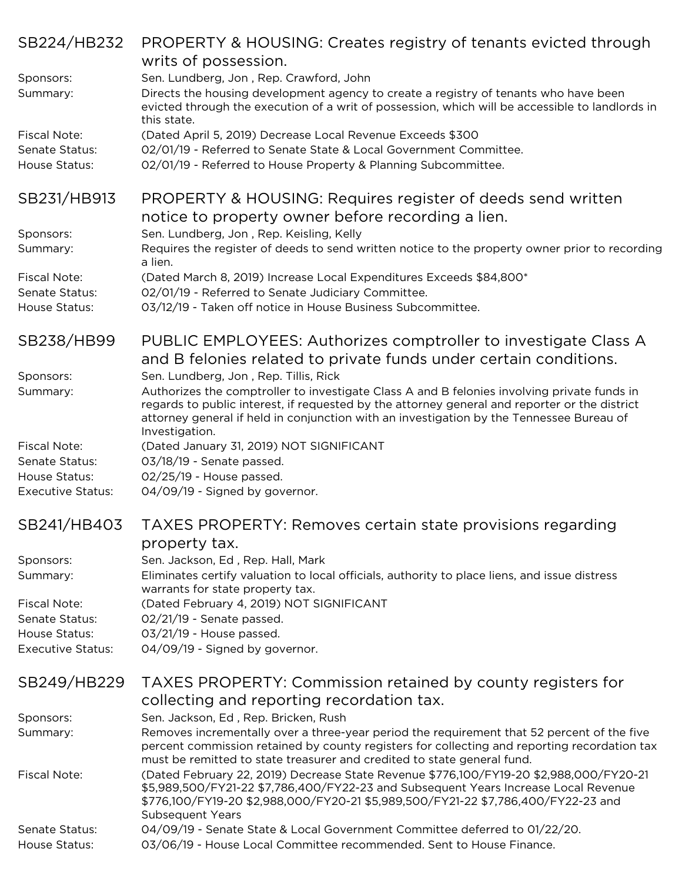| SB224/HB232                                            | PROPERTY & HOUSING: Creates registry of tenants evicted through<br>writs of possession.                                                                                                                                                                                                                                           |
|--------------------------------------------------------|-----------------------------------------------------------------------------------------------------------------------------------------------------------------------------------------------------------------------------------------------------------------------------------------------------------------------------------|
| Sponsors:<br>Summary:                                  | Sen. Lundberg, Jon, Rep. Crawford, John<br>Directs the housing development agency to create a registry of tenants who have been<br>evicted through the execution of a writ of possession, which will be accessible to landlords in<br>this state.                                                                                 |
| <b>Fiscal Note:</b><br>Senate Status:<br>House Status: | (Dated April 5, 2019) Decrease Local Revenue Exceeds \$300<br>02/01/19 - Referred to Senate State & Local Government Committee.<br>02/01/19 - Referred to House Property & Planning Subcommittee.                                                                                                                                 |
| SB231/HB913                                            | PROPERTY & HOUSING: Requires register of deeds send written<br>notice to property owner before recording a lien.                                                                                                                                                                                                                  |
| Sponsors:<br>Summary:                                  | Sen. Lundberg, Jon, Rep. Keisling, Kelly<br>Requires the register of deeds to send written notice to the property owner prior to recording<br>a lien.                                                                                                                                                                             |
| <b>Fiscal Note:</b><br>Senate Status:<br>House Status: | (Dated March 8, 2019) Increase Local Expenditures Exceeds \$84,800*<br>02/01/19 - Referred to Senate Judiciary Committee.<br>03/12/19 - Taken off notice in House Business Subcommittee.                                                                                                                                          |
| SB238/HB99                                             | PUBLIC EMPLOYEES: Authorizes comptroller to investigate Class A<br>and B felonies related to private funds under certain conditions.                                                                                                                                                                                              |
| Sponsors:<br>Summary:                                  | Sen. Lundberg, Jon, Rep. Tillis, Rick<br>Authorizes the comptroller to investigate Class A and B felonies involving private funds in<br>regards to public interest, if requested by the attorney general and reporter or the district<br>attorney general if held in conjunction with an investigation by the Tennessee Bureau of |
| <b>Fiscal Note:</b><br>Senate Status:                  | Investigation.<br>(Dated January 31, 2019) NOT SIGNIFICANT<br>03/18/19 - Senate passed.                                                                                                                                                                                                                                           |
| House Status:<br><b>Executive Status:</b>              | 02/25/19 - House passed.<br>04/09/19 - Signed by governor.                                                                                                                                                                                                                                                                        |
| SB241/HB403                                            | TAXES PROPERTY: Removes certain state provisions regarding<br>property tax.                                                                                                                                                                                                                                                       |
| Sponsors:<br>Summary:                                  | Sen. Jackson, Ed, Rep. Hall, Mark<br>Eliminates certify valuation to local officials, authority to place liens, and issue distress<br>warrants for state property tax.                                                                                                                                                            |
| <b>Fiscal Note:</b><br>Senate Status:                  | (Dated February 4, 2019) NOT SIGNIFICANT<br>02/21/19 - Senate passed.                                                                                                                                                                                                                                                             |
| House Status:<br><b>Executive Status:</b>              | 03/21/19 - House passed.<br>04/09/19 - Signed by governor.                                                                                                                                                                                                                                                                        |
| SB249/HB229                                            | TAXES PROPERTY: Commission retained by county registers for<br>collecting and reporting recordation tax.                                                                                                                                                                                                                          |
| Sponsors:                                              | Sen. Jackson, Ed, Rep. Bricken, Rush                                                                                                                                                                                                                                                                                              |
| Summary:                                               | Removes incrementally over a three-year period the requirement that 52 percent of the five<br>percent commission retained by county registers for collecting and reporting recordation tax<br>must be remitted to state treasurer and credited to state general fund.                                                             |
| <b>Fiscal Note:</b>                                    | (Dated February 22, 2019) Decrease State Revenue \$776,100/FY19-20 \$2,988,000/FY20-21<br>\$5,989,500/FY21-22 \$7,786,400/FY22-23 and Subsequent Years Increase Local Revenue<br>\$776,100/FY19-20 \$2,988,000/FY20-21 \$5,989,500/FY21-22 \$7,786,400/FY22-23 and<br><b>Subsequent Years</b>                                     |
| Senate Status:<br>House Status:                        | 04/09/19 - Senate State & Local Government Committee deferred to 01/22/20.<br>03/06/19 - House Local Committee recommended. Sent to House Finance.                                                                                                                                                                                |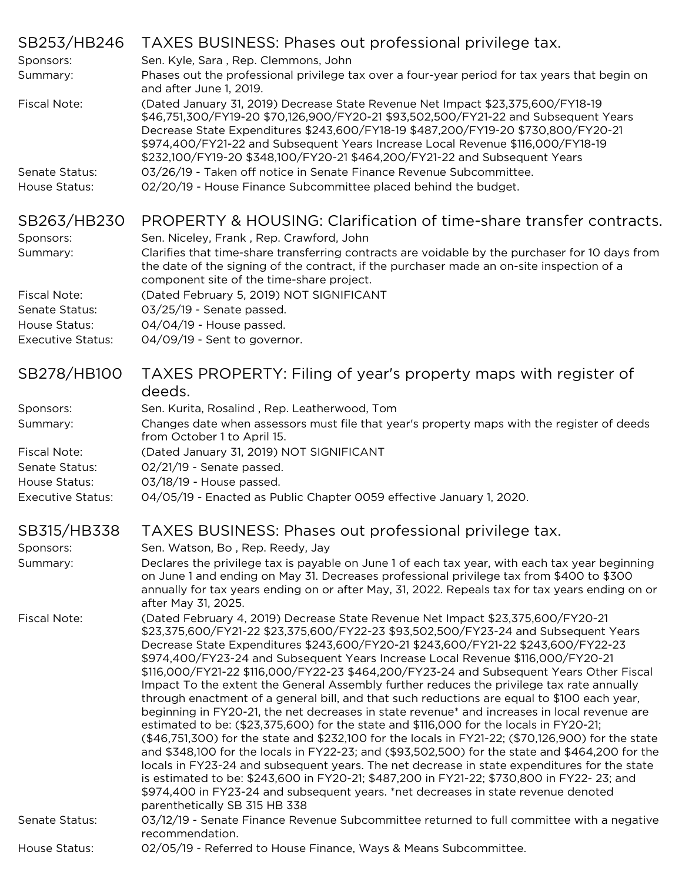| SB253/HB246              | TAXES BUSINESS: Phases out professional privilege tax.                                                                                                                                                                                                                                                                                                                                                                                                                                                                                                                                                                                                |
|--------------------------|-------------------------------------------------------------------------------------------------------------------------------------------------------------------------------------------------------------------------------------------------------------------------------------------------------------------------------------------------------------------------------------------------------------------------------------------------------------------------------------------------------------------------------------------------------------------------------------------------------------------------------------------------------|
| Sponsors:                | Sen. Kyle, Sara, Rep. Clemmons, John                                                                                                                                                                                                                                                                                                                                                                                                                                                                                                                                                                                                                  |
| Summary:                 | Phases out the professional privilege tax over a four-year period for tax years that begin on<br>and after June 1, 2019.                                                                                                                                                                                                                                                                                                                                                                                                                                                                                                                              |
| <b>Fiscal Note:</b>      | (Dated January 31, 2019) Decrease State Revenue Net Impact \$23,375,600/FY18-19<br>\$46,751,300/FY19-20 \$70,126,900/FY20-21 \$93,502,500/FY21-22 and Subsequent Years<br>Decrease State Expenditures \$243,600/FY18-19 \$487,200/FY19-20 \$730,800/FY20-21<br>\$974,400/FY21-22 and Subsequent Years Increase Local Revenue \$116,000/FY18-19<br>\$232,100/FY19-20 \$348,100/FY20-21 \$464,200/FY21-22 and Subsequent Years                                                                                                                                                                                                                          |
| Senate Status:           | 03/26/19 - Taken off notice in Senate Finance Revenue Subcommittee.                                                                                                                                                                                                                                                                                                                                                                                                                                                                                                                                                                                   |
| House Status:            | 02/20/19 - House Finance Subcommittee placed behind the budget.                                                                                                                                                                                                                                                                                                                                                                                                                                                                                                                                                                                       |
| SB263/HB230              | PROPERTY & HOUSING: Clarification of time-share transfer contracts.                                                                                                                                                                                                                                                                                                                                                                                                                                                                                                                                                                                   |
| Sponsors:                | Sen. Niceley, Frank, Rep. Crawford, John                                                                                                                                                                                                                                                                                                                                                                                                                                                                                                                                                                                                              |
| Summary:                 | Clarifies that time-share transferring contracts are voidable by the purchaser for 10 days from<br>the date of the signing of the contract, if the purchaser made an on-site inspection of a<br>component site of the time-share project.                                                                                                                                                                                                                                                                                                                                                                                                             |
| <b>Fiscal Note:</b>      | (Dated February 5, 2019) NOT SIGNIFICANT                                                                                                                                                                                                                                                                                                                                                                                                                                                                                                                                                                                                              |
| Senate Status:           | 03/25/19 - Senate passed.                                                                                                                                                                                                                                                                                                                                                                                                                                                                                                                                                                                                                             |
| House Status:            | 04/04/19 - House passed.                                                                                                                                                                                                                                                                                                                                                                                                                                                                                                                                                                                                                              |
| <b>Executive Status:</b> | 04/09/19 - Sent to governor.                                                                                                                                                                                                                                                                                                                                                                                                                                                                                                                                                                                                                          |
| SB278/HB100              | TAXES PROPERTY: Filing of year's property maps with register of<br>deeds.                                                                                                                                                                                                                                                                                                                                                                                                                                                                                                                                                                             |
| Sponsors:                | Sen. Kurita, Rosalind, Rep. Leatherwood, Tom                                                                                                                                                                                                                                                                                                                                                                                                                                                                                                                                                                                                          |
| Summary:                 | Changes date when assessors must file that year's property maps with the register of deeds<br>from October 1 to April 15.                                                                                                                                                                                                                                                                                                                                                                                                                                                                                                                             |
| <b>Fiscal Note:</b>      | (Dated January 31, 2019) NOT SIGNIFICANT                                                                                                                                                                                                                                                                                                                                                                                                                                                                                                                                                                                                              |
| Senate Status:           | 02/21/19 - Senate passed.                                                                                                                                                                                                                                                                                                                                                                                                                                                                                                                                                                                                                             |
| House Status:            | 03/18/19 - House passed.                                                                                                                                                                                                                                                                                                                                                                                                                                                                                                                                                                                                                              |
| <b>Executive Status:</b> | 04/05/19 - Enacted as Public Chapter 0059 effective January 1, 2020.                                                                                                                                                                                                                                                                                                                                                                                                                                                                                                                                                                                  |
| SB315/HB338              | TAXES BUSINESS: Phases out professional privilege tax.                                                                                                                                                                                                                                                                                                                                                                                                                                                                                                                                                                                                |
| Sponsors:                | Sen. Watson, Bo, Rep. Reedy, Jay                                                                                                                                                                                                                                                                                                                                                                                                                                                                                                                                                                                                                      |
| Summary:                 | Declares the privilege tax is payable on June 1 of each tax year, with each tax year beginning<br>on June 1 and ending on May 31. Decreases professional privilege tax from \$400 to \$300<br>annually for tax years ending on or after May, 31, 2022. Repeals tax for tax years ending on or                                                                                                                                                                                                                                                                                                                                                         |
| Fiscal Note:             | after May 31, 2025.<br>(Dated February 4, 2019) Decrease State Revenue Net Impact \$23,375,600/FY20-21<br>\$23,375,600/FY21-22 \$23,375,600/FY22-23 \$93,502,500/FY23-24 and Subsequent Years                                                                                                                                                                                                                                                                                                                                                                                                                                                         |
|                          | Decrease State Expenditures \$243,600/FY20-21 \$243,600/FY21-22 \$243,600/FY22-23<br>\$974,400/FY23-24 and Subsequent Years Increase Local Revenue \$116,000/FY20-21<br>\$116,000/FY21-22 \$116,000/FY22-23 \$464,200/FY23-24 and Subsequent Years Other Fiscal<br>Impact To the extent the General Assembly further reduces the privilege tax rate annually<br>through enactment of a general bill, and that such reductions are equal to \$100 each year,<br>beginning in FY20-21, the net decreases in state revenue* and increases in local revenue are<br>estimated to be: (\$23,375,600) for the state and \$116,000 for the locals in FY20-21; |
|                          | (\$46,751,300) for the state and \$232,100 for the locals in FY21-22; (\$70,126,900) for the state<br>and \$348,100 for the locals in FY22-23; and (\$93,502,500) for the state and \$464,200 for the<br>locals in FY23-24 and subsequent years. The net decrease in state expenditures for the state<br>is estimated to be: \$243,600 in FY20-21; \$487,200 in FY21-22; \$730,800 in FY22-23; and<br>\$974,400 in FY23-24 and subsequent years. *net decreases in state revenue denoted                                                                                                                                                              |
|                          | parenthetically SB 315 HB 338                                                                                                                                                                                                                                                                                                                                                                                                                                                                                                                                                                                                                         |
| Senate Status:           | 03/12/19 - Senate Finance Revenue Subcommittee returned to full committee with a negative<br>recommendation.                                                                                                                                                                                                                                                                                                                                                                                                                                                                                                                                          |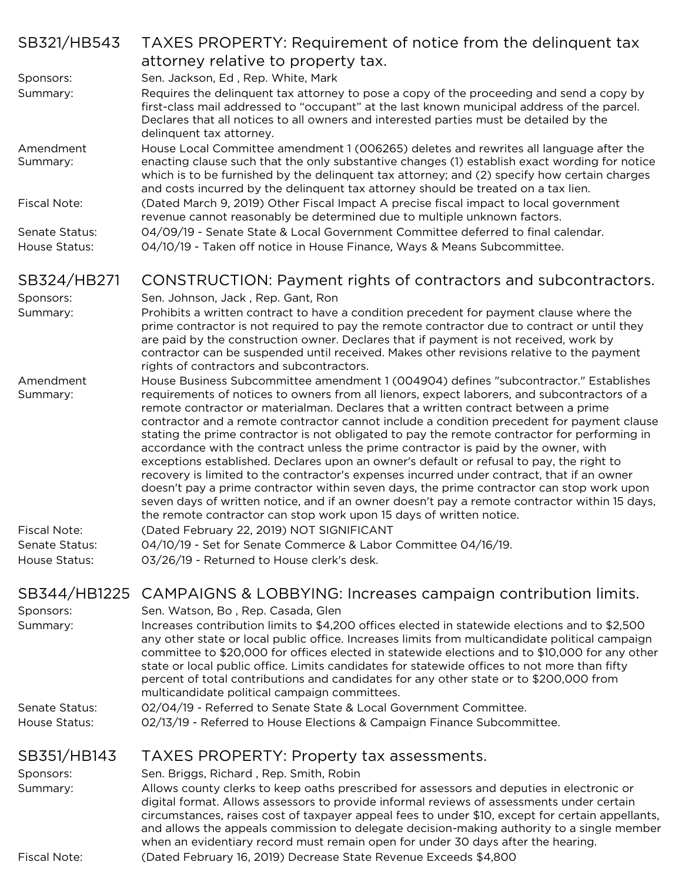| SB321/HB543                                     | TAXES PROPERTY: Requirement of notice from the delinquent tax                                                                                                                                                                                                                                                                                                                                                                                                                                                                                                                                                                                                                                                                                                                                                                                                                                                                                                                                                                   |
|-------------------------------------------------|---------------------------------------------------------------------------------------------------------------------------------------------------------------------------------------------------------------------------------------------------------------------------------------------------------------------------------------------------------------------------------------------------------------------------------------------------------------------------------------------------------------------------------------------------------------------------------------------------------------------------------------------------------------------------------------------------------------------------------------------------------------------------------------------------------------------------------------------------------------------------------------------------------------------------------------------------------------------------------------------------------------------------------|
|                                                 | attorney relative to property tax.                                                                                                                                                                                                                                                                                                                                                                                                                                                                                                                                                                                                                                                                                                                                                                                                                                                                                                                                                                                              |
| Sponsors:                                       | Sen. Jackson, Ed, Rep. White, Mark                                                                                                                                                                                                                                                                                                                                                                                                                                                                                                                                                                                                                                                                                                                                                                                                                                                                                                                                                                                              |
| Summary:                                        | Requires the delinquent tax attorney to pose a copy of the proceeding and send a copy by<br>first-class mail addressed to "occupant" at the last known municipal address of the parcel.<br>Declares that all notices to all owners and interested parties must be detailed by the<br>delinquent tax attorney.                                                                                                                                                                                                                                                                                                                                                                                                                                                                                                                                                                                                                                                                                                                   |
| Amendment<br>Summary:                           | House Local Committee amendment 1 (006265) deletes and rewrites all language after the<br>enacting clause such that the only substantive changes (1) establish exact wording for notice<br>which is to be furnished by the delinguent tax attorney; and (2) specify how certain charges<br>and costs incurred by the delinquent tax attorney should be treated on a tax lien.                                                                                                                                                                                                                                                                                                                                                                                                                                                                                                                                                                                                                                                   |
| Fiscal Note:                                    | (Dated March 9, 2019) Other Fiscal Impact A precise fiscal impact to local government<br>revenue cannot reasonably be determined due to multiple unknown factors.                                                                                                                                                                                                                                                                                                                                                                                                                                                                                                                                                                                                                                                                                                                                                                                                                                                               |
| Senate Status:<br>House Status:                 | 04/09/19 - Senate State & Local Government Committee deferred to final calendar.<br>04/10/19 - Taken off notice in House Finance, Ways & Means Subcommittee.                                                                                                                                                                                                                                                                                                                                                                                                                                                                                                                                                                                                                                                                                                                                                                                                                                                                    |
| SB324/HB271                                     | CONSTRUCTION: Payment rights of contractors and subcontractors.                                                                                                                                                                                                                                                                                                                                                                                                                                                                                                                                                                                                                                                                                                                                                                                                                                                                                                                                                                 |
| Sponsors:<br>Summary:                           | Sen. Johnson, Jack, Rep. Gant, Ron<br>Prohibits a written contract to have a condition precedent for payment clause where the<br>prime contractor is not required to pay the remote contractor due to contract or until they<br>are paid by the construction owner. Declares that if payment is not received, work by<br>contractor can be suspended until received. Makes other revisions relative to the payment<br>rights of contractors and subcontractors.                                                                                                                                                                                                                                                                                                                                                                                                                                                                                                                                                                 |
| Amendment<br>Summary:                           | House Business Subcommittee amendment 1 (004904) defines "subcontractor." Establishes<br>requirements of notices to owners from all lienors, expect laborers, and subcontractors of a<br>remote contractor or materialman. Declares that a written contract between a prime<br>contractor and a remote contractor cannot include a condition precedent for payment clause<br>stating the prime contractor is not obligated to pay the remote contractor for performing in<br>accordance with the contract unless the prime contractor is paid by the owner, with<br>exceptions established. Declares upon an owner's default or refusal to pay, the right to<br>recovery is limited to the contractor's expenses incurred under contract, that if an owner<br>doesn't pay a prime contractor within seven days, the prime contractor can stop work upon<br>seven days of written notice, and if an owner doesn't pay a remote contractor within 15 days,<br>the remote contractor can stop work upon 15 days of written notice. |
| Fiscal Note:<br>Senate Status:<br>House Status: | (Dated February 22, 2019) NOT SIGNIFICANT<br>04/10/19 - Set for Senate Commerce & Labor Committee 04/16/19.<br>03/26/19 - Returned to House clerk's desk.                                                                                                                                                                                                                                                                                                                                                                                                                                                                                                                                                                                                                                                                                                                                                                                                                                                                       |
| SB344/HB1225<br>Sponsors:<br>Summary:           | CAMPAIGNS & LOBBYING: Increases campaign contribution limits.<br>Sen. Watson, Bo, Rep. Casada, Glen<br>Increases contribution limits to \$4,200 offices elected in statewide elections and to \$2,500<br>any other state or local public office. Increases limits from multicandidate political campaign<br>committee to \$20,000 for offices elected in statewide elections and to \$10,000 for any other<br>state or local public office. Limits candidates for statewide offices to not more than fifty<br>percent of total contributions and candidates for any other state or to \$200,000 from<br>multicandidate political campaign committees.                                                                                                                                                                                                                                                                                                                                                                           |
| <b>Senate Status:</b><br>House Status:          | 02/04/19 - Referred to Senate State & Local Government Committee.<br>02/13/19 - Referred to House Elections & Campaign Finance Subcommittee.                                                                                                                                                                                                                                                                                                                                                                                                                                                                                                                                                                                                                                                                                                                                                                                                                                                                                    |
| SB351/HB143                                     | TAXES PROPERTY: Property tax assessments.                                                                                                                                                                                                                                                                                                                                                                                                                                                                                                                                                                                                                                                                                                                                                                                                                                                                                                                                                                                       |
| Sponsors:<br>Summary:<br><b>Fiscal Note:</b>    | Sen. Briggs, Richard, Rep. Smith, Robin<br>Allows county clerks to keep oaths prescribed for assessors and deputies in electronic or<br>digital format. Allows assessors to provide informal reviews of assessments under certain<br>circumstances, raises cost of taxpayer appeal fees to under \$10, except for certain appellants,<br>and allows the appeals commission to delegate decision-making authority to a single member<br>when an evidentiary record must remain open for under 30 days after the hearing.<br>(Dated February 16, 2019) Decrease State Revenue Exceeds \$4,800                                                                                                                                                                                                                                                                                                                                                                                                                                     |
|                                                 |                                                                                                                                                                                                                                                                                                                                                                                                                                                                                                                                                                                                                                                                                                                                                                                                                                                                                                                                                                                                                                 |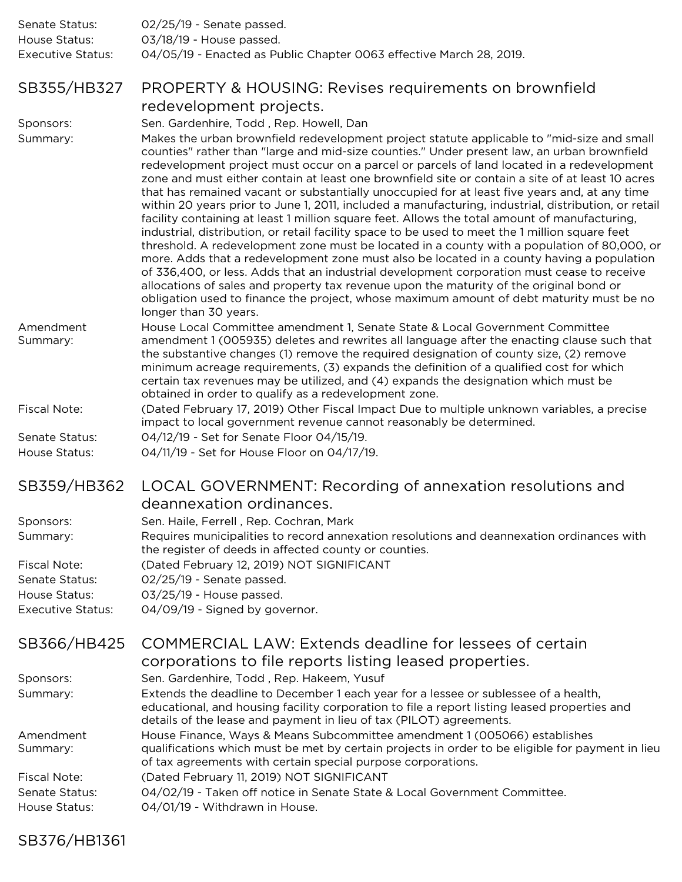| Senate Status:    | 02/25/19 - Senate passed.                                           |
|-------------------|---------------------------------------------------------------------|
| House Status:     | 03/18/19 - House passed.                                            |
| Executive Status: | 04/05/19 - Enacted as Public Chapter 0063 effective March 28, 2019. |

#### SB355/HB327 PROPERTY & HOUSING: Revises requirements on brownfield redevelopment projects.

Sponsors: Sen. Gardenhire, Todd, Rep. Howell, Dan

Summary: Makes the urban brownfield redevelopment project statute applicable to "mid-size and small counties" rather than "large and mid-size counties." Under present law, an urban brownfield redevelopment project must occur on a parcel or parcels of land located in a redevelopment zone and must either contain at least one brownfield site or contain a site of at least 10 acres that has remained vacant or substantially unoccupied for at least five years and, at any time within 20 years prior to June 1, 2011, included a manufacturing, industrial, distribution, or retail facility containing at least 1 million square feet. Allows the total amount of manufacturing, industrial, distribution, or retail facility space to be used to meet the 1 million square feet threshold. A redevelopment zone must be located in a county with a population of 80,000, or more. Adds that a redevelopment zone must also be located in a county having a population of 336,400, or less. Adds that an industrial development corporation must cease to receive allocations of sales and property tax revenue upon the maturity of the original bond or obligation used to finance the project, whose maximum amount of debt maturity must be no longer than 30 years.

Amendment Summary: House Local Committee amendment 1, Senate State & Local Government Committee amendment 1 (005935) deletes and rewrites all language after the enacting clause such that the substantive changes (1) remove the required designation of county size, (2) remove minimum acreage requirements, (3) expands the definition of a qualified cost for which certain tax revenues may be utilized, and (4) expands the designation which must be obtained in order to qualify as a redevelopment zone.

Fiscal Note: (Dated February 17, 2019) Other Fiscal Impact Due to multiple unknown variables, a precise impact to local government revenue cannot reasonably be determined.

Senate Status: 04/12/19 - Set for Senate Floor 04/15/19.

House Status: 04/11/19 - Set for House Floor on 04/17/19.

## SB359/HB362 LOCAL GOVERNMENT: Recording of annexation resolutions and deannexation ordinances.

| Sponsors:         | Sen. Haile, Ferrell, Rep. Cochran, Mark                                                                                                            |
|-------------------|----------------------------------------------------------------------------------------------------------------------------------------------------|
| Summary:          | Requires municipalities to record annexation resolutions and deannexation ordinances with<br>the register of deeds in affected county or counties. |
| Fiscal Note:      | (Dated February 12, 2019) NOT SIGNIFICANT                                                                                                          |
| Senate Status:    | 02/25/19 - Senate passed.                                                                                                                          |
| House Status:     | 03/25/19 - House passed.                                                                                                                           |
| Executive Status: | 04/09/19 - Signed by governor.                                                                                                                     |

| SB366/HB425                     | COMMERCIAL LAW: Extends deadline for lessees of certain<br>corporations to file reports listing leased properties.                                                                                                                                         |
|---------------------------------|------------------------------------------------------------------------------------------------------------------------------------------------------------------------------------------------------------------------------------------------------------|
| Sponsors:                       | Sen. Gardenhire, Todd, Rep. Hakeem, Yusuf                                                                                                                                                                                                                  |
| Summary:                        | Extends the deadline to December 1 each year for a lessee or sublessee of a health,<br>educational, and housing facility corporation to file a report listing leased properties and<br>details of the lease and payment in lieu of tax (PILOT) agreements. |
| Amendment<br>Summary:           | House Finance, Ways & Means Subcommittee amendment 1 (005066) establishes<br>qualifications which must be met by certain projects in order to be eligible for payment in lieu<br>of tax agreements with certain special purpose corporations.              |
| Fiscal Note:                    | (Dated February 11, 2019) NOT SIGNIFICANT                                                                                                                                                                                                                  |
| Senate Status:<br>House Status: | 04/02/19 - Taken off notice in Senate State & Local Government Committee.<br>04/01/19 - Withdrawn in House.                                                                                                                                                |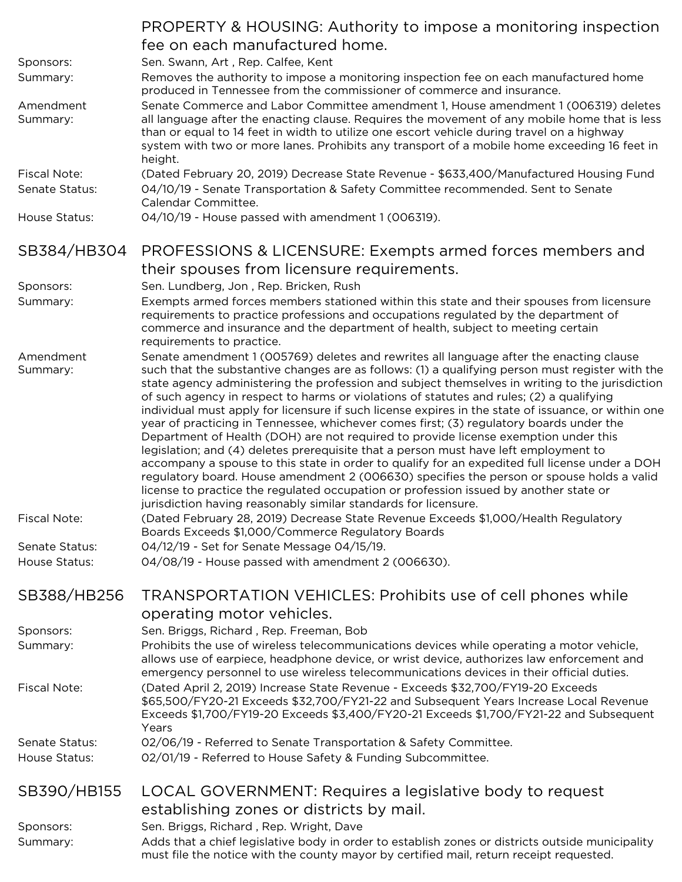|                                       | <b>PROPERTY &amp; HOUSING: Authority to impose a monitoring inspection</b><br>fee on each manufactured home.                                                                                                                                                                                                                                                                                                                                                                                                                                                                                                                                                                                                                                                                                                                                                                                                                                                                                                                                                                                                                           |
|---------------------------------------|----------------------------------------------------------------------------------------------------------------------------------------------------------------------------------------------------------------------------------------------------------------------------------------------------------------------------------------------------------------------------------------------------------------------------------------------------------------------------------------------------------------------------------------------------------------------------------------------------------------------------------------------------------------------------------------------------------------------------------------------------------------------------------------------------------------------------------------------------------------------------------------------------------------------------------------------------------------------------------------------------------------------------------------------------------------------------------------------------------------------------------------|
| Sponsors:<br>Summary:                 | Sen. Swann, Art, Rep. Calfee, Kent<br>Removes the authority to impose a monitoring inspection fee on each manufactured home<br>produced in Tennessee from the commissioner of commerce and insurance.                                                                                                                                                                                                                                                                                                                                                                                                                                                                                                                                                                                                                                                                                                                                                                                                                                                                                                                                  |
| Amendment<br>Summary:                 | Senate Commerce and Labor Committee amendment 1, House amendment 1 (006319) deletes<br>all language after the enacting clause. Requires the movement of any mobile home that is less<br>than or equal to 14 feet in width to utilize one escort vehicle during travel on a highway<br>system with two or more lanes. Prohibits any transport of a mobile home exceeding 16 feet in<br>height.                                                                                                                                                                                                                                                                                                                                                                                                                                                                                                                                                                                                                                                                                                                                          |
| <b>Fiscal Note:</b><br>Senate Status: | (Dated February 20, 2019) Decrease State Revenue - \$633,400/Manufactured Housing Fund<br>04/10/19 - Senate Transportation & Safety Committee recommended. Sent to Senate<br>Calendar Committee.                                                                                                                                                                                                                                                                                                                                                                                                                                                                                                                                                                                                                                                                                                                                                                                                                                                                                                                                       |
| House Status:                         | 04/10/19 - House passed with amendment 1 (006319).                                                                                                                                                                                                                                                                                                                                                                                                                                                                                                                                                                                                                                                                                                                                                                                                                                                                                                                                                                                                                                                                                     |
| SB384/HB304                           | PROFESSIONS & LICENSURE: Exempts armed forces members and<br>their spouses from licensure requirements.                                                                                                                                                                                                                                                                                                                                                                                                                                                                                                                                                                                                                                                                                                                                                                                                                                                                                                                                                                                                                                |
| Sponsors:                             | Sen. Lundberg, Jon, Rep. Bricken, Rush                                                                                                                                                                                                                                                                                                                                                                                                                                                                                                                                                                                                                                                                                                                                                                                                                                                                                                                                                                                                                                                                                                 |
| Summary:                              | Exempts armed forces members stationed within this state and their spouses from licensure<br>requirements to practice professions and occupations regulated by the department of<br>commerce and insurance and the department of health, subject to meeting certain<br>requirements to practice.                                                                                                                                                                                                                                                                                                                                                                                                                                                                                                                                                                                                                                                                                                                                                                                                                                       |
| Amendment<br>Summary:                 | Senate amendment 1 (005769) deletes and rewrites all language after the enacting clause<br>such that the substantive changes are as follows: (1) a qualifying person must register with the<br>state agency administering the profession and subject themselves in writing to the jurisdiction<br>of such agency in respect to harms or violations of statutes and rules; (2) a qualifying<br>individual must apply for licensure if such license expires in the state of issuance, or within one<br>year of practicing in Tennessee, whichever comes first; (3) regulatory boards under the<br>Department of Health (DOH) are not required to provide license exemption under this<br>legislation; and (4) deletes prerequisite that a person must have left employment to<br>accompany a spouse to this state in order to qualify for an expedited full license under a DOH<br>regulatory board. House amendment 2 (006630) specifies the person or spouse holds a valid<br>license to practice the regulated occupation or profession issued by another state or<br>jurisdiction having reasonably similar standards for licensure. |
| <b>Fiscal Note:</b>                   | (Dated February 28, 2019) Decrease State Revenue Exceeds \$1,000/Health Regulatory<br>Boards Exceeds \$1,000/Commerce Regulatory Boards                                                                                                                                                                                                                                                                                                                                                                                                                                                                                                                                                                                                                                                                                                                                                                                                                                                                                                                                                                                                |
| Senate Status:                        | 04/12/19 - Set for Senate Message 04/15/19.                                                                                                                                                                                                                                                                                                                                                                                                                                                                                                                                                                                                                                                                                                                                                                                                                                                                                                                                                                                                                                                                                            |
| House Status:                         | 04/08/19 - House passed with amendment 2 (006630).                                                                                                                                                                                                                                                                                                                                                                                                                                                                                                                                                                                                                                                                                                                                                                                                                                                                                                                                                                                                                                                                                     |
| SB388/HB256                           | <b>TRANSPORTATION VEHICLES: Prohibits use of cell phones while</b>                                                                                                                                                                                                                                                                                                                                                                                                                                                                                                                                                                                                                                                                                                                                                                                                                                                                                                                                                                                                                                                                     |
|                                       | operating motor vehicles.                                                                                                                                                                                                                                                                                                                                                                                                                                                                                                                                                                                                                                                                                                                                                                                                                                                                                                                                                                                                                                                                                                              |
| Sponsors:                             | Sen. Briggs, Richard, Rep. Freeman, Bob                                                                                                                                                                                                                                                                                                                                                                                                                                                                                                                                                                                                                                                                                                                                                                                                                                                                                                                                                                                                                                                                                                |
| Summary:                              | Prohibits the use of wireless telecommunications devices while operating a motor vehicle,<br>allows use of earpiece, headphone device, or wrist device, authorizes law enforcement and<br>emergency personnel to use wireless telecommunications devices in their official duties.                                                                                                                                                                                                                                                                                                                                                                                                                                                                                                                                                                                                                                                                                                                                                                                                                                                     |
| <b>Fiscal Note:</b>                   | (Dated April 2, 2019) Increase State Revenue - Exceeds \$32,700/FY19-20 Exceeds<br>\$65,500/FY20-21 Exceeds \$32,700/FY21-22 and Subsequent Years Increase Local Revenue<br>Exceeds \$1,700/FY19-20 Exceeds \$3,400/FY20-21 Exceeds \$1,700/FY21-22 and Subsequent<br>Years                                                                                                                                                                                                                                                                                                                                                                                                                                                                                                                                                                                                                                                                                                                                                                                                                                                            |
| Senate Status:                        | 02/06/19 - Referred to Senate Transportation & Safety Committee.                                                                                                                                                                                                                                                                                                                                                                                                                                                                                                                                                                                                                                                                                                                                                                                                                                                                                                                                                                                                                                                                       |
| House Status:                         | 02/01/19 - Referred to House Safety & Funding Subcommittee.                                                                                                                                                                                                                                                                                                                                                                                                                                                                                                                                                                                                                                                                                                                                                                                                                                                                                                                                                                                                                                                                            |
| SB390/HB155                           | LOCAL GOVERNMENT: Requires a legislative body to request                                                                                                                                                                                                                                                                                                                                                                                                                                                                                                                                                                                                                                                                                                                                                                                                                                                                                                                                                                                                                                                                               |
|                                       | establishing zones or districts by mail.                                                                                                                                                                                                                                                                                                                                                                                                                                                                                                                                                                                                                                                                                                                                                                                                                                                                                                                                                                                                                                                                                               |
| Sponsors:                             | Sen. Briggs, Richard, Rep. Wright, Dave                                                                                                                                                                                                                                                                                                                                                                                                                                                                                                                                                                                                                                                                                                                                                                                                                                                                                                                                                                                                                                                                                                |
| Summary:                              | Adds that a chief legislative body in order to establish zones or districts outside municipality<br>must file the notice with the county mayor by certified mail, return receipt requested.                                                                                                                                                                                                                                                                                                                                                                                                                                                                                                                                                                                                                                                                                                                                                                                                                                                                                                                                            |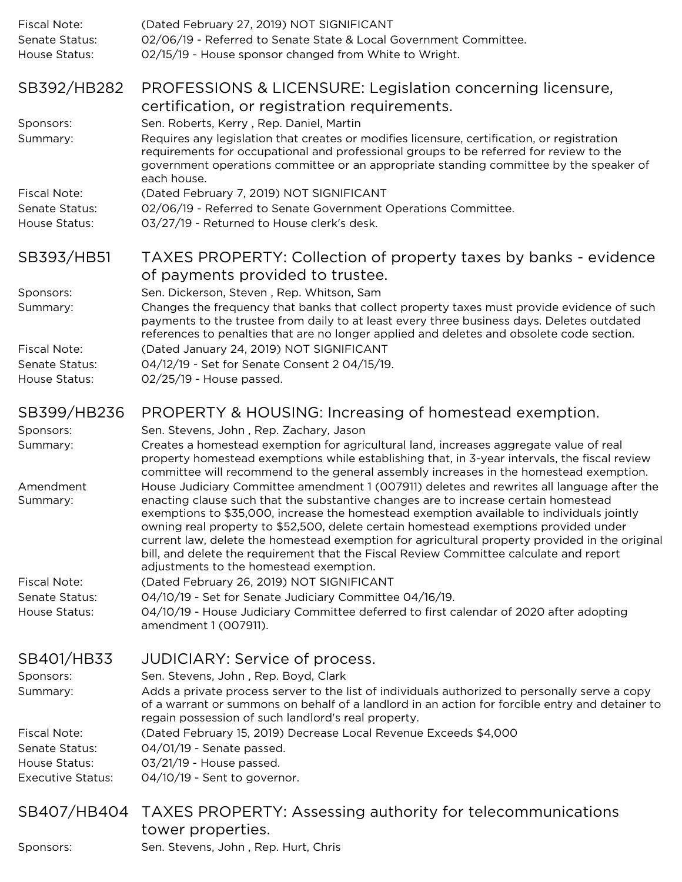| Fiscal Note:<br>Senate Status:<br>House Status: | (Dated February 27, 2019) NOT SIGNIFICANT<br>02/06/19 - Referred to Senate State & Local Government Committee.<br>02/15/19 - House sponsor changed from White to Wright.                                                                                                                                                                                                                                                                                                                                                                                                                                      |
|-------------------------------------------------|---------------------------------------------------------------------------------------------------------------------------------------------------------------------------------------------------------------------------------------------------------------------------------------------------------------------------------------------------------------------------------------------------------------------------------------------------------------------------------------------------------------------------------------------------------------------------------------------------------------|
| SB392/HB282                                     | PROFESSIONS & LICENSURE: Legislation concerning licensure,                                                                                                                                                                                                                                                                                                                                                                                                                                                                                                                                                    |
|                                                 | certification, or registration requirements.                                                                                                                                                                                                                                                                                                                                                                                                                                                                                                                                                                  |
| Sponsors:<br>Summary:                           | Sen. Roberts, Kerry, Rep. Daniel, Martin<br>Requires any legislation that creates or modifies licensure, certification, or registration<br>requirements for occupational and professional groups to be referred for review to the<br>government operations committee or an appropriate standing committee by the speaker of<br>each house.                                                                                                                                                                                                                                                                    |
| <b>Fiscal Note:</b>                             | (Dated February 7, 2019) NOT SIGNIFICANT                                                                                                                                                                                                                                                                                                                                                                                                                                                                                                                                                                      |
| Senate Status:                                  | 02/06/19 - Referred to Senate Government Operations Committee.                                                                                                                                                                                                                                                                                                                                                                                                                                                                                                                                                |
| House Status:                                   | 03/27/19 - Returned to House clerk's desk.                                                                                                                                                                                                                                                                                                                                                                                                                                                                                                                                                                    |
| SB393/HB51                                      | TAXES PROPERTY: Collection of property taxes by banks - evidence                                                                                                                                                                                                                                                                                                                                                                                                                                                                                                                                              |
|                                                 | of payments provided to trustee.                                                                                                                                                                                                                                                                                                                                                                                                                                                                                                                                                                              |
| Sponsors:                                       | Sen. Dickerson, Steven, Rep. Whitson, Sam                                                                                                                                                                                                                                                                                                                                                                                                                                                                                                                                                                     |
| Summary:<br><b>Fiscal Note:</b>                 | Changes the frequency that banks that collect property taxes must provide evidence of such<br>payments to the trustee from daily to at least every three business days. Deletes outdated<br>references to penalties that are no longer applied and deletes and obsolete code section.<br>(Dated January 24, 2019) NOT SIGNIFICANT                                                                                                                                                                                                                                                                             |
| Senate Status:                                  | 04/12/19 - Set for Senate Consent 2 04/15/19.                                                                                                                                                                                                                                                                                                                                                                                                                                                                                                                                                                 |
| House Status:                                   | 02/25/19 - House passed.                                                                                                                                                                                                                                                                                                                                                                                                                                                                                                                                                                                      |
| SB399/HB236                                     | PROPERTY & HOUSING: Increasing of homestead exemption.                                                                                                                                                                                                                                                                                                                                                                                                                                                                                                                                                        |
| Sponsors:                                       | Sen. Stevens, John, Rep. Zachary, Jason                                                                                                                                                                                                                                                                                                                                                                                                                                                                                                                                                                       |
| Summary:                                        | Creates a homestead exemption for agricultural land, increases aggregate value of real<br>property homestead exemptions while establishing that, in 3-year intervals, the fiscal review<br>committee will recommend to the general assembly increases in the homestead exemption.                                                                                                                                                                                                                                                                                                                             |
| Amendment<br>Summary:                           | House Judiciary Committee amendment 1 (007911) deletes and rewrites all language after the<br>enacting clause such that the substantive changes are to increase certain homestead<br>exemptions to \$35,000, increase the homestead exemption available to individuals jointly<br>owning real property to \$52,500, delete certain homestead exemptions provided under<br>current law, delete the homestead exemption for agricultural property provided in the original<br>bill, and delete the requirement that the Fiscal Review Committee calculate and report<br>adjustments to the homestead exemption. |
| <b>Fiscal Note:</b>                             | (Dated February 26, 2019) NOT SIGNIFICANT                                                                                                                                                                                                                                                                                                                                                                                                                                                                                                                                                                     |
| Senate Status:<br>House Status:                 | 04/10/19 - Set for Senate Judiciary Committee 04/16/19.<br>04/10/19 - House Judiciary Committee deferred to first calendar of 2020 after adopting                                                                                                                                                                                                                                                                                                                                                                                                                                                             |
|                                                 | amendment 1 (007911).                                                                                                                                                                                                                                                                                                                                                                                                                                                                                                                                                                                         |
| SB401/HB33                                      | <b>JUDICIARY: Service of process.</b>                                                                                                                                                                                                                                                                                                                                                                                                                                                                                                                                                                         |
| Sponsors:                                       | Sen. Stevens, John, Rep. Boyd, Clark                                                                                                                                                                                                                                                                                                                                                                                                                                                                                                                                                                          |
| Summary:                                        | Adds a private process server to the list of individuals authorized to personally serve a copy<br>of a warrant or summons on behalf of a landlord in an action for forcible entry and detainer to<br>regain possession of such landlord's real property.                                                                                                                                                                                                                                                                                                                                                      |
| <b>Fiscal Note:</b>                             | (Dated February 15, 2019) Decrease Local Revenue Exceeds \$4,000                                                                                                                                                                                                                                                                                                                                                                                                                                                                                                                                              |
| Senate Status:                                  | 04/01/19 - Senate passed.                                                                                                                                                                                                                                                                                                                                                                                                                                                                                                                                                                                     |
| House Status:                                   | 03/21/19 - House passed.                                                                                                                                                                                                                                                                                                                                                                                                                                                                                                                                                                                      |
| <b>Executive Status:</b>                        | 04/10/19 - Sent to governor.                                                                                                                                                                                                                                                                                                                                                                                                                                                                                                                                                                                  |
| SB407/HB404                                     | TAXES PROPERTY: Assessing authority for telecommunications<br>tower properties.                                                                                                                                                                                                                                                                                                                                                                                                                                                                                                                               |
| Sponsors:                                       | Sen. Stevens, John, Rep. Hurt, Chris                                                                                                                                                                                                                                                                                                                                                                                                                                                                                                                                                                          |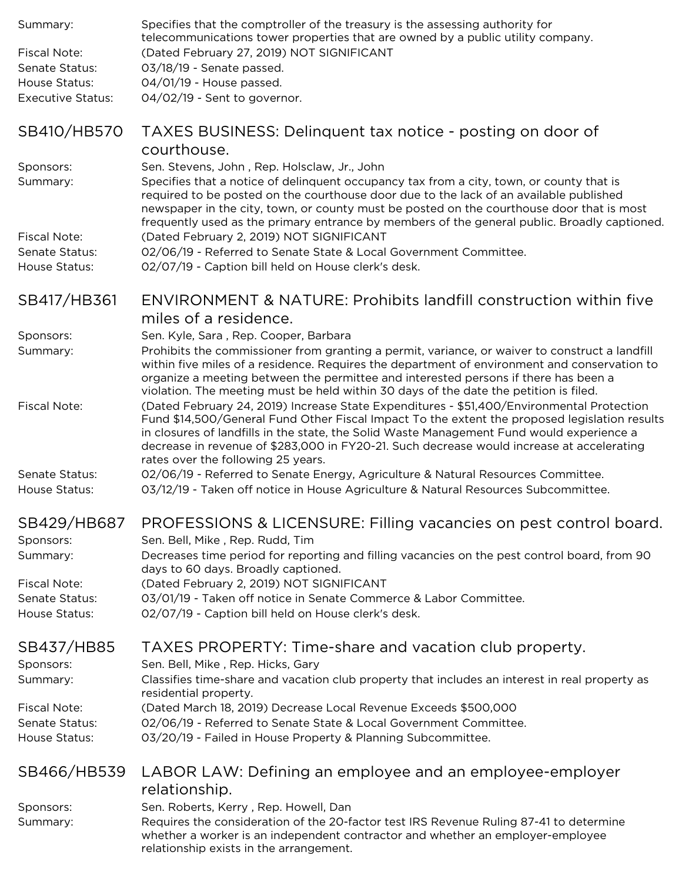| Summary:                              | Specifies that the comptroller of the treasury is the assessing authority for<br>telecommunications tower properties that are owned by a public utility company.                                                                                                                                                                                                                                                                |
|---------------------------------------|---------------------------------------------------------------------------------------------------------------------------------------------------------------------------------------------------------------------------------------------------------------------------------------------------------------------------------------------------------------------------------------------------------------------------------|
| <b>Fiscal Note:</b><br>Senate Status: | (Dated February 27, 2019) NOT SIGNIFICANT<br>03/18/19 - Senate passed.                                                                                                                                                                                                                                                                                                                                                          |
| House Status:                         | 04/01/19 - House passed.                                                                                                                                                                                                                                                                                                                                                                                                        |
| <b>Executive Status:</b>              | 04/02/19 - Sent to governor.                                                                                                                                                                                                                                                                                                                                                                                                    |
| SB410/HB570                           | TAXES BUSINESS: Delinquent tax notice - posting on door of<br>courthouse.                                                                                                                                                                                                                                                                                                                                                       |
| Sponsors:<br>Summary:                 | Sen. Stevens, John, Rep. Holsclaw, Jr., John<br>Specifies that a notice of delinquent occupancy tax from a city, town, or county that is<br>required to be posted on the courthouse door due to the lack of an available published<br>newspaper in the city, town, or county must be posted on the courthouse door that is most<br>frequently used as the primary entrance by members of the general public. Broadly captioned. |
| <b>Fiscal Note:</b>                   | (Dated February 2, 2019) NOT SIGNIFICANT                                                                                                                                                                                                                                                                                                                                                                                        |
| Senate Status:<br>House Status:       | 02/06/19 - Referred to Senate State & Local Government Committee.<br>02/07/19 - Caption bill held on House clerk's desk.                                                                                                                                                                                                                                                                                                        |
| SB417/HB361                           | <b>ENVIRONMENT &amp; NATURE: Prohibits landfill construction within five</b><br>miles of a residence.                                                                                                                                                                                                                                                                                                                           |
| Sponsors:                             | Sen. Kyle, Sara, Rep. Cooper, Barbara                                                                                                                                                                                                                                                                                                                                                                                           |
| Summary:                              | Prohibits the commissioner from granting a permit, variance, or waiver to construct a landfill<br>within five miles of a residence. Requires the department of environment and conservation to<br>organize a meeting between the permittee and interested persons if there has been a<br>violation. The meeting must be held within 30 days of the date the petition is filed.                                                  |
| <b>Fiscal Note:</b>                   | (Dated February 24, 2019) Increase State Expenditures - \$51,400/Environmental Protection<br>Fund \$14,500/General Fund Other Fiscal Impact To the extent the proposed legislation results<br>in closures of landfills in the state, the Solid Waste Management Fund would experience a<br>decrease in revenue of \$283,000 in FY20-21. Such decrease would increase at accelerating<br>rates over the following 25 years.      |
| Senate Status:<br>House Status:       | 02/06/19 - Referred to Senate Energy, Agriculture & Natural Resources Committee.<br>03/12/19 - Taken off notice in House Agriculture & Natural Resources Subcommittee.                                                                                                                                                                                                                                                          |
| SB429/HB687                           | PROFESSIONS & LICENSURE: Filling vacancies on pest control board.                                                                                                                                                                                                                                                                                                                                                               |
| Sponsors:<br>Summary:                 | Sen. Bell, Mike, Rep. Rudd, Tim<br>Decreases time period for reporting and filling vacancies on the pest control board, from 90<br>days to 60 days. Broadly captioned.                                                                                                                                                                                                                                                          |
| <b>Fiscal Note:</b>                   | (Dated February 2, 2019) NOT SIGNIFICANT                                                                                                                                                                                                                                                                                                                                                                                        |
| Senate Status:<br>House Status:       | 03/01/19 - Taken off notice in Senate Commerce & Labor Committee.<br>02/07/19 - Caption bill held on House clerk's desk.                                                                                                                                                                                                                                                                                                        |
| SB437/HB85<br>Sponsors:               | TAXES PROPERTY: Time-share and vacation club property.<br>Sen. Bell, Mike, Rep. Hicks, Gary                                                                                                                                                                                                                                                                                                                                     |
| Summary:                              | Classifies time-share and vacation club property that includes an interest in real property as<br>residential property.                                                                                                                                                                                                                                                                                                         |
| <b>Fiscal Note:</b>                   | (Dated March 18, 2019) Decrease Local Revenue Exceeds \$500,000                                                                                                                                                                                                                                                                                                                                                                 |
| Senate Status:<br>House Status:       | 02/06/19 - Referred to Senate State & Local Government Committee.<br>03/20/19 - Failed in House Property & Planning Subcommittee.                                                                                                                                                                                                                                                                                               |
| SB466/HB539                           | LABOR LAW: Defining an employee and an employee-employer<br>relationship.                                                                                                                                                                                                                                                                                                                                                       |
| Sponsors:                             | Sen. Roberts, Kerry, Rep. Howell, Dan                                                                                                                                                                                                                                                                                                                                                                                           |
| Summary:                              | Requires the consideration of the 20-factor test IRS Revenue Ruling 87-41 to determine<br>whether a worker is an independent contractor and whether an employer-employee<br>relationship exists in the arrangement.                                                                                                                                                                                                             |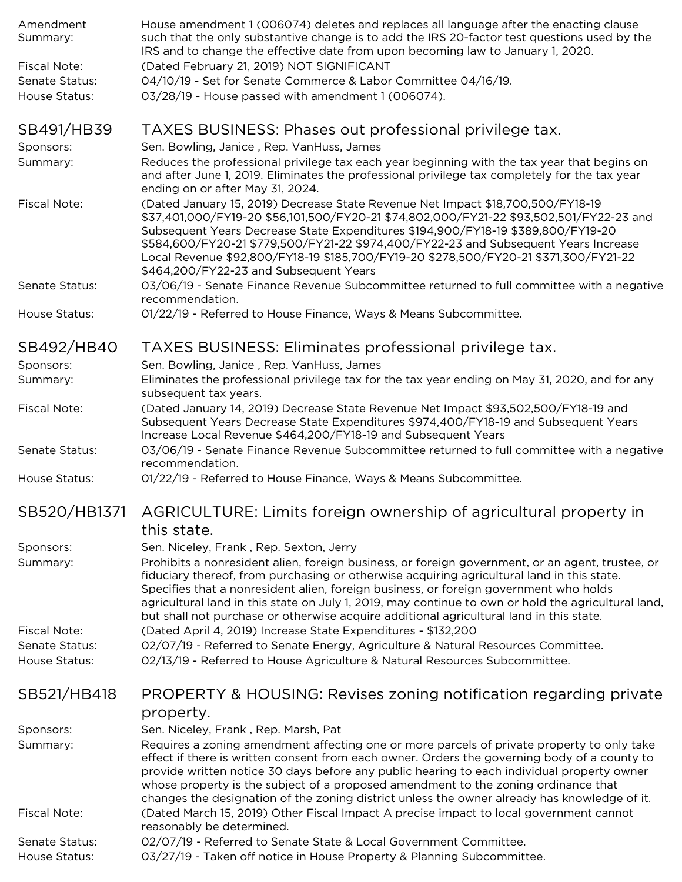| Amendment<br>Summary:           | House amendment 1 (006074) deletes and replaces all language after the enacting clause<br>such that the only substantive change is to add the IRS 20-factor test questions used by the<br>IRS and to change the effective date from upon becoming law to January 1, 2020.                                                                                                                                                                                                                 |
|---------------------------------|-------------------------------------------------------------------------------------------------------------------------------------------------------------------------------------------------------------------------------------------------------------------------------------------------------------------------------------------------------------------------------------------------------------------------------------------------------------------------------------------|
| Fiscal Note:                    | (Dated February 21, 2019) NOT SIGNIFICANT                                                                                                                                                                                                                                                                                                                                                                                                                                                 |
| Senate Status:                  | 04/10/19 - Set for Senate Commerce & Labor Committee 04/16/19.                                                                                                                                                                                                                                                                                                                                                                                                                            |
| House Status:                   | 03/28/19 - House passed with amendment 1 (006074).                                                                                                                                                                                                                                                                                                                                                                                                                                        |
| SB491/HB39                      | TAXES BUSINESS: Phases out professional privilege tax.                                                                                                                                                                                                                                                                                                                                                                                                                                    |
| Sponsors:                       | Sen. Bowling, Janice, Rep. VanHuss, James                                                                                                                                                                                                                                                                                                                                                                                                                                                 |
| Summary:                        | Reduces the professional privilege tax each year beginning with the tax year that begins on<br>and after June 1, 2019. Eliminates the professional privilege tax completely for the tax year<br>ending on or after May 31, 2024.                                                                                                                                                                                                                                                          |
| <b>Fiscal Note:</b>             | (Dated January 15, 2019) Decrease State Revenue Net Impact \$18,700,500/FY18-19<br>\$37,401,000/FY19-20 \$56,101,500/FY20-21 \$74,802,000/FY21-22 \$93,502,501/FY22-23 and<br>Subsequent Years Decrease State Expenditures \$194,900/FY18-19 \$389,800/FY19-20<br>\$584,600/FY20-21 \$779,500/FY21-22 \$974,400/FY22-23 and Subsequent Years Increase<br>Local Revenue \$92,800/FY18-19 \$185,700/FY19-20 \$278,500/FY20-21 \$371,300/FY21-22<br>\$464,200/FY22-23 and Subsequent Years   |
| Senate Status:                  | 03/06/19 - Senate Finance Revenue Subcommittee returned to full committee with a negative<br>recommendation.                                                                                                                                                                                                                                                                                                                                                                              |
| House Status:                   | 01/22/19 - Referred to House Finance, Ways & Means Subcommittee.                                                                                                                                                                                                                                                                                                                                                                                                                          |
| SB492/HB40                      | TAXES BUSINESS: Eliminates professional privilege tax.                                                                                                                                                                                                                                                                                                                                                                                                                                    |
| Sponsors:                       | Sen. Bowling, Janice, Rep. VanHuss, James                                                                                                                                                                                                                                                                                                                                                                                                                                                 |
| Summary:                        | Eliminates the professional privilege tax for the tax year ending on May 31, 2020, and for any<br>subsequent tax years.                                                                                                                                                                                                                                                                                                                                                                   |
| Fiscal Note:                    | (Dated January 14, 2019) Decrease State Revenue Net Impact \$93,502,500/FY18-19 and<br>Subsequent Years Decrease State Expenditures \$974,400/FY18-19 and Subsequent Years<br>Increase Local Revenue \$464,200/FY18-19 and Subsequent Years                                                                                                                                                                                                                                               |
| Senate Status:                  | 03/06/19 - Senate Finance Revenue Subcommittee returned to full committee with a negative<br>recommendation.                                                                                                                                                                                                                                                                                                                                                                              |
| House Status:                   | 01/22/19 - Referred to House Finance, Ways & Means Subcommittee.                                                                                                                                                                                                                                                                                                                                                                                                                          |
| SB520/HB1371                    | AGRICULTURE: Limits foreign ownership of agricultural property in<br>this state.                                                                                                                                                                                                                                                                                                                                                                                                          |
| Sponsors:                       | Sen. Niceley, Frank, Rep. Sexton, Jerry                                                                                                                                                                                                                                                                                                                                                                                                                                                   |
| Summary:                        | Prohibits a nonresident alien, foreign business, or foreign government, or an agent, trustee, or<br>fiduciary thereof, from purchasing or otherwise acquiring agricultural land in this state.<br>Specifies that a nonresident alien, foreign business, or foreign government who holds<br>agricultural land in this state on July 1, 2019, may continue to own or hold the agricultural land,<br>but shall not purchase or otherwise acquire additional agricultural land in this state. |
| Fiscal Note:                    | (Dated April 4, 2019) Increase State Expenditures - \$132,200                                                                                                                                                                                                                                                                                                                                                                                                                             |
| Senate Status:<br>House Status: | 02/07/19 - Referred to Senate Energy, Agriculture & Natural Resources Committee.<br>02/13/19 - Referred to House Agriculture & Natural Resources Subcommittee.                                                                                                                                                                                                                                                                                                                            |
|                                 |                                                                                                                                                                                                                                                                                                                                                                                                                                                                                           |
| SB521/HB418                     | PROPERTY & HOUSING: Revises zoning notification regarding private<br>property.                                                                                                                                                                                                                                                                                                                                                                                                            |
| Sponsors:                       | Sen. Niceley, Frank, Rep. Marsh, Pat                                                                                                                                                                                                                                                                                                                                                                                                                                                      |
| Summary:                        | Requires a zoning amendment affecting one or more parcels of private property to only take<br>effect if there is written consent from each owner. Orders the governing body of a county to<br>provide written notice 30 days before any public hearing to each individual property owner<br>whose property is the subject of a proposed amendment to the zoning ordinance that<br>changes the designation of the zoning district unless the owner already has knowledge of it.            |
| Fiscal Note:                    | (Dated March 15, 2019) Other Fiscal Impact A precise impact to local government cannot<br>reasonably be determined.                                                                                                                                                                                                                                                                                                                                                                       |
| Senate Status:                  | 02/07/19 - Referred to Senate State & Local Government Committee.                                                                                                                                                                                                                                                                                                                                                                                                                         |
| House Statue:                   | 03/27/19 - Taken off potico in House Property & Planning Subcommittee                                                                                                                                                                                                                                                                                                                                                                                                                     |

House Status: 03/27/19 - Taken off notice in House Property & Planning Subcommittee.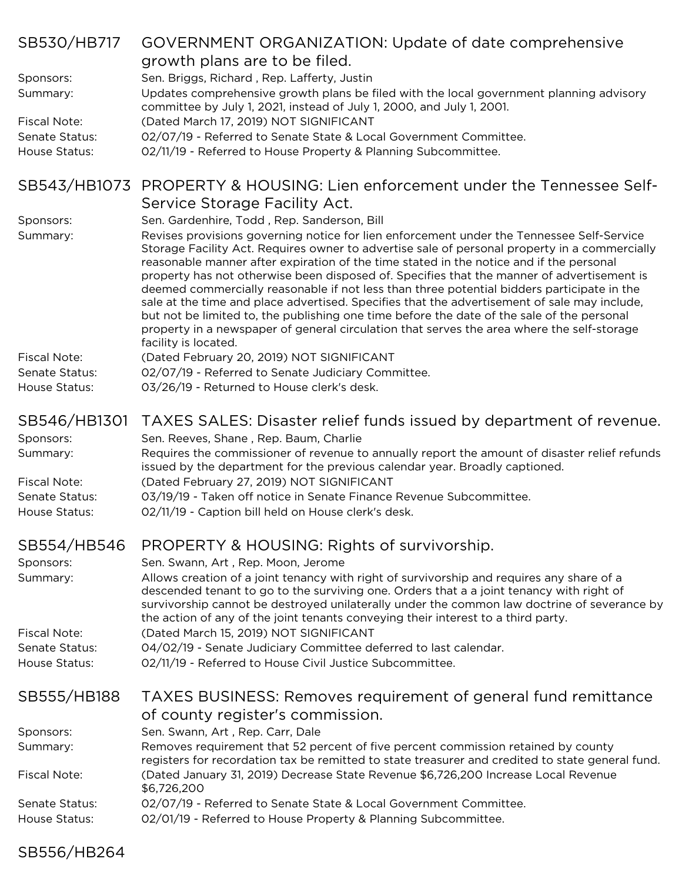| SB530/HB717                     | GOVERNMENT ORGANIZATION: Update of date comprehensive                                                                                                                                                                                                                                                                                                                                                                                                                                                                                                                                                                                                                           |
|---------------------------------|---------------------------------------------------------------------------------------------------------------------------------------------------------------------------------------------------------------------------------------------------------------------------------------------------------------------------------------------------------------------------------------------------------------------------------------------------------------------------------------------------------------------------------------------------------------------------------------------------------------------------------------------------------------------------------|
|                                 | growth plans are to be filed.                                                                                                                                                                                                                                                                                                                                                                                                                                                                                                                                                                                                                                                   |
| Sponsors:                       | Sen. Briggs, Richard, Rep. Lafferty, Justin                                                                                                                                                                                                                                                                                                                                                                                                                                                                                                                                                                                                                                     |
| Summary:                        | Updates comprehensive growth plans be filed with the local government planning advisory<br>committee by July 1, 2021, instead of July 1, 2000, and July 1, 2001.                                                                                                                                                                                                                                                                                                                                                                                                                                                                                                                |
| <b>Fiscal Note:</b>             | (Dated March 17, 2019) NOT SIGNIFICANT                                                                                                                                                                                                                                                                                                                                                                                                                                                                                                                                                                                                                                          |
| Senate Status:<br>House Status: | 02/07/19 - Referred to Senate State & Local Government Committee.<br>02/11/19 - Referred to House Property & Planning Subcommittee.                                                                                                                                                                                                                                                                                                                                                                                                                                                                                                                                             |
|                                 |                                                                                                                                                                                                                                                                                                                                                                                                                                                                                                                                                                                                                                                                                 |
| SB543/HB1073                    | PROPERTY & HOUSING: Lien enforcement under the Tennessee Self-                                                                                                                                                                                                                                                                                                                                                                                                                                                                                                                                                                                                                  |
|                                 | Service Storage Facility Act.                                                                                                                                                                                                                                                                                                                                                                                                                                                                                                                                                                                                                                                   |
| Sponsors:                       | Sen. Gardenhire, Todd, Rep. Sanderson, Bill                                                                                                                                                                                                                                                                                                                                                                                                                                                                                                                                                                                                                                     |
| Summary:                        | Revises provisions governing notice for lien enforcement under the Tennessee Self-Service<br>Storage Facility Act. Requires owner to advertise sale of personal property in a commercially<br>reasonable manner after expiration of the time stated in the notice and if the personal<br>property has not otherwise been disposed of. Specifies that the manner of advertisement is<br>deemed commercially reasonable if not less than three potential bidders participate in the<br>sale at the time and place advertised. Specifies that the advertisement of sale may include,<br>but not be limited to, the publishing one time before the date of the sale of the personal |
|                                 | property in a newspaper of general circulation that serves the area where the self-storage                                                                                                                                                                                                                                                                                                                                                                                                                                                                                                                                                                                      |
| <b>Fiscal Note:</b>             | facility is located.<br>(Dated February 20, 2019) NOT SIGNIFICANT                                                                                                                                                                                                                                                                                                                                                                                                                                                                                                                                                                                                               |
| Senate Status:                  | 02/07/19 - Referred to Senate Judiciary Committee.                                                                                                                                                                                                                                                                                                                                                                                                                                                                                                                                                                                                                              |
| House Status:                   | 03/26/19 - Returned to House clerk's desk.                                                                                                                                                                                                                                                                                                                                                                                                                                                                                                                                                                                                                                      |
|                                 |                                                                                                                                                                                                                                                                                                                                                                                                                                                                                                                                                                                                                                                                                 |
| SB546/HB1301                    | TAXES SALES: Disaster relief funds issued by department of revenue.                                                                                                                                                                                                                                                                                                                                                                                                                                                                                                                                                                                                             |
| Sponsors:                       | Sen. Reeves, Shane, Rep. Baum, Charlie<br>Requires the commissioner of revenue to annually report the amount of disaster relief refunds                                                                                                                                                                                                                                                                                                                                                                                                                                                                                                                                         |
| Summary:<br><b>Fiscal Note:</b> | issued by the department for the previous calendar year. Broadly captioned.<br>(Dated February 27, 2019) NOT SIGNIFICANT                                                                                                                                                                                                                                                                                                                                                                                                                                                                                                                                                        |
| Senate Status:                  | 03/19/19 - Taken off notice in Senate Finance Revenue Subcommittee.                                                                                                                                                                                                                                                                                                                                                                                                                                                                                                                                                                                                             |
| House Status:                   | 02/11/19 - Caption bill held on House clerk's desk.                                                                                                                                                                                                                                                                                                                                                                                                                                                                                                                                                                                                                             |
|                                 |                                                                                                                                                                                                                                                                                                                                                                                                                                                                                                                                                                                                                                                                                 |
| SB554/HB546                     | PROPERTY & HOUSING: Rights of survivorship.                                                                                                                                                                                                                                                                                                                                                                                                                                                                                                                                                                                                                                     |
| Sponsors:<br>Summary:           | Sen. Swann, Art, Rep. Moon, Jerome<br>Allows creation of a joint tenancy with right of survivorship and requires any share of a                                                                                                                                                                                                                                                                                                                                                                                                                                                                                                                                                 |
|                                 | descended tenant to go to the surviving one. Orders that a a joint tenancy with right of<br>survivorship cannot be destroyed unilaterally under the common law doctrine of severance by<br>the action of any of the joint tenants conveying their interest to a third party.                                                                                                                                                                                                                                                                                                                                                                                                    |
| <b>Fiscal Note:</b>             | (Dated March 15, 2019) NOT SIGNIFICANT                                                                                                                                                                                                                                                                                                                                                                                                                                                                                                                                                                                                                                          |
| Senate Status:                  | 04/02/19 - Senate Judiciary Committee deferred to last calendar.                                                                                                                                                                                                                                                                                                                                                                                                                                                                                                                                                                                                                |
| House Status:                   | 02/11/19 - Referred to House Civil Justice Subcommittee.                                                                                                                                                                                                                                                                                                                                                                                                                                                                                                                                                                                                                        |
| SB555/HB188                     | TAXES BUSINESS: Removes requirement of general fund remittance<br>of county register's commission.                                                                                                                                                                                                                                                                                                                                                                                                                                                                                                                                                                              |
| Sponsors:                       | Sen. Swann, Art, Rep. Carr, Dale                                                                                                                                                                                                                                                                                                                                                                                                                                                                                                                                                                                                                                                |
| Summary:                        | Removes requirement that 52 percent of five percent commission retained by county<br>registers for recordation tax be remitted to state treasurer and credited to state general fund.                                                                                                                                                                                                                                                                                                                                                                                                                                                                                           |
| <b>Fiscal Note:</b>             | (Dated January 31, 2019) Decrease State Revenue \$6,726,200 Increase Local Revenue<br>\$6,726,200                                                                                                                                                                                                                                                                                                                                                                                                                                                                                                                                                                               |
| Senate Status:                  | 02/07/19 - Referred to Senate State & Local Government Committee.                                                                                                                                                                                                                                                                                                                                                                                                                                                                                                                                                                                                               |
| House Status:                   | 02/01/19 - Referred to House Property & Planning Subcommittee.                                                                                                                                                                                                                                                                                                                                                                                                                                                                                                                                                                                                                  |
|                                 |                                                                                                                                                                                                                                                                                                                                                                                                                                                                                                                                                                                                                                                                                 |

# SB556/HB264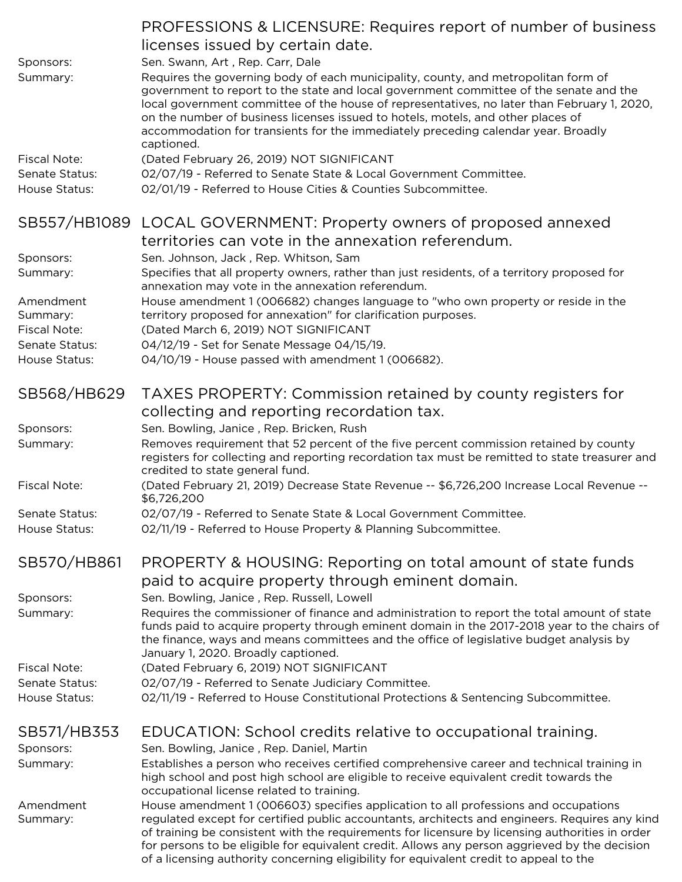|                       | PROFESSIONS & LICENSURE: Requires report of number of business                                                                                                                                                                                                                                                                                                                            |
|-----------------------|-------------------------------------------------------------------------------------------------------------------------------------------------------------------------------------------------------------------------------------------------------------------------------------------------------------------------------------------------------------------------------------------|
|                       | licenses issued by certain date.                                                                                                                                                                                                                                                                                                                                                          |
| Sponsors:             | Sen. Swann, Art, Rep. Carr, Dale                                                                                                                                                                                                                                                                                                                                                          |
| Summary:              | Requires the governing body of each municipality, county, and metropolitan form of<br>government to report to the state and local government committee of the senate and the                                                                                                                                                                                                              |
|                       | local government committee of the house of representatives, no later than February 1, 2020,<br>on the number of business licenses issued to hotels, motels, and other places of                                                                                                                                                                                                           |
|                       | accommodation for transients for the immediately preceding calendar year. Broadly                                                                                                                                                                                                                                                                                                         |
| <b>Fiscal Note:</b>   | captioned.<br>(Dated February 26, 2019) NOT SIGNIFICANT                                                                                                                                                                                                                                                                                                                                   |
| Senate Status:        | 02/07/19 - Referred to Senate State & Local Government Committee.                                                                                                                                                                                                                                                                                                                         |
| House Status:         | 02/01/19 - Referred to House Cities & Counties Subcommittee.                                                                                                                                                                                                                                                                                                                              |
|                       |                                                                                                                                                                                                                                                                                                                                                                                           |
|                       | SB557/HB1089 LOCAL GOVERNMENT: Property owners of proposed annexed                                                                                                                                                                                                                                                                                                                        |
|                       | territories can vote in the annexation referendum.                                                                                                                                                                                                                                                                                                                                        |
| Sponsors:             | Sen. Johnson, Jack, Rep. Whitson, Sam                                                                                                                                                                                                                                                                                                                                                     |
| Summary:              | Specifies that all property owners, rather than just residents, of a territory proposed for<br>annexation may vote in the annexation referendum.                                                                                                                                                                                                                                          |
| Amendment<br>Summary: | House amendment 1 (006682) changes language to "who own property or reside in the<br>territory proposed for annexation" for clarification purposes.                                                                                                                                                                                                                                       |
| <b>Fiscal Note:</b>   | (Dated March 6, 2019) NOT SIGNIFICANT                                                                                                                                                                                                                                                                                                                                                     |
| Senate Status:        | 04/12/19 - Set for Senate Message 04/15/19.                                                                                                                                                                                                                                                                                                                                               |
| House Status:         | 04/10/19 - House passed with amendment 1 (006682).                                                                                                                                                                                                                                                                                                                                        |
|                       |                                                                                                                                                                                                                                                                                                                                                                                           |
| SB568/HB629           | TAXES PROPERTY: Commission retained by county registers for                                                                                                                                                                                                                                                                                                                               |
|                       | collecting and reporting recordation tax.                                                                                                                                                                                                                                                                                                                                                 |
| Sponsors:             | Sen. Bowling, Janice, Rep. Bricken, Rush                                                                                                                                                                                                                                                                                                                                                  |
| Summary:              | Removes requirement that 52 percent of the five percent commission retained by county                                                                                                                                                                                                                                                                                                     |
|                       | registers for collecting and reporting recordation tax must be remitted to state treasurer and<br>credited to state general fund.                                                                                                                                                                                                                                                         |
| <b>Fiscal Note:</b>   | (Dated February 21, 2019) Decrease State Revenue -- \$6,726,200 Increase Local Revenue --<br>\$6,726,200                                                                                                                                                                                                                                                                                  |
| Senate Status:        | 02/07/19 - Referred to Senate State & Local Government Committee.                                                                                                                                                                                                                                                                                                                         |
| House Status:         | 02/11/19 - Referred to House Property & Planning Subcommittee.                                                                                                                                                                                                                                                                                                                            |
| SB570/HB861           | PROPERTY & HOUSING: Reporting on total amount of state funds                                                                                                                                                                                                                                                                                                                              |
|                       | paid to acquire property through eminent domain.                                                                                                                                                                                                                                                                                                                                          |
| Sponsors:             | Sen. Bowling, Janice, Rep. Russell, Lowell                                                                                                                                                                                                                                                                                                                                                |
| Summary:              | Requires the commissioner of finance and administration to report the total amount of state                                                                                                                                                                                                                                                                                               |
|                       | funds paid to acquire property through eminent domain in the 2017-2018 year to the chairs of                                                                                                                                                                                                                                                                                              |
|                       | the finance, ways and means committees and the office of legislative budget analysis by<br>January 1, 2020. Broadly captioned.                                                                                                                                                                                                                                                            |
| <b>Fiscal Note:</b>   | (Dated February 6, 2019) NOT SIGNIFICANT                                                                                                                                                                                                                                                                                                                                                  |
| Senate Status:        | 02/07/19 - Referred to Senate Judiciary Committee.                                                                                                                                                                                                                                                                                                                                        |
| House Status:         | 02/11/19 - Referred to House Constitutional Protections & Sentencing Subcommittee.                                                                                                                                                                                                                                                                                                        |
|                       |                                                                                                                                                                                                                                                                                                                                                                                           |
| SB571/HB353           | EDUCATION: School credits relative to occupational training.                                                                                                                                                                                                                                                                                                                              |
| Sponsors:             | Sen. Bowling, Janice, Rep. Daniel, Martin                                                                                                                                                                                                                                                                                                                                                 |
| Summary:              | Establishes a person who receives certified comprehensive career and technical training in<br>high school and post high school are eligible to receive equivalent credit towards the                                                                                                                                                                                                      |
|                       | occupational license related to training.                                                                                                                                                                                                                                                                                                                                                 |
| Amendment<br>Summary: | House amendment 1 (006603) specifies application to all professions and occupations<br>regulated except for certified public accountants, architects and engineers. Requires any kind<br>of training be consistent with the requirements for licensure by licensing authorities in order<br>for persons to be eligible for equivalent credit. Allows any person aggrieved by the decision |
|                       | of a licensing authority concerning eligibility for equivalent credit to appeal to the                                                                                                                                                                                                                                                                                                    |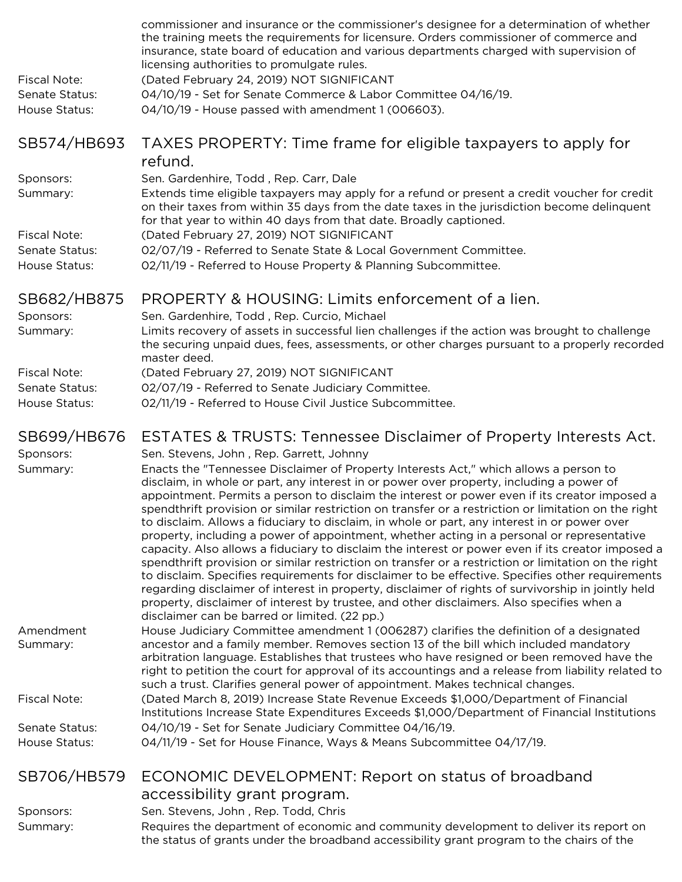| <b>Fiscal Note:</b><br>Senate Status:<br>House Status: | commissioner and insurance or the commissioner's designee for a determination of whether<br>the training meets the requirements for licensure. Orders commissioner of commerce and<br>insurance, state board of education and various departments charged with supervision of<br>licensing authorities to promulgate rules.<br>(Dated February 24, 2019) NOT SIGNIFICANT<br>04/10/19 - Set for Senate Commerce & Labor Committee 04/16/19.<br>04/10/19 - House passed with amendment 1 (006603).                                                                                                                                                                                                                                                                                                                                                                                                                                                                                                                                                                                                                                                              |
|--------------------------------------------------------|---------------------------------------------------------------------------------------------------------------------------------------------------------------------------------------------------------------------------------------------------------------------------------------------------------------------------------------------------------------------------------------------------------------------------------------------------------------------------------------------------------------------------------------------------------------------------------------------------------------------------------------------------------------------------------------------------------------------------------------------------------------------------------------------------------------------------------------------------------------------------------------------------------------------------------------------------------------------------------------------------------------------------------------------------------------------------------------------------------------------------------------------------------------|
| SB574/HB693                                            | TAXES PROPERTY: Time frame for eligible taxpayers to apply for<br>refund.                                                                                                                                                                                                                                                                                                                                                                                                                                                                                                                                                                                                                                                                                                                                                                                                                                                                                                                                                                                                                                                                                     |
| Sponsors:<br>Summary:                                  | Sen. Gardenhire, Todd, Rep. Carr, Dale<br>Extends time eligible taxpayers may apply for a refund or present a credit voucher for credit<br>on their taxes from within 35 days from the date taxes in the jurisdiction become delinquent<br>for that year to within 40 days from that date. Broadly captioned.                                                                                                                                                                                                                                                                                                                                                                                                                                                                                                                                                                                                                                                                                                                                                                                                                                                 |
| Fiscal Note:<br>Senate Status:<br>House Status:        | (Dated February 27, 2019) NOT SIGNIFICANT<br>02/07/19 - Referred to Senate State & Local Government Committee.<br>02/11/19 - Referred to House Property & Planning Subcommittee.                                                                                                                                                                                                                                                                                                                                                                                                                                                                                                                                                                                                                                                                                                                                                                                                                                                                                                                                                                              |
| SB682/HB875                                            | PROPERTY & HOUSING: Limits enforcement of a lien.                                                                                                                                                                                                                                                                                                                                                                                                                                                                                                                                                                                                                                                                                                                                                                                                                                                                                                                                                                                                                                                                                                             |
| Sponsors:<br>Summary:                                  | Sen. Gardenhire, Todd, Rep. Curcio, Michael<br>Limits recovery of assets in successful lien challenges if the action was brought to challenge                                                                                                                                                                                                                                                                                                                                                                                                                                                                                                                                                                                                                                                                                                                                                                                                                                                                                                                                                                                                                 |
|                                                        | the securing unpaid dues, fees, assessments, or other charges pursuant to a properly recorded<br>master deed.                                                                                                                                                                                                                                                                                                                                                                                                                                                                                                                                                                                                                                                                                                                                                                                                                                                                                                                                                                                                                                                 |
| <b>Fiscal Note:</b><br>Senate Status:                  | (Dated February 27, 2019) NOT SIGNIFICANT<br>02/07/19 - Referred to Senate Judiciary Committee.                                                                                                                                                                                                                                                                                                                                                                                                                                                                                                                                                                                                                                                                                                                                                                                                                                                                                                                                                                                                                                                               |
| House Status:                                          | 02/11/19 - Referred to House Civil Justice Subcommittee.                                                                                                                                                                                                                                                                                                                                                                                                                                                                                                                                                                                                                                                                                                                                                                                                                                                                                                                                                                                                                                                                                                      |
| SB699/HB676                                            | <b>ESTATES &amp; TRUSTS: Tennessee Disclaimer of Property Interests Act.</b>                                                                                                                                                                                                                                                                                                                                                                                                                                                                                                                                                                                                                                                                                                                                                                                                                                                                                                                                                                                                                                                                                  |
| Sponsors:<br>Summary:                                  | Sen. Stevens, John, Rep. Garrett, Johnny                                                                                                                                                                                                                                                                                                                                                                                                                                                                                                                                                                                                                                                                                                                                                                                                                                                                                                                                                                                                                                                                                                                      |
|                                                        | Enacts the "Tennessee Disclaimer of Property Interests Act," which allows a person to<br>disclaim, in whole or part, any interest in or power over property, including a power of<br>appointment. Permits a person to disclaim the interest or power even if its creator imposed a<br>spendthrift provision or similar restriction on transfer or a restriction or limitation on the right<br>to disclaim. Allows a fiduciary to disclaim, in whole or part, any interest in or power over<br>property, including a power of appointment, whether acting in a personal or representative<br>capacity. Also allows a fiduciary to disclaim the interest or power even if its creator imposed a<br>spendthrift provision or similar restriction on transfer or a restriction or limitation on the right<br>to disclaim. Specifies requirements for disclaimer to be effective. Specifies other requirements<br>regarding disclaimer of interest in property, disclaimer of rights of survivorship in jointly held<br>property, disclaimer of interest by trustee, and other disclaimers. Also specifies when a<br>disclaimer can be barred or limited. (22 pp.) |
| Amendment<br>Summary:                                  | House Judiciary Committee amendment 1 (006287) clarifies the definition of a designated<br>ancestor and a family member. Removes section 13 of the bill which included mandatory<br>arbitration language. Establishes that trustees who have resigned or been removed have the<br>right to petition the court for approval of its accountings and a release from liability related to<br>such a trust. Clarifies general power of appointment. Makes technical changes.                                                                                                                                                                                                                                                                                                                                                                                                                                                                                                                                                                                                                                                                                       |
| <b>Fiscal Note:</b>                                    | (Dated March 8, 2019) Increase State Revenue Exceeds \$1,000/Department of Financial                                                                                                                                                                                                                                                                                                                                                                                                                                                                                                                                                                                                                                                                                                                                                                                                                                                                                                                                                                                                                                                                          |
| Senate Status:<br>House Status:                        | Institutions Increase State Expenditures Exceeds \$1,000/Department of Financial Institutions<br>04/10/19 - Set for Senate Judiciary Committee 04/16/19.<br>04/11/19 - Set for House Finance, Ways & Means Subcommittee 04/17/19.                                                                                                                                                                                                                                                                                                                                                                                                                                                                                                                                                                                                                                                                                                                                                                                                                                                                                                                             |
| SB706/HB579                                            | ECONOMIC DEVELOPMENT: Report on status of broadband                                                                                                                                                                                                                                                                                                                                                                                                                                                                                                                                                                                                                                                                                                                                                                                                                                                                                                                                                                                                                                                                                                           |
| Sponsors:                                              | accessibility grant program.<br>Sen. Stevens, John, Rep. Todd, Chris                                                                                                                                                                                                                                                                                                                                                                                                                                                                                                                                                                                                                                                                                                                                                                                                                                                                                                                                                                                                                                                                                          |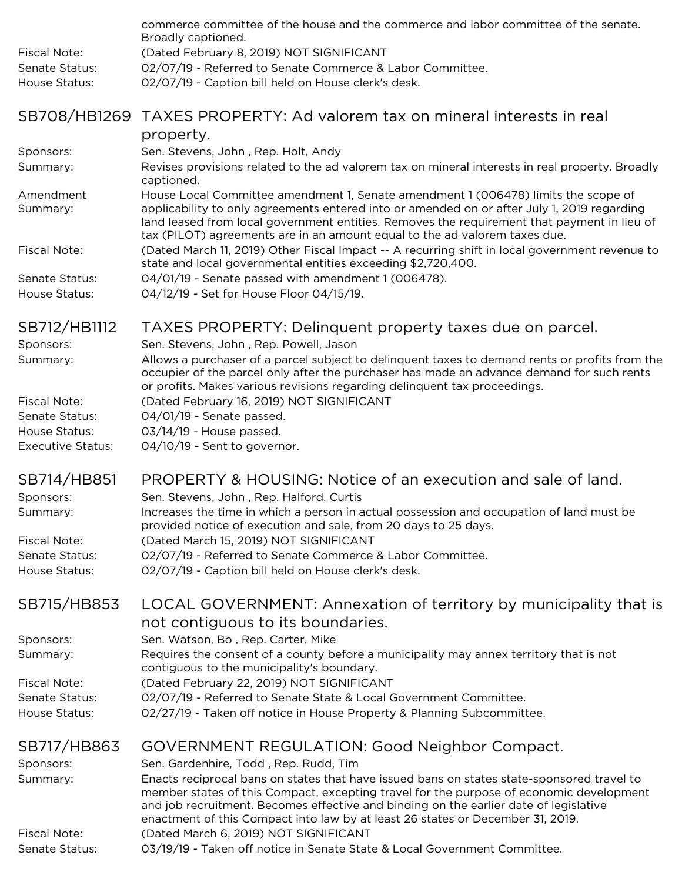|                                       | commerce committee of the house and the commerce and labor committee of the senate.                                                                                                                                                                                                                                                                            |
|---------------------------------------|----------------------------------------------------------------------------------------------------------------------------------------------------------------------------------------------------------------------------------------------------------------------------------------------------------------------------------------------------------------|
|                                       | Broadly captioned.                                                                                                                                                                                                                                                                                                                                             |
| <b>Fiscal Note:</b>                   | (Dated February 8, 2019) NOT SIGNIFICANT                                                                                                                                                                                                                                                                                                                       |
| Senate Status:                        | 02/07/19 - Referred to Senate Commerce & Labor Committee.                                                                                                                                                                                                                                                                                                      |
| House Status:                         | 02/07/19 - Caption bill held on House clerk's desk.                                                                                                                                                                                                                                                                                                            |
|                                       | SB708/HB1269 TAXES PROPERTY: Ad valorem tax on mineral interests in real                                                                                                                                                                                                                                                                                       |
|                                       | property.                                                                                                                                                                                                                                                                                                                                                      |
| Sponsors:                             | Sen. Stevens, John, Rep. Holt, Andy                                                                                                                                                                                                                                                                                                                            |
| Summary:                              | Revises provisions related to the ad valorem tax on mineral interests in real property. Broadly<br>captioned.                                                                                                                                                                                                                                                  |
| Amendment<br>Summary:                 | House Local Committee amendment 1, Senate amendment 1 (006478) limits the scope of<br>applicability to only agreements entered into or amended on or after July 1, 2019 regarding<br>land leased from local government entities. Removes the requirement that payment in lieu of<br>tax (PILOT) agreements are in an amount equal to the ad valorem taxes due. |
| <b>Fiscal Note:</b>                   | (Dated March 11, 2019) Other Fiscal Impact -- A recurring shift in local government revenue to<br>state and local governmental entities exceeding \$2,720,400.                                                                                                                                                                                                 |
| Senate Status:<br>House Status:       | 04/01/19 - Senate passed with amendment 1 (006478).<br>04/12/19 - Set for House Floor 04/15/19.                                                                                                                                                                                                                                                                |
| SB712/HB1112                          | TAXES PROPERTY: Delinquent property taxes due on parcel.                                                                                                                                                                                                                                                                                                       |
| Sponsors:                             | Sen. Stevens, John, Rep. Powell, Jason                                                                                                                                                                                                                                                                                                                         |
| Summary:                              | Allows a purchaser of a parcel subject to delinquent taxes to demand rents or profits from the<br>occupier of the parcel only after the purchaser has made an advance demand for such rents<br>or profits. Makes various revisions regarding delinquent tax proceedings.                                                                                       |
| <b>Fiscal Note:</b>                   | (Dated February 16, 2019) NOT SIGNIFICANT                                                                                                                                                                                                                                                                                                                      |
| Senate Status:                        | 04/01/19 - Senate passed.                                                                                                                                                                                                                                                                                                                                      |
| House Status:                         | 03/14/19 - House passed.                                                                                                                                                                                                                                                                                                                                       |
| <b>Executive Status:</b>              | 04/10/19 - Sent to governor.                                                                                                                                                                                                                                                                                                                                   |
| SB714/HB851                           | PROPERTY & HOUSING: Notice of an execution and sale of land.                                                                                                                                                                                                                                                                                                   |
| Sponsors:                             | Sen. Stevens, John, Rep. Halford, Curtis                                                                                                                                                                                                                                                                                                                       |
| Summary:                              | Increases the time in which a person in actual possession and occupation of land must be                                                                                                                                                                                                                                                                       |
|                                       | provided notice of execution and sale, from 20 days to 25 days.                                                                                                                                                                                                                                                                                                |
| <b>Fiscal Note:</b>                   | (Dated March 15, 2019) NOT SIGNIFICANT                                                                                                                                                                                                                                                                                                                         |
| Senate Status:                        | 02/07/19 - Referred to Senate Commerce & Labor Committee.                                                                                                                                                                                                                                                                                                      |
| House Status:                         | 02/07/19 - Caption bill held on House clerk's desk.                                                                                                                                                                                                                                                                                                            |
| SB715/HB853                           | LOCAL GOVERNMENT: Annexation of territory by municipality that is                                                                                                                                                                                                                                                                                              |
|                                       | not contiguous to its boundaries.                                                                                                                                                                                                                                                                                                                              |
| Sponsors:                             | Sen. Watson, Bo, Rep. Carter, Mike                                                                                                                                                                                                                                                                                                                             |
| Summary:                              | Requires the consent of a county before a municipality may annex territory that is not                                                                                                                                                                                                                                                                         |
| <b>Fiscal Note:</b>                   | contiguous to the municipality's boundary.<br>(Dated February 22, 2019) NOT SIGNIFICANT                                                                                                                                                                                                                                                                        |
| Senate Status:                        | 02/07/19 - Referred to Senate State & Local Government Committee.                                                                                                                                                                                                                                                                                              |
| House Status:                         | 02/27/19 - Taken off notice in House Property & Planning Subcommittee.                                                                                                                                                                                                                                                                                         |
| SB717/HB863                           |                                                                                                                                                                                                                                                                                                                                                                |
|                                       | GOVERNMENT REGULATION: Good Neighbor Compact.<br>Sen. Gardenhire, Todd, Rep. Rudd, Tim                                                                                                                                                                                                                                                                         |
| Sponsors:<br>Summary:                 | Enacts reciprocal bans on states that have issued bans on states state-sponsored travel to                                                                                                                                                                                                                                                                     |
|                                       | member states of this Compact, excepting travel for the purpose of economic development                                                                                                                                                                                                                                                                        |
|                                       | and job recruitment. Becomes effective and binding on the earlier date of legislative                                                                                                                                                                                                                                                                          |
|                                       | enactment of this Compact into law by at least 26 states or December 31, 2019.                                                                                                                                                                                                                                                                                 |
| <b>Fiscal Note:</b><br>Senate Status: | (Dated March 6, 2019) NOT SIGNIFICANT<br>03/19/19 - Taken off notice in Senate State & Local Government Committee.                                                                                                                                                                                                                                             |
|                                       |                                                                                                                                                                                                                                                                                                                                                                |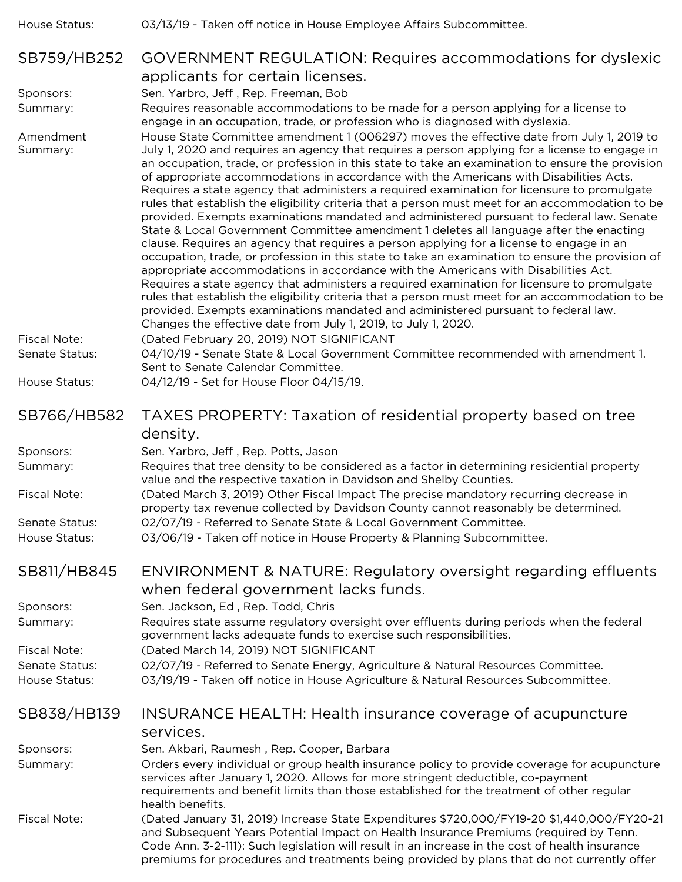| House Status:                   | 03/13/19 - Taken off notice in House Employee Affairs Subcommittee.                                                                                                                                                                                                                                                                                                                                                                                                                                                                                                                                                                                                                                                                                                                                                                                                                                                                                                                                                                                                                                                                                                                                                                                                                                                                                                                                                               |
|---------------------------------|-----------------------------------------------------------------------------------------------------------------------------------------------------------------------------------------------------------------------------------------------------------------------------------------------------------------------------------------------------------------------------------------------------------------------------------------------------------------------------------------------------------------------------------------------------------------------------------------------------------------------------------------------------------------------------------------------------------------------------------------------------------------------------------------------------------------------------------------------------------------------------------------------------------------------------------------------------------------------------------------------------------------------------------------------------------------------------------------------------------------------------------------------------------------------------------------------------------------------------------------------------------------------------------------------------------------------------------------------------------------------------------------------------------------------------------|
| SB759/HB252                     | GOVERNMENT REGULATION: Requires accommodations for dyslexic<br>applicants for certain licenses.                                                                                                                                                                                                                                                                                                                                                                                                                                                                                                                                                                                                                                                                                                                                                                                                                                                                                                                                                                                                                                                                                                                                                                                                                                                                                                                                   |
| Sponsors:                       | Sen. Yarbro, Jeff, Rep. Freeman, Bob                                                                                                                                                                                                                                                                                                                                                                                                                                                                                                                                                                                                                                                                                                                                                                                                                                                                                                                                                                                                                                                                                                                                                                                                                                                                                                                                                                                              |
| Summary:                        | Requires reasonable accommodations to be made for a person applying for a license to<br>engage in an occupation, trade, or profession who is diagnosed with dyslexia.                                                                                                                                                                                                                                                                                                                                                                                                                                                                                                                                                                                                                                                                                                                                                                                                                                                                                                                                                                                                                                                                                                                                                                                                                                                             |
| Amendment<br>Summary:           | House State Committee amendment 1 (006297) moves the effective date from July 1, 2019 to<br>July 1, 2020 and requires an agency that requires a person applying for a license to engage in<br>an occupation, trade, or profession in this state to take an examination to ensure the provision<br>of appropriate accommodations in accordance with the Americans with Disabilities Acts.<br>Requires a state agency that administers a required examination for licensure to promulgate<br>rules that establish the eligibility criteria that a person must meet for an accommodation to be<br>provided. Exempts examinations mandated and administered pursuant to federal law. Senate<br>State & Local Government Committee amendment 1 deletes all language after the enacting<br>clause. Requires an agency that requires a person applying for a license to engage in an<br>occupation, trade, or profession in this state to take an examination to ensure the provision of<br>appropriate accommodations in accordance with the Americans with Disabilities Act.<br>Requires a state agency that administers a required examination for licensure to promulgate<br>rules that establish the eligibility criteria that a person must meet for an accommodation to be<br>provided. Exempts examinations mandated and administered pursuant to federal law.<br>Changes the effective date from July 1, 2019, to July 1, 2020. |
| <b>Fiscal Note:</b>             | (Dated February 20, 2019) NOT SIGNIFICANT                                                                                                                                                                                                                                                                                                                                                                                                                                                                                                                                                                                                                                                                                                                                                                                                                                                                                                                                                                                                                                                                                                                                                                                                                                                                                                                                                                                         |
| Senate Status:                  | 04/10/19 - Senate State & Local Government Committee recommended with amendment 1.<br>Sent to Senate Calendar Committee.                                                                                                                                                                                                                                                                                                                                                                                                                                                                                                                                                                                                                                                                                                                                                                                                                                                                                                                                                                                                                                                                                                                                                                                                                                                                                                          |
| House Status:                   | 04/12/19 - Set for House Floor 04/15/19.                                                                                                                                                                                                                                                                                                                                                                                                                                                                                                                                                                                                                                                                                                                                                                                                                                                                                                                                                                                                                                                                                                                                                                                                                                                                                                                                                                                          |
| SB766/HB582                     | TAXES PROPERTY: Taxation of residential property based on tree<br>density.                                                                                                                                                                                                                                                                                                                                                                                                                                                                                                                                                                                                                                                                                                                                                                                                                                                                                                                                                                                                                                                                                                                                                                                                                                                                                                                                                        |
| Sponsors:                       | Sen. Yarbro, Jeff, Rep. Potts, Jason                                                                                                                                                                                                                                                                                                                                                                                                                                                                                                                                                                                                                                                                                                                                                                                                                                                                                                                                                                                                                                                                                                                                                                                                                                                                                                                                                                                              |
| Summary:                        | Requires that tree density to be considered as a factor in determining residential property<br>value and the respective taxation in Davidson and Shelby Counties.                                                                                                                                                                                                                                                                                                                                                                                                                                                                                                                                                                                                                                                                                                                                                                                                                                                                                                                                                                                                                                                                                                                                                                                                                                                                 |
| <b>Fiscal Note:</b>             | (Dated March 3, 2019) Other Fiscal Impact The precise mandatory recurring decrease in<br>property tax revenue collected by Davidson County cannot reasonably be determined.                                                                                                                                                                                                                                                                                                                                                                                                                                                                                                                                                                                                                                                                                                                                                                                                                                                                                                                                                                                                                                                                                                                                                                                                                                                       |
| Senate Status:<br>House Status: | 02/07/19 - Referred to Senate State & Local Government Committee.<br>03/06/19 - Taken off notice in House Property & Planning Subcommittee.                                                                                                                                                                                                                                                                                                                                                                                                                                                                                                                                                                                                                                                                                                                                                                                                                                                                                                                                                                                                                                                                                                                                                                                                                                                                                       |
|                                 |                                                                                                                                                                                                                                                                                                                                                                                                                                                                                                                                                                                                                                                                                                                                                                                                                                                                                                                                                                                                                                                                                                                                                                                                                                                                                                                                                                                                                                   |
| SB811/HB845                     | ENVIRONMENT & NATURE: Regulatory oversight regarding effluents<br>when federal government lacks funds.                                                                                                                                                                                                                                                                                                                                                                                                                                                                                                                                                                                                                                                                                                                                                                                                                                                                                                                                                                                                                                                                                                                                                                                                                                                                                                                            |
| Sponsors:                       | Sen. Jackson, Ed, Rep. Todd, Chris                                                                                                                                                                                                                                                                                                                                                                                                                                                                                                                                                                                                                                                                                                                                                                                                                                                                                                                                                                                                                                                                                                                                                                                                                                                                                                                                                                                                |
| Summary:                        | Requires state assume regulatory oversight over effluents during periods when the federal<br>government lacks adequate funds to exercise such responsibilities.                                                                                                                                                                                                                                                                                                                                                                                                                                                                                                                                                                                                                                                                                                                                                                                                                                                                                                                                                                                                                                                                                                                                                                                                                                                                   |
| <b>Fiscal Note:</b>             | (Dated March 14, 2019) NOT SIGNIFICANT                                                                                                                                                                                                                                                                                                                                                                                                                                                                                                                                                                                                                                                                                                                                                                                                                                                                                                                                                                                                                                                                                                                                                                                                                                                                                                                                                                                            |
| Senate Status:<br>House Status: | 02/07/19 - Referred to Senate Energy, Agriculture & Natural Resources Committee.<br>03/19/19 - Taken off notice in House Agriculture & Natural Resources Subcommittee.                                                                                                                                                                                                                                                                                                                                                                                                                                                                                                                                                                                                                                                                                                                                                                                                                                                                                                                                                                                                                                                                                                                                                                                                                                                            |
| SB838/HB139                     | INSURANCE HEALTH: Health insurance coverage of acupuncture<br>services.                                                                                                                                                                                                                                                                                                                                                                                                                                                                                                                                                                                                                                                                                                                                                                                                                                                                                                                                                                                                                                                                                                                                                                                                                                                                                                                                                           |
| Sponsors:                       | Sen. Akbari, Raumesh, Rep. Cooper, Barbara                                                                                                                                                                                                                                                                                                                                                                                                                                                                                                                                                                                                                                                                                                                                                                                                                                                                                                                                                                                                                                                                                                                                                                                                                                                                                                                                                                                        |
| Summary:                        | Orders every individual or group health insurance policy to provide coverage for acupuncture<br>services after January 1, 2020. Allows for more stringent deductible, co-payment<br>requirements and benefit limits than those established for the treatment of other regular<br>health benefits.                                                                                                                                                                                                                                                                                                                                                                                                                                                                                                                                                                                                                                                                                                                                                                                                                                                                                                                                                                                                                                                                                                                                 |
| <b>Fiscal Note:</b>             | (Dated January 31, 2019) Increase State Expenditures \$720,000/FY19-20 \$1,440,000/FY20-21<br>and Subsequent Years Potential Impact on Health Insurance Premiums (required by Tenn.<br>Code Ann. 3-2-111): Such legislation will result in an increase in the cost of health insurance<br>premiums for procedures and treatments being provided by plans that do not currently offer                                                                                                                                                                                                                                                                                                                                                                                                                                                                                                                                                                                                                                                                                                                                                                                                                                                                                                                                                                                                                                              |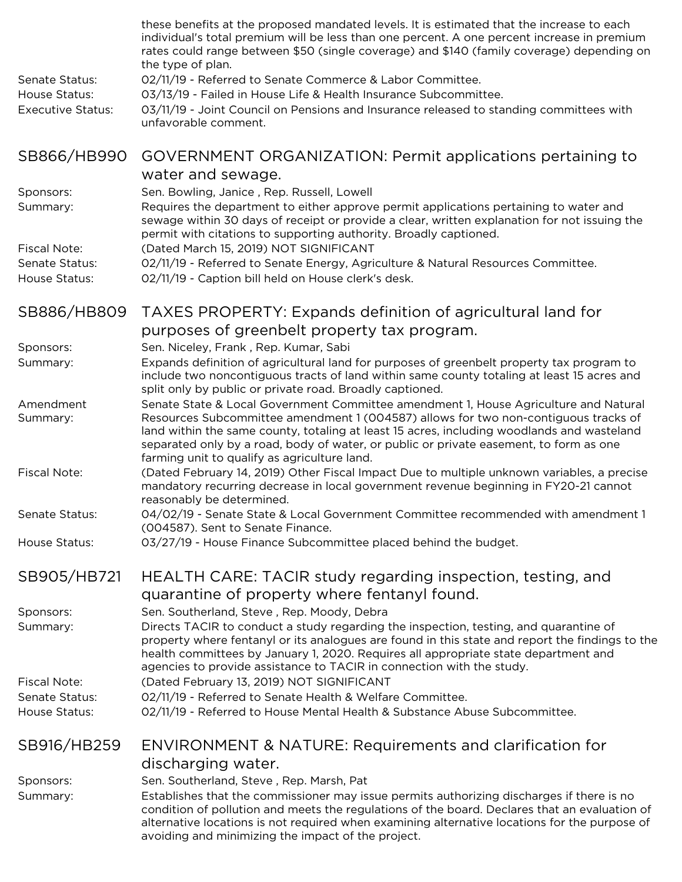| Senate Status:<br>House Status:<br><b>Executive Status:</b> | these benefits at the proposed mandated levels. It is estimated that the increase to each<br>individual's total premium will be less than one percent. A one percent increase in premium<br>rates could range between \$50 (single coverage) and \$140 (family coverage) depending on<br>the type of plan.<br>02/11/19 - Referred to Senate Commerce & Labor Committee.<br>03/13/19 - Failed in House Life & Health Insurance Subcommittee.<br>03/11/19 - Joint Council on Pensions and Insurance released to standing committees with<br>unfavorable comment. |
|-------------------------------------------------------------|----------------------------------------------------------------------------------------------------------------------------------------------------------------------------------------------------------------------------------------------------------------------------------------------------------------------------------------------------------------------------------------------------------------------------------------------------------------------------------------------------------------------------------------------------------------|
| SB866/HB990                                                 | GOVERNMENT ORGANIZATION: Permit applications pertaining to                                                                                                                                                                                                                                                                                                                                                                                                                                                                                                     |
| Sponsors:<br>Summary:                                       | water and sewage.<br>Sen. Bowling, Janice, Rep. Russell, Lowell<br>Requires the department to either approve permit applications pertaining to water and<br>sewage within 30 days of receipt or provide a clear, written explanation for not issuing the<br>permit with citations to supporting authority. Broadly captioned.                                                                                                                                                                                                                                  |
| <b>Fiscal Note:</b><br>Senate Status:<br>House Status:      | (Dated March 15, 2019) NOT SIGNIFICANT<br>02/11/19 - Referred to Senate Energy, Agriculture & Natural Resources Committee.<br>02/11/19 - Caption bill held on House clerk's desk.                                                                                                                                                                                                                                                                                                                                                                              |
| SB886/HB809                                                 | TAXES PROPERTY: Expands definition of agricultural land for                                                                                                                                                                                                                                                                                                                                                                                                                                                                                                    |
|                                                             | purposes of greenbelt property tax program.                                                                                                                                                                                                                                                                                                                                                                                                                                                                                                                    |
| Sponsors:<br>Summary:                                       | Sen. Niceley, Frank, Rep. Kumar, Sabi<br>Expands definition of agricultural land for purposes of greenbelt property tax program to<br>include two noncontiguous tracts of land within same county totaling at least 15 acres and<br>split only by public or private road. Broadly captioned.                                                                                                                                                                                                                                                                   |
| Amendment<br>Summary:                                       | Senate State & Local Government Committee amendment 1, House Agriculture and Natural<br>Resources Subcommittee amendment 1 (004587) allows for two non-contiguous tracks of<br>land within the same county, totaling at least 15 acres, including woodlands and wasteland<br>separated only by a road, body of water, or public or private easement, to form as one<br>farming unit to qualify as agriculture land.                                                                                                                                            |
| <b>Fiscal Note:</b>                                         | (Dated February 14, 2019) Other Fiscal Impact Due to multiple unknown variables, a precise<br>mandatory recurring decrease in local government revenue beginning in FY20-21 cannot<br>reasonably be determined.                                                                                                                                                                                                                                                                                                                                                |
| Senate Status:                                              | 04/02/19 - Senate State & Local Government Committee recommended with amendment 1<br>(004587). Sent to Senate Finance.                                                                                                                                                                                                                                                                                                                                                                                                                                         |
| House Status:                                               | 03/27/19 - House Finance Subcommittee placed behind the budget.                                                                                                                                                                                                                                                                                                                                                                                                                                                                                                |
| SB905/HB721                                                 | HEALTH CARE: TACIR study regarding inspection, testing, and<br>quarantine of property where fentanyl found.                                                                                                                                                                                                                                                                                                                                                                                                                                                    |
| Sponsors:<br>Summary:                                       | Sen. Southerland, Steve, Rep. Moody, Debra<br>Directs TACIR to conduct a study regarding the inspection, testing, and quarantine of<br>property where fentanyl or its analogues are found in this state and report the findings to the<br>health committees by January 1, 2020. Requires all appropriate state department and<br>agencies to provide assistance to TACIR in connection with the study.                                                                                                                                                         |
| <b>Fiscal Note:</b>                                         | (Dated February 13, 2019) NOT SIGNIFICANT                                                                                                                                                                                                                                                                                                                                                                                                                                                                                                                      |
| Senate Status:<br>House Status:                             | 02/11/19 - Referred to Senate Health & Welfare Committee.<br>02/11/19 - Referred to House Mental Health & Substance Abuse Subcommittee.                                                                                                                                                                                                                                                                                                                                                                                                                        |
| SB916/HB259                                                 | ENVIRONMENT & NATURE: Requirements and clarification for<br>discharging water.                                                                                                                                                                                                                                                                                                                                                                                                                                                                                 |
| Sponsors:                                                   | Sen. Southerland, Steve, Rep. Marsh, Pat                                                                                                                                                                                                                                                                                                                                                                                                                                                                                                                       |
| Summary:                                                    | Establishes that the commissioner may issue permits authorizing discharges if there is no<br>condition of pollution and meets the regulations of the board. Declares that an evaluation of<br>alternative locations is not required when examining alternative locations for the purpose of<br>avoiding and minimizing the impact of the project.                                                                                                                                                                                                              |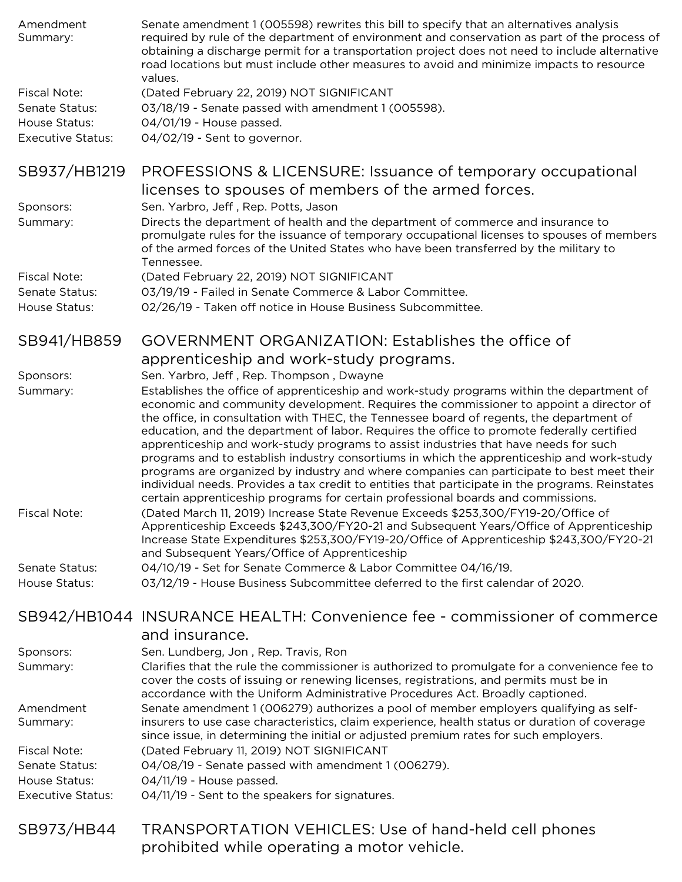| Amendment<br>Summary:    | Senate amendment 1 (005598) rewrites this bill to specify that an alternatives analysis<br>required by rule of the department of environment and conservation as part of the process of<br>obtaining a discharge permit for a transportation project does not need to include alternative<br>road locations but must include other measures to avoid and minimize impacts to resource<br>values.                                                                                                                                                                                                                                                                                                                                                           |
|--------------------------|------------------------------------------------------------------------------------------------------------------------------------------------------------------------------------------------------------------------------------------------------------------------------------------------------------------------------------------------------------------------------------------------------------------------------------------------------------------------------------------------------------------------------------------------------------------------------------------------------------------------------------------------------------------------------------------------------------------------------------------------------------|
| <b>Fiscal Note:</b>      | (Dated February 22, 2019) NOT SIGNIFICANT                                                                                                                                                                                                                                                                                                                                                                                                                                                                                                                                                                                                                                                                                                                  |
| Senate Status:           | 03/18/19 - Senate passed with amendment 1 (005598).                                                                                                                                                                                                                                                                                                                                                                                                                                                                                                                                                                                                                                                                                                        |
| House Status:            | 04/01/19 - House passed.                                                                                                                                                                                                                                                                                                                                                                                                                                                                                                                                                                                                                                                                                                                                   |
| <b>Executive Status:</b> | 04/02/19 - Sent to governor.                                                                                                                                                                                                                                                                                                                                                                                                                                                                                                                                                                                                                                                                                                                               |
| SB937/HB1219             | PROFESSIONS & LICENSURE: Issuance of temporary occupational<br>licenses to spouses of members of the armed forces.                                                                                                                                                                                                                                                                                                                                                                                                                                                                                                                                                                                                                                         |
| Sponsors:                | Sen. Yarbro, Jeff, Rep. Potts, Jason                                                                                                                                                                                                                                                                                                                                                                                                                                                                                                                                                                                                                                                                                                                       |
| Summary:                 | Directs the department of health and the department of commerce and insurance to<br>promulgate rules for the issuance of temporary occupational licenses to spouses of members<br>of the armed forces of the United States who have been transferred by the military to<br>Tennessee.                                                                                                                                                                                                                                                                                                                                                                                                                                                                      |
| <b>Fiscal Note:</b>      | (Dated February 22, 2019) NOT SIGNIFICANT                                                                                                                                                                                                                                                                                                                                                                                                                                                                                                                                                                                                                                                                                                                  |
| Senate Status:           | 03/19/19 - Failed in Senate Commerce & Labor Committee.                                                                                                                                                                                                                                                                                                                                                                                                                                                                                                                                                                                                                                                                                                    |
| House Status:            | 02/26/19 - Taken off notice in House Business Subcommittee.                                                                                                                                                                                                                                                                                                                                                                                                                                                                                                                                                                                                                                                                                                |
| SB941/HB859              | GOVERNMENT ORGANIZATION: Establishes the office of                                                                                                                                                                                                                                                                                                                                                                                                                                                                                                                                                                                                                                                                                                         |
|                          | apprenticeship and work-study programs.                                                                                                                                                                                                                                                                                                                                                                                                                                                                                                                                                                                                                                                                                                                    |
| Sponsors:                | Sen. Yarbro, Jeff, Rep. Thompson, Dwayne                                                                                                                                                                                                                                                                                                                                                                                                                                                                                                                                                                                                                                                                                                                   |
| Summary:                 | Establishes the office of apprenticeship and work-study programs within the department of                                                                                                                                                                                                                                                                                                                                                                                                                                                                                                                                                                                                                                                                  |
|                          | economic and community development. Requires the commissioner to appoint a director of<br>the office, in consultation with THEC, the Tennessee board of regents, the department of<br>education, and the department of labor. Requires the office to promote federally certified<br>apprenticeship and work-study programs to assist industries that have needs for such<br>programs and to establish industry consortiums in which the apprenticeship and work-study<br>programs are organized by industry and where companies can participate to best meet their<br>individual needs. Provides a tax credit to entities that participate in the programs. Reinstates<br>certain apprenticeship programs for certain professional boards and commissions. |
| <b>Fiscal Note:</b>      | (Dated March 11, 2019) Increase State Revenue Exceeds \$253,300/FY19-20/Office of<br>Apprenticeship Exceeds \$243,300/FY20-21 and Subsequent Years/Office of Apprenticeship<br>Increase State Expenditures \$253,300/FY19-20/Office of Apprenticeship \$243,300/FY20-21<br>and Subsequent Years/Office of Apprenticeship                                                                                                                                                                                                                                                                                                                                                                                                                                   |
| Senate Status:           | 04/10/19 - Set for Senate Commerce & Labor Committee 04/16/19.                                                                                                                                                                                                                                                                                                                                                                                                                                                                                                                                                                                                                                                                                             |
| House Status:            | 03/12/19 - House Business Subcommittee deferred to the first calendar of 2020.                                                                                                                                                                                                                                                                                                                                                                                                                                                                                                                                                                                                                                                                             |
|                          | SB942/HB1044 INSURANCE HEALTH: Convenience fee - commissioner of commerce<br>and insurance.                                                                                                                                                                                                                                                                                                                                                                                                                                                                                                                                                                                                                                                                |
| Sponsors:                | Sen. Lundberg, Jon, Rep. Travis, Ron                                                                                                                                                                                                                                                                                                                                                                                                                                                                                                                                                                                                                                                                                                                       |
| Summary:                 | Clarifies that the rule the commissioner is authorized to promulgate for a convenience fee to<br>cover the costs of issuing or renewing licenses, registrations, and permits must be in<br>accordance with the Uniform Administrative Procedures Act. Broadly captioned.                                                                                                                                                                                                                                                                                                                                                                                                                                                                                   |
| Amendment                | Senate amendment 1 (006279) authorizes a pool of member employers qualifying as self-                                                                                                                                                                                                                                                                                                                                                                                                                                                                                                                                                                                                                                                                      |
| Summary:                 | insurers to use case characteristics, claim experience, health status or duration of coverage<br>since issue, in determining the initial or adjusted premium rates for such employers.                                                                                                                                                                                                                                                                                                                                                                                                                                                                                                                                                                     |
| <b>Fiscal Note:</b>      | (Dated February 11, 2019) NOT SIGNIFICANT                                                                                                                                                                                                                                                                                                                                                                                                                                                                                                                                                                                                                                                                                                                  |
| Senate Status:           | 04/08/19 - Senate passed with amendment 1 (006279).                                                                                                                                                                                                                                                                                                                                                                                                                                                                                                                                                                                                                                                                                                        |
| House Status:            | 04/11/19 - House passed.                                                                                                                                                                                                                                                                                                                                                                                                                                                                                                                                                                                                                                                                                                                                   |
| <b>Executive Status:</b> | 04/11/19 - Sent to the speakers for signatures.                                                                                                                                                                                                                                                                                                                                                                                                                                                                                                                                                                                                                                                                                                            |
| SB973/HB44               | <b>TRANSPORTATION VEHICLES: Use of hand-held cell phones</b>                                                                                                                                                                                                                                                                                                                                                                                                                                                                                                                                                                                                                                                                                               |
|                          | prohibited while operating a motor vehicle.                                                                                                                                                                                                                                                                                                                                                                                                                                                                                                                                                                                                                                                                                                                |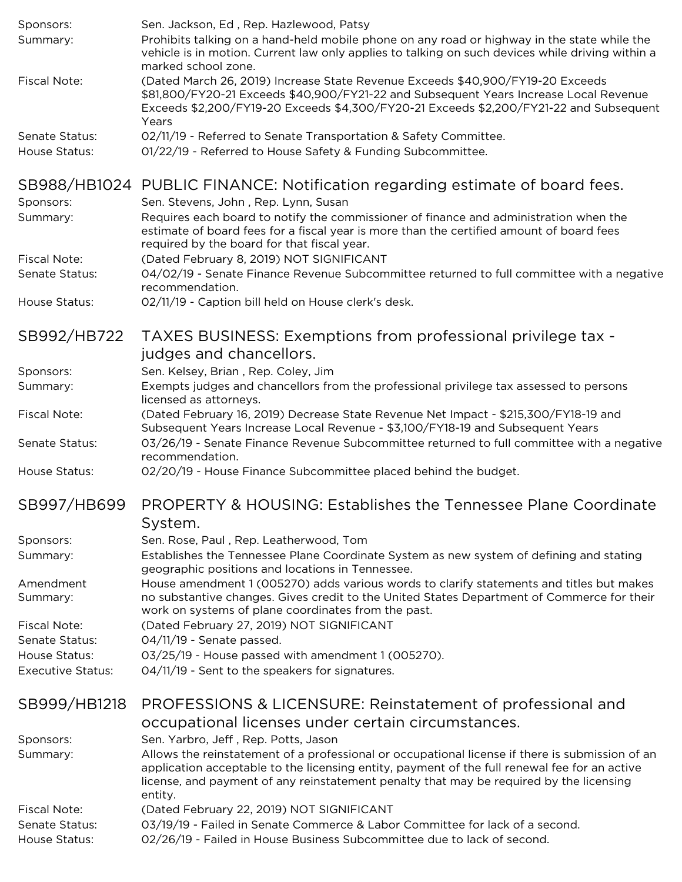| Sponsors:                | Sen. Jackson, Ed, Rep. Hazlewood, Patsy                                                                                                                                                                                                                                                                |
|--------------------------|--------------------------------------------------------------------------------------------------------------------------------------------------------------------------------------------------------------------------------------------------------------------------------------------------------|
| Summary:                 | Prohibits talking on a hand-held mobile phone on any road or highway in the state while the<br>vehicle is in motion. Current law only applies to talking on such devices while driving within a<br>marked school zone.                                                                                 |
| <b>Fiscal Note:</b>      | (Dated March 26, 2019) Increase State Revenue Exceeds \$40,900/FY19-20 Exceeds<br>\$81,800/FY20-21 Exceeds \$40,900/FY21-22 and Subsequent Years Increase Local Revenue<br>Exceeds \$2,200/FY19-20 Exceeds \$4,300/FY20-21 Exceeds \$2,200/FY21-22 and Subsequent                                      |
| Senate Status:           | Years<br>02/11/19 - Referred to Senate Transportation & Safety Committee.                                                                                                                                                                                                                              |
| House Status:            | 01/22/19 - Referred to House Safety & Funding Subcommittee.                                                                                                                                                                                                                                            |
|                          | SB988/HB1024 PUBLIC FINANCE: Notification regarding estimate of board fees.                                                                                                                                                                                                                            |
| Sponsors:                | Sen. Stevens, John, Rep. Lynn, Susan<br>Requires each board to notify the commissioner of finance and administration when the                                                                                                                                                                          |
| Summary:                 | estimate of board fees for a fiscal year is more than the certified amount of board fees<br>required by the board for that fiscal year.                                                                                                                                                                |
| <b>Fiscal Note:</b>      | (Dated February 8, 2019) NOT SIGNIFICANT                                                                                                                                                                                                                                                               |
| Senate Status:           | 04/02/19 - Senate Finance Revenue Subcommittee returned to full committee with a negative<br>recommendation.                                                                                                                                                                                           |
| House Status:            | 02/11/19 - Caption bill held on House clerk's desk.                                                                                                                                                                                                                                                    |
| SB992/HB722              | TAXES BUSINESS: Exemptions from professional privilege tax -                                                                                                                                                                                                                                           |
|                          | judges and chancellors.                                                                                                                                                                                                                                                                                |
| Sponsors:                | Sen. Kelsey, Brian, Rep. Coley, Jim                                                                                                                                                                                                                                                                    |
| Summary:                 | Exempts judges and chancellors from the professional privilege tax assessed to persons                                                                                                                                                                                                                 |
|                          | licensed as attorneys.                                                                                                                                                                                                                                                                                 |
| Fiscal Note:             | (Dated February 16, 2019) Decrease State Revenue Net Impact - \$215,300/FY18-19 and<br>Subsequent Years Increase Local Revenue - \$3,100/FY18-19 and Subsequent Years                                                                                                                                  |
| Senate Status:           | 03/26/19 - Senate Finance Revenue Subcommittee returned to full committee with a negative<br>recommendation.                                                                                                                                                                                           |
| House Status:            | 02/20/19 - House Finance Subcommittee placed behind the budget.                                                                                                                                                                                                                                        |
| SB997/HB699              | PROPERTY & HOUSING: Establishes the Tennessee Plane Coordinate                                                                                                                                                                                                                                         |
|                          | System.                                                                                                                                                                                                                                                                                                |
| Sponsors:                | Sen. Rose, Paul, Rep. Leatherwood, Tom                                                                                                                                                                                                                                                                 |
| Summary:                 | Establishes the Tennessee Plane Coordinate System as new system of defining and stating<br>geographic positions and locations in Tennessee.                                                                                                                                                            |
| Amendment                | House amendment 1 (005270) adds various words to clarify statements and titles but makes                                                                                                                                                                                                               |
| Summary:                 | no substantive changes. Gives credit to the United States Department of Commerce for their<br>work on systems of plane coordinates from the past.                                                                                                                                                      |
| Fiscal Note:             | (Dated February 27, 2019) NOT SIGNIFICANT                                                                                                                                                                                                                                                              |
| Senate Status:           | 04/11/19 - Senate passed.                                                                                                                                                                                                                                                                              |
| House Status:            | 03/25/19 - House passed with amendment 1 (005270).                                                                                                                                                                                                                                                     |
| <b>Executive Status:</b> | 04/11/19 - Sent to the speakers for signatures.                                                                                                                                                                                                                                                        |
| SB999/HB1218             | PROFESSIONS & LICENSURE: Reinstatement of professional and                                                                                                                                                                                                                                             |
|                          | occupational licenses under certain circumstances.                                                                                                                                                                                                                                                     |
| Sponsors:                | Sen. Yarbro, Jeff, Rep. Potts, Jason                                                                                                                                                                                                                                                                   |
| Summary:                 | Allows the reinstatement of a professional or occupational license if there is submission of an<br>application acceptable to the licensing entity, payment of the full renewal fee for an active<br>license, and payment of any reinstatement penalty that may be required by the licensing<br>entity. |
| <b>Fiscal Note:</b>      | (Dated February 22, 2019) NOT SIGNIFICANT                                                                                                                                                                                                                                                              |
| Senate Status:           | 03/19/19 - Failed in Senate Commerce & Labor Committee for lack of a second.                                                                                                                                                                                                                           |
| House Status:            | 02/26/19 - Failed in House Business Subcommittee due to lack of second.                                                                                                                                                                                                                                |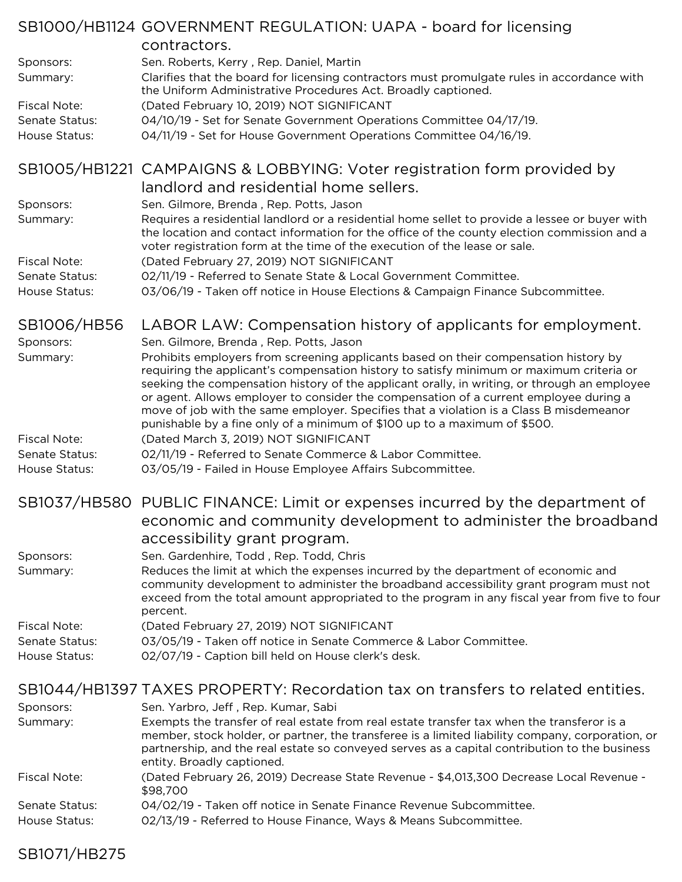|                                 | SB1000/HB1124 GOVERNMENT REGULATION: UAPA - board for licensing<br>contractors.                                                                                                                                                                                                                                                                                                                                                                                      |
|---------------------------------|----------------------------------------------------------------------------------------------------------------------------------------------------------------------------------------------------------------------------------------------------------------------------------------------------------------------------------------------------------------------------------------------------------------------------------------------------------------------|
| Sponsors:                       | Sen. Roberts, Kerry, Rep. Daniel, Martin<br>Clarifies that the board for licensing contractors must promulgate rules in accordance with                                                                                                                                                                                                                                                                                                                              |
| Summary:                        | the Uniform Administrative Procedures Act. Broadly captioned.                                                                                                                                                                                                                                                                                                                                                                                                        |
| <b>Fiscal Note:</b>             | (Dated February 10, 2019) NOT SIGNIFICANT                                                                                                                                                                                                                                                                                                                                                                                                                            |
| Senate Status:<br>House Status: | 04/10/19 - Set for Senate Government Operations Committee 04/17/19.<br>04/11/19 - Set for House Government Operations Committee 04/16/19.                                                                                                                                                                                                                                                                                                                            |
|                                 |                                                                                                                                                                                                                                                                                                                                                                                                                                                                      |
|                                 | SB1005/HB1221 CAMPAIGNS & LOBBYING: Voter registration form provided by<br>landlord and residential home sellers.                                                                                                                                                                                                                                                                                                                                                    |
| Sponsors:                       | Sen. Gilmore, Brenda, Rep. Potts, Jason                                                                                                                                                                                                                                                                                                                                                                                                                              |
| Summary:                        | Requires a residential landlord or a residential home sellet to provide a lessee or buyer with<br>the location and contact information for the office of the county election commission and a<br>voter registration form at the time of the execution of the lease or sale.                                                                                                                                                                                          |
| <b>Fiscal Note:</b>             | (Dated February 27, 2019) NOT SIGNIFICANT                                                                                                                                                                                                                                                                                                                                                                                                                            |
| Senate Status:<br>House Status: | 02/11/19 - Referred to Senate State & Local Government Committee.<br>03/06/19 - Taken off notice in House Elections & Campaign Finance Subcommittee.                                                                                                                                                                                                                                                                                                                 |
|                                 |                                                                                                                                                                                                                                                                                                                                                                                                                                                                      |
| SB1006/HB56                     | LABOR LAW: Compensation history of applicants for employment.                                                                                                                                                                                                                                                                                                                                                                                                        |
| Sponsors:                       | Sen. Gilmore, Brenda, Rep. Potts, Jason                                                                                                                                                                                                                                                                                                                                                                                                                              |
| Summary:                        | Prohibits employers from screening applicants based on their compensation history by<br>requiring the applicant's compensation history to satisfy minimum or maximum criteria or<br>seeking the compensation history of the applicant orally, in writing, or through an employee<br>or agent. Allows employer to consider the compensation of a current employee during a<br>move of job with the same employer. Specifies that a violation is a Class B misdemeanor |
| <b>Fiscal Note:</b>             | punishable by a fine only of a minimum of \$100 up to a maximum of \$500.<br>(Dated March 3, 2019) NOT SIGNIFICANT                                                                                                                                                                                                                                                                                                                                                   |
| Senate Status:                  | 02/11/19 - Referred to Senate Commerce & Labor Committee.                                                                                                                                                                                                                                                                                                                                                                                                            |
| House Status:                   | 03/05/19 - Failed in House Employee Affairs Subcommittee.                                                                                                                                                                                                                                                                                                                                                                                                            |
|                                 | SB1037/HB580 PUBLIC FINANCE: Limit or expenses incurred by the department of                                                                                                                                                                                                                                                                                                                                                                                         |
|                                 | economic and community development to administer the broadband                                                                                                                                                                                                                                                                                                                                                                                                       |
|                                 | accessibility grant program.                                                                                                                                                                                                                                                                                                                                                                                                                                         |
| Sponsors:                       | Sen. Gardenhire, Todd, Rep. Todd, Chris                                                                                                                                                                                                                                                                                                                                                                                                                              |
| Summary:                        | Reduces the limit at which the expenses incurred by the department of economic and<br>community development to administer the broadband accessibility grant program must not<br>exceed from the total amount appropriated to the program in any fiscal year from five to four<br>percent.                                                                                                                                                                            |
| Fiscal Note:                    | (Dated February 27, 2019) NOT SIGNIFICANT                                                                                                                                                                                                                                                                                                                                                                                                                            |
| Senate Status:<br>House Status: | 03/05/19 - Taken off notice in Senate Commerce & Labor Committee.<br>02/07/19 - Caption bill held on House clerk's desk.                                                                                                                                                                                                                                                                                                                                             |
|                                 |                                                                                                                                                                                                                                                                                                                                                                                                                                                                      |
|                                 | SB1044/HB1397 TAXES PROPERTY: Recordation tax on transfers to related entities.                                                                                                                                                                                                                                                                                                                                                                                      |
| Sponsors:                       | Sen. Yarbro, Jeff, Rep. Kumar, Sabi                                                                                                                                                                                                                                                                                                                                                                                                                                  |
| Summary:                        | Exempts the transfer of real estate from real estate transfer tax when the transferor is a<br>member, stock holder, or partner, the transferee is a limited liability company, corporation, or<br>partnership, and the real estate so conveyed serves as a capital contribution to the business<br>entity. Broadly captioned.                                                                                                                                        |
| <b>Fiscal Note:</b>             | (Dated February 26, 2019) Decrease State Revenue - \$4,013,300 Decrease Local Revenue -<br>\$98,700                                                                                                                                                                                                                                                                                                                                                                  |

- Senate Status: 04/02/19 Taken off notice in Senate Finance Revenue Subcommittee.
- House Status: 02/13/19 Referred to House Finance, Ways & Means Subcommittee.

## SB1071/HB275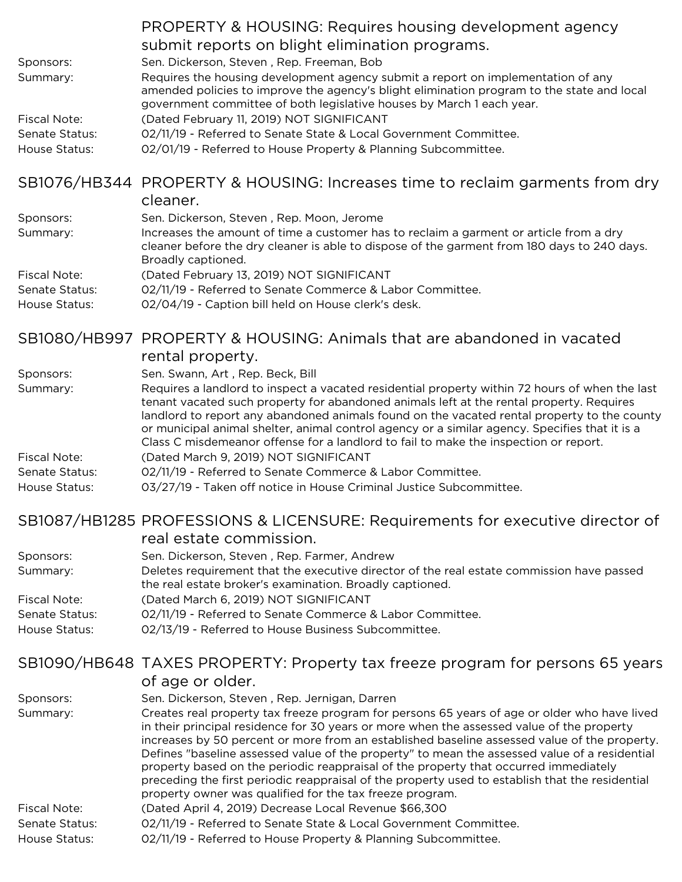|                       | PROPERTY & HOUSING: Requires housing development agency                                                                                                                                                                                                                                                                                                                           |
|-----------------------|-----------------------------------------------------------------------------------------------------------------------------------------------------------------------------------------------------------------------------------------------------------------------------------------------------------------------------------------------------------------------------------|
|                       | submit reports on blight elimination programs.                                                                                                                                                                                                                                                                                                                                    |
| Sponsors:             | Sen. Dickerson, Steven, Rep. Freeman, Bob                                                                                                                                                                                                                                                                                                                                         |
| Summary:              | Requires the housing development agency submit a report on implementation of any<br>amended policies to improve the agency's blight elimination program to the state and local<br>government committee of both legislative houses by March 1 each year.                                                                                                                           |
| <b>Fiscal Note:</b>   | (Dated February 11, 2019) NOT SIGNIFICANT                                                                                                                                                                                                                                                                                                                                         |
| Senate Status:        | 02/11/19 - Referred to Senate State & Local Government Committee.                                                                                                                                                                                                                                                                                                                 |
| House Status:         | 02/01/19 - Referred to House Property & Planning Subcommittee.                                                                                                                                                                                                                                                                                                                    |
|                       | SB1076/HB344 PROPERTY & HOUSING: Increases time to reclaim garments from dry<br>cleaner.                                                                                                                                                                                                                                                                                          |
| Sponsors:             | Sen. Dickerson, Steven, Rep. Moon, Jerome                                                                                                                                                                                                                                                                                                                                         |
| Summary:              | Increases the amount of time a customer has to reclaim a garment or article from a dry<br>cleaner before the dry cleaner is able to dispose of the garment from 180 days to 240 days.<br>Broadly captioned.                                                                                                                                                                       |
| <b>Fiscal Note:</b>   | (Dated February 13, 2019) NOT SIGNIFICANT                                                                                                                                                                                                                                                                                                                                         |
| Senate Status:        | 02/11/19 - Referred to Senate Commerce & Labor Committee.                                                                                                                                                                                                                                                                                                                         |
| House Status:         | 02/04/19 - Caption bill held on House clerk's desk.                                                                                                                                                                                                                                                                                                                               |
|                       | SB1080/HB997 PROPERTY & HOUSING: Animals that are abandoned in vacated<br>rental property.                                                                                                                                                                                                                                                                                        |
|                       | Sen. Swann, Art, Rep. Beck, Bill                                                                                                                                                                                                                                                                                                                                                  |
| Sponsors:<br>Summary: | Requires a landlord to inspect a vacated residential property within 72 hours of when the last                                                                                                                                                                                                                                                                                    |
|                       | tenant vacated such property for abandoned animals left at the rental property. Requires<br>landlord to report any abandoned animals found on the vacated rental property to the county<br>or municipal animal shelter, animal control agency or a similar agency. Specifies that it is a<br>Class C misdemeanor offense for a landlord to fail to make the inspection or report. |
| <b>Fiscal Note:</b>   | (Dated March 9, 2019) NOT SIGNIFICANT                                                                                                                                                                                                                                                                                                                                             |
| Senate Status:        | 02/11/19 - Referred to Senate Commerce & Labor Committee.                                                                                                                                                                                                                                                                                                                         |
| House Status:         | 03/27/19 - Taken off notice in House Criminal Justice Subcommittee.                                                                                                                                                                                                                                                                                                               |
|                       | $CD1007$ /UD190E DDOEFCCIONIC 0 UCENCUDE: Desurfacionado for avec quality alimentoria f                                                                                                                                                                                                                                                                                           |

# SB1087/HB1285 PROFESSIONS & LICENSURE: Requirements for executive director of real estate commission.

| Sponsors:             | Sen. Dickerson, Steven, Rep. Farmer, Andrew                                                                                                           |
|-----------------------|-------------------------------------------------------------------------------------------------------------------------------------------------------|
| Summary:              | Deletes requirement that the executive director of the real estate commission have passed<br>the real estate broker's examination. Broadly captioned. |
| Fiscal Note:          | (Dated March 6, 2019) NOT SIGNIFICANT                                                                                                                 |
| <b>Senate Status:</b> | 02/11/19 - Referred to Senate Commerce & Labor Committee.                                                                                             |
| House Status:         | 02/13/19 - Referred to House Business Subcommittee.                                                                                                   |

#### SB1090/HB648 TAXES PROPERTY: Property tax freeze program for persons 65 years of age or older.

|                | of age or older.                                                                                                                                                                                                                                                                                                                                                                                                                                                                                                                                                                                                                                  |
|----------------|---------------------------------------------------------------------------------------------------------------------------------------------------------------------------------------------------------------------------------------------------------------------------------------------------------------------------------------------------------------------------------------------------------------------------------------------------------------------------------------------------------------------------------------------------------------------------------------------------------------------------------------------------|
| Sponsors:      | Sen. Dickerson, Steven, Rep. Jernigan, Darren                                                                                                                                                                                                                                                                                                                                                                                                                                                                                                                                                                                                     |
| Summary:       | Creates real property tax freeze program for persons 65 years of age or older who have lived<br>in their principal residence for 30 years or more when the assessed value of the property<br>increases by 50 percent or more from an established baseline assessed value of the property.<br>Defines "baseline assessed value of the property" to mean the assessed value of a residential<br>property based on the periodic reappraisal of the property that occurred immediately<br>preceding the first periodic reappraisal of the property used to establish that the residential<br>property owner was qualified for the tax freeze program. |
| Fiscal Note:   | (Dated April 4, 2019) Decrease Local Revenue \$66,300                                                                                                                                                                                                                                                                                                                                                                                                                                                                                                                                                                                             |
| Senate Status: | 02/11/19 - Referred to Senate State & Local Government Committee.                                                                                                                                                                                                                                                                                                                                                                                                                                                                                                                                                                                 |
| House Status:  | 02/11/19 - Referred to House Property & Planning Subcommittee.                                                                                                                                                                                                                                                                                                                                                                                                                                                                                                                                                                                    |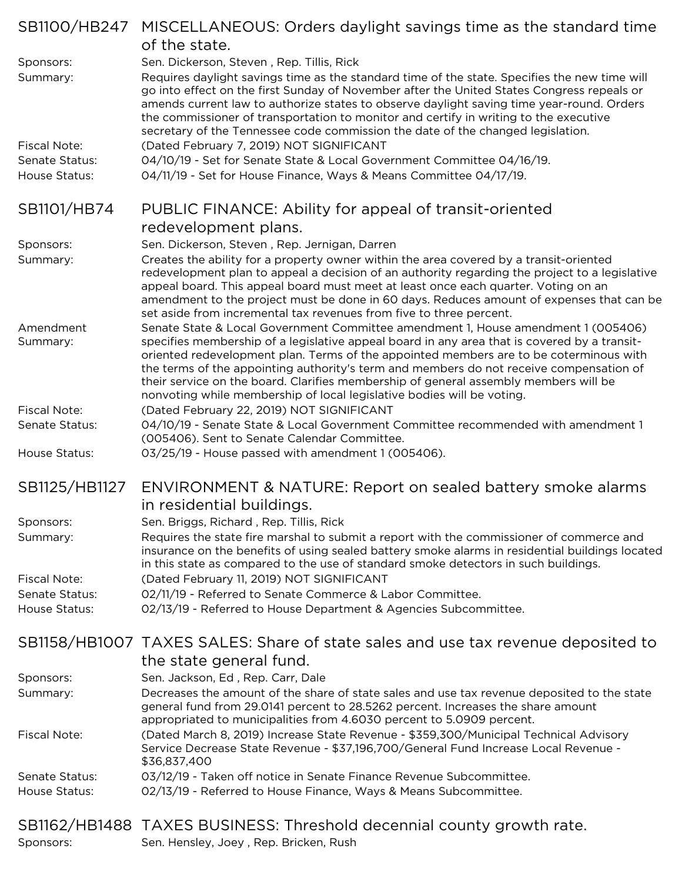|                       | SB1100/HB247 MISCELLANEOUS: Orders daylight savings time as the standard time<br>of the state.                                                                                                                                                                                                                                                                                                                                                                                                                                           |
|-----------------------|------------------------------------------------------------------------------------------------------------------------------------------------------------------------------------------------------------------------------------------------------------------------------------------------------------------------------------------------------------------------------------------------------------------------------------------------------------------------------------------------------------------------------------------|
| Sponsors:             | Sen. Dickerson, Steven, Rep. Tillis, Rick                                                                                                                                                                                                                                                                                                                                                                                                                                                                                                |
| Summary:              | Requires daylight savings time as the standard time of the state. Specifies the new time will<br>go into effect on the first Sunday of November after the United States Congress repeals or<br>amends current law to authorize states to observe daylight saving time year-round. Orders<br>the commissioner of transportation to monitor and certify in writing to the executive<br>secretary of the Tennessee code commission the date of the changed legislation.                                                                     |
| <b>Fiscal Note:</b>   | (Dated February 7, 2019) NOT SIGNIFICANT                                                                                                                                                                                                                                                                                                                                                                                                                                                                                                 |
| Senate Status:        | 04/10/19 - Set for Senate State & Local Government Committee 04/16/19.                                                                                                                                                                                                                                                                                                                                                                                                                                                                   |
| House Status:         | 04/11/19 - Set for House Finance, Ways & Means Committee 04/17/19.                                                                                                                                                                                                                                                                                                                                                                                                                                                                       |
| SB1101/HB74           | PUBLIC FINANCE: Ability for appeal of transit-oriented                                                                                                                                                                                                                                                                                                                                                                                                                                                                                   |
|                       | redevelopment plans.                                                                                                                                                                                                                                                                                                                                                                                                                                                                                                                     |
| Sponsors:             | Sen. Dickerson, Steven, Rep. Jernigan, Darren                                                                                                                                                                                                                                                                                                                                                                                                                                                                                            |
| Summary:              | Creates the ability for a property owner within the area covered by a transit-oriented<br>redevelopment plan to appeal a decision of an authority regarding the project to a legislative<br>appeal board. This appeal board must meet at least once each quarter. Voting on an<br>amendment to the project must be done in 60 days. Reduces amount of expenses that can be<br>set aside from incremental tax revenues from five to three percent.                                                                                        |
| Amendment<br>Summary: | Senate State & Local Government Committee amendment 1, House amendment 1 (005406)<br>specifies membership of a legislative appeal board in any area that is covered by a transit-<br>oriented redevelopment plan. Terms of the appointed members are to be coterminous with<br>the terms of the appointing authority's term and members do not receive compensation of<br>their service on the board. Clarifies membership of general assembly members will be<br>nonvoting while membership of local legislative bodies will be voting. |
| <b>Fiscal Note:</b>   | (Dated February 22, 2019) NOT SIGNIFICANT                                                                                                                                                                                                                                                                                                                                                                                                                                                                                                |
| Senate Status:        | 04/10/19 - Senate State & Local Government Committee recommended with amendment 1                                                                                                                                                                                                                                                                                                                                                                                                                                                        |
| House Status:         | (005406). Sent to Senate Calendar Committee.<br>03/25/19 - House passed with amendment 1 (005406).                                                                                                                                                                                                                                                                                                                                                                                                                                       |
| SB1125/HB1127         | ENVIRONMENT & NATURE: Report on sealed battery smoke alarms<br>in residential buildings.                                                                                                                                                                                                                                                                                                                                                                                                                                                 |
| Sponsors:             | Sen. Briggs, Richard, Rep. Tillis, Rick                                                                                                                                                                                                                                                                                                                                                                                                                                                                                                  |
| Summary:              | Requires the state fire marshal to submit a report with the commissioner of commerce and<br>insurance on the benefits of using sealed battery smoke alarms in residential buildings located<br>in this state as compared to the use of standard smoke detectors in such buildings.                                                                                                                                                                                                                                                       |
| <b>Fiscal Note:</b>   | (Dated February 11, 2019) NOT SIGNIFICANT                                                                                                                                                                                                                                                                                                                                                                                                                                                                                                |
| Senate Status:        | 02/11/19 - Referred to Senate Commerce & Labor Committee.                                                                                                                                                                                                                                                                                                                                                                                                                                                                                |
| House Status:         | 02/13/19 - Referred to House Department & Agencies Subcommittee.                                                                                                                                                                                                                                                                                                                                                                                                                                                                         |
|                       | SB1158/HB1007 TAXES SALES: Share of state sales and use tax revenue deposited to                                                                                                                                                                                                                                                                                                                                                                                                                                                         |
|                       | the state general fund.                                                                                                                                                                                                                                                                                                                                                                                                                                                                                                                  |
| Sponsors:             | Sen. Jackson, Ed, Rep. Carr, Dale                                                                                                                                                                                                                                                                                                                                                                                                                                                                                                        |
| Summary:              | Decreases the amount of the share of state sales and use tax revenue deposited to the state<br>general fund from 29.0141 percent to 28.5262 percent. Increases the share amount<br>appropriated to municipalities from 4.6030 percent to 5.0909 percent.                                                                                                                                                                                                                                                                                 |
| <b>Fiscal Note:</b>   | (Dated March 8, 2019) Increase State Revenue - \$359,300/Municipal Technical Advisory<br>Service Decrease State Revenue - \$37,196,700/General Fund Increase Local Revenue -<br>\$36,837,400                                                                                                                                                                                                                                                                                                                                             |
| Senate Status:        | 03/12/19 - Taken off notice in Senate Finance Revenue Subcommittee.                                                                                                                                                                                                                                                                                                                                                                                                                                                                      |
| House Status:         | 02/13/19 - Referred to House Finance, Ways & Means Subcommittee.                                                                                                                                                                                                                                                                                                                                                                                                                                                                         |
| Sponsors:             | SB1162/HB1488 TAXES BUSINESS: Threshold decennial county growth rate.<br>Sen. Hensley, Joey, Rep. Bricken, Rush                                                                                                                                                                                                                                                                                                                                                                                                                          |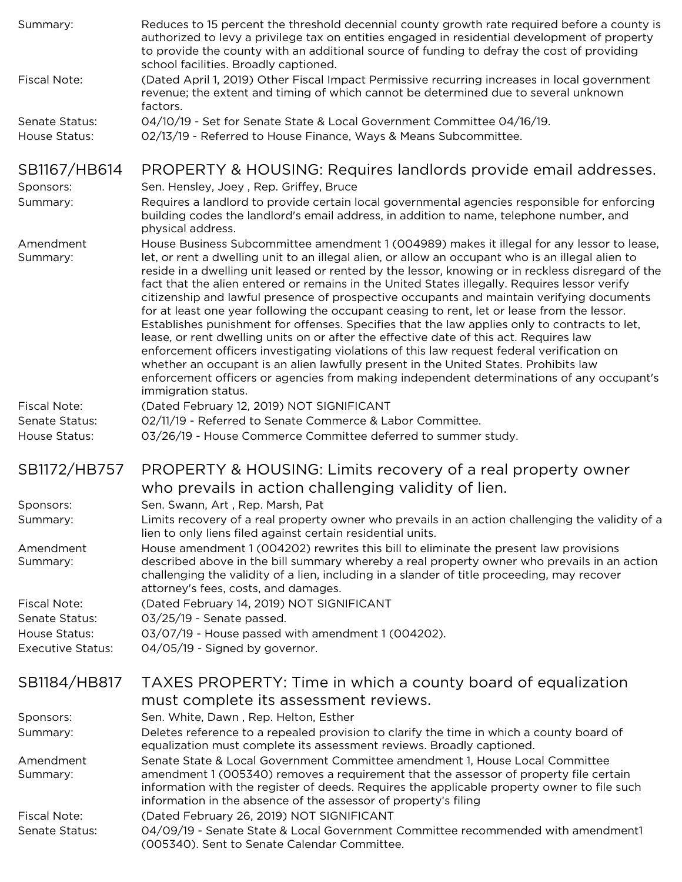| Summary:                 | Reduces to 15 percent the threshold decennial county growth rate required before a county is<br>authorized to levy a privilege tax on entities engaged in residential development of property<br>to provide the county with an additional source of funding to defray the cost of providing<br>school facilities. Broadly captioned.                                                                                                                                                                                                                                                                                                                                                                                                                                                                                                                                                                                                                                                                                                                                                                  |
|--------------------------|-------------------------------------------------------------------------------------------------------------------------------------------------------------------------------------------------------------------------------------------------------------------------------------------------------------------------------------------------------------------------------------------------------------------------------------------------------------------------------------------------------------------------------------------------------------------------------------------------------------------------------------------------------------------------------------------------------------------------------------------------------------------------------------------------------------------------------------------------------------------------------------------------------------------------------------------------------------------------------------------------------------------------------------------------------------------------------------------------------|
| <b>Fiscal Note:</b>      | (Dated April 1, 2019) Other Fiscal Impact Permissive recurring increases in local government<br>revenue; the extent and timing of which cannot be determined due to several unknown<br>factors.                                                                                                                                                                                                                                                                                                                                                                                                                                                                                                                                                                                                                                                                                                                                                                                                                                                                                                       |
| Senate Status:           | 04/10/19 - Set for Senate State & Local Government Committee 04/16/19.                                                                                                                                                                                                                                                                                                                                                                                                                                                                                                                                                                                                                                                                                                                                                                                                                                                                                                                                                                                                                                |
| House Status:            | 02/13/19 - Referred to House Finance, Ways & Means Subcommittee.                                                                                                                                                                                                                                                                                                                                                                                                                                                                                                                                                                                                                                                                                                                                                                                                                                                                                                                                                                                                                                      |
| SB1167/HB614             | PROPERTY & HOUSING: Requires landlords provide email addresses.                                                                                                                                                                                                                                                                                                                                                                                                                                                                                                                                                                                                                                                                                                                                                                                                                                                                                                                                                                                                                                       |
| Sponsors:<br>Summary:    | Sen. Hensley, Joey, Rep. Griffey, Bruce<br>Requires a landlord to provide certain local governmental agencies responsible for enforcing                                                                                                                                                                                                                                                                                                                                                                                                                                                                                                                                                                                                                                                                                                                                                                                                                                                                                                                                                               |
|                          | building codes the landlord's email address, in addition to name, telephone number, and<br>physical address.                                                                                                                                                                                                                                                                                                                                                                                                                                                                                                                                                                                                                                                                                                                                                                                                                                                                                                                                                                                          |
| Amendment<br>Summary:    | House Business Subcommittee amendment 1 (004989) makes it illegal for any lessor to lease,<br>let, or rent a dwelling unit to an illegal alien, or allow an occupant who is an illegal alien to<br>reside in a dwelling unit leased or rented by the lessor, knowing or in reckless disregard of the<br>fact that the alien entered or remains in the United States illegally. Requires lessor verify<br>citizenship and lawful presence of prospective occupants and maintain verifying documents<br>for at least one year following the occupant ceasing to rent, let or lease from the lessor.<br>Establishes punishment for offenses. Specifies that the law applies only to contracts to let,<br>lease, or rent dwelling units on or after the effective date of this act. Requires law<br>enforcement officers investigating violations of this law request federal verification on<br>whether an occupant is an alien lawfully present in the United States. Prohibits law<br>enforcement officers or agencies from making independent determinations of any occupant's<br>immigration status. |
| Fiscal Note:             | (Dated February 12, 2019) NOT SIGNIFICANT                                                                                                                                                                                                                                                                                                                                                                                                                                                                                                                                                                                                                                                                                                                                                                                                                                                                                                                                                                                                                                                             |
| Senate Status:           | 02/11/19 - Referred to Senate Commerce & Labor Committee.                                                                                                                                                                                                                                                                                                                                                                                                                                                                                                                                                                                                                                                                                                                                                                                                                                                                                                                                                                                                                                             |
| House Status:            | 03/26/19 - House Commerce Committee deferred to summer study.                                                                                                                                                                                                                                                                                                                                                                                                                                                                                                                                                                                                                                                                                                                                                                                                                                                                                                                                                                                                                                         |
| SB1172/HB757             | PROPERTY & HOUSING: Limits recovery of a real property owner                                                                                                                                                                                                                                                                                                                                                                                                                                                                                                                                                                                                                                                                                                                                                                                                                                                                                                                                                                                                                                          |
|                          | who prevails in action challenging validity of lien.                                                                                                                                                                                                                                                                                                                                                                                                                                                                                                                                                                                                                                                                                                                                                                                                                                                                                                                                                                                                                                                  |
| Sponsors:                | Sen. Swann, Art, Rep. Marsh, Pat                                                                                                                                                                                                                                                                                                                                                                                                                                                                                                                                                                                                                                                                                                                                                                                                                                                                                                                                                                                                                                                                      |
| Summary:                 | Limits recovery of a real property owner who prevails in an action challenging the validity of a<br>lien to only liens filed against certain residential units.                                                                                                                                                                                                                                                                                                                                                                                                                                                                                                                                                                                                                                                                                                                                                                                                                                                                                                                                       |
| Amendment<br>Summary:    | House amendment 1 (004202) rewrites this bill to eliminate the present law provisions<br>described above in the bill summary whereby a real property owner who prevails in an action<br>challenging the validity of a lien, including in a slander of title proceeding, may recover<br>attorney's fees, costs, and damages.                                                                                                                                                                                                                                                                                                                                                                                                                                                                                                                                                                                                                                                                                                                                                                           |
| <b>Fiscal Note:</b>      | (Dated February 14, 2019) NOT SIGNIFICANT                                                                                                                                                                                                                                                                                                                                                                                                                                                                                                                                                                                                                                                                                                                                                                                                                                                                                                                                                                                                                                                             |
| Senate Status:           | 03/25/19 - Senate passed.                                                                                                                                                                                                                                                                                                                                                                                                                                                                                                                                                                                                                                                                                                                                                                                                                                                                                                                                                                                                                                                                             |
| House Status:            | 03/07/19 - House passed with amendment 1 (004202).                                                                                                                                                                                                                                                                                                                                                                                                                                                                                                                                                                                                                                                                                                                                                                                                                                                                                                                                                                                                                                                    |
| <b>Executive Status:</b> | 04/05/19 - Signed by governor.                                                                                                                                                                                                                                                                                                                                                                                                                                                                                                                                                                                                                                                                                                                                                                                                                                                                                                                                                                                                                                                                        |
| SB1184/HB817             | TAXES PROPERTY: Time in which a county board of equalization                                                                                                                                                                                                                                                                                                                                                                                                                                                                                                                                                                                                                                                                                                                                                                                                                                                                                                                                                                                                                                          |
|                          | must complete its assessment reviews.                                                                                                                                                                                                                                                                                                                                                                                                                                                                                                                                                                                                                                                                                                                                                                                                                                                                                                                                                                                                                                                                 |
| Sponsors:                | Sen. White, Dawn, Rep. Helton, Esther                                                                                                                                                                                                                                                                                                                                                                                                                                                                                                                                                                                                                                                                                                                                                                                                                                                                                                                                                                                                                                                                 |
| Summary:                 | Deletes reference to a repealed provision to clarify the time in which a county board of<br>equalization must complete its assessment reviews. Broadly captioned.                                                                                                                                                                                                                                                                                                                                                                                                                                                                                                                                                                                                                                                                                                                                                                                                                                                                                                                                     |
| Amendment<br>Summary:    | Senate State & Local Government Committee amendment 1, House Local Committee<br>amendment 1 (005340) removes a requirement that the assessor of property file certain<br>information with the register of deeds. Requires the applicable property owner to file such<br>information in the absence of the assessor of property's filing                                                                                                                                                                                                                                                                                                                                                                                                                                                                                                                                                                                                                                                                                                                                                               |
| <b>Fiscal Note:</b>      | (Dated February 26, 2019) NOT SIGNIFICANT                                                                                                                                                                                                                                                                                                                                                                                                                                                                                                                                                                                                                                                                                                                                                                                                                                                                                                                                                                                                                                                             |
| Senate Status:           | 04/09/19 - Senate State & Local Government Committee recommended with amendment1<br>(005340). Sent to Senate Calendar Committee.                                                                                                                                                                                                                                                                                                                                                                                                                                                                                                                                                                                                                                                                                                                                                                                                                                                                                                                                                                      |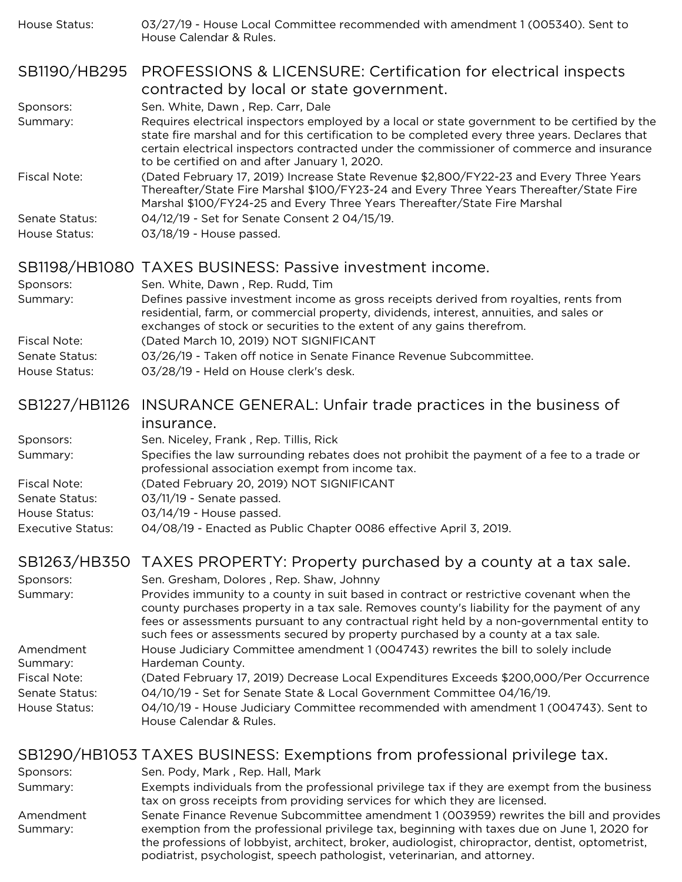| House Status:                   | 03/27/19 - House Local Committee recommended with amendment 1 (005340). Sent to<br>House Calendar & Rules.                                                                                                                                                                                                                                    |
|---------------------------------|-----------------------------------------------------------------------------------------------------------------------------------------------------------------------------------------------------------------------------------------------------------------------------------------------------------------------------------------------|
| SB1190/HB295                    | PROFESSIONS & LICENSURE: Certification for electrical inspects<br>contracted by local or state government.                                                                                                                                                                                                                                    |
| Sponsors:                       | Sen. White, Dawn, Rep. Carr, Dale                                                                                                                                                                                                                                                                                                             |
| Summary:                        | Requires electrical inspectors employed by a local or state government to be certified by the<br>state fire marshal and for this certification to be completed every three years. Declares that<br>certain electrical inspectors contracted under the commissioner of commerce and insurance<br>to be certified on and after January 1, 2020. |
| <b>Fiscal Note:</b>             | (Dated February 17, 2019) Increase State Revenue \$2,800/FY22-23 and Every Three Years<br>Thereafter/State Fire Marshal \$100/FY23-24 and Every Three Years Thereafter/State Fire<br>Marshal \$100/FY24-25 and Every Three Years Thereafter/State Fire Marshal                                                                                |
| Senate Status:                  | 04/12/19 - Set for Senate Consent 2 04/15/19.                                                                                                                                                                                                                                                                                                 |
| House Status:                   | 03/18/19 - House passed.                                                                                                                                                                                                                                                                                                                      |
|                                 | SB1198/HB1080 TAXES BUSINESS: Passive investment income.                                                                                                                                                                                                                                                                                      |
| Sponsors:                       | Sen. White, Dawn, Rep. Rudd, Tim                                                                                                                                                                                                                                                                                                              |
| Summary:                        | Defines passive investment income as gross receipts derived from royalties, rents from<br>residential, farm, or commercial property, dividends, interest, annuities, and sales or<br>exchanges of stock or securities to the extent of any gains therefrom.                                                                                   |
| <b>Fiscal Note:</b>             | (Dated March 10, 2019) NOT SIGNIFICANT                                                                                                                                                                                                                                                                                                        |
| Senate Status:                  | 03/26/19 - Taken off notice in Senate Finance Revenue Subcommittee.                                                                                                                                                                                                                                                                           |
| House Status:                   | 03/28/19 - Held on House clerk's desk.                                                                                                                                                                                                                                                                                                        |
| SB1227/HB1126                   | INSURANCE GENERAL: Unfair trade practices in the business of<br>insurance.                                                                                                                                                                                                                                                                    |
| Sponsors:                       | Sen. Niceley, Frank, Rep. Tillis, Rick                                                                                                                                                                                                                                                                                                        |
| Summary:                        | Specifies the law surrounding rebates does not prohibit the payment of a fee to a trade or<br>professional association exempt from income tax.                                                                                                                                                                                                |
| <b>Fiscal Note:</b>             | (Dated February 20, 2019) NOT SIGNIFICANT                                                                                                                                                                                                                                                                                                     |
| Senate Status:<br>House Status: | 03/11/19 - Senate passed.                                                                                                                                                                                                                                                                                                                     |
| <b>Executive Status:</b>        | 03/14/19 - House passed.<br>04/08/19 - Enacted as Public Chapter 0086 effective April 3, 2019.                                                                                                                                                                                                                                                |
|                                 |                                                                                                                                                                                                                                                                                                                                               |
| SB1263/HB350                    | TAXES PROPERTY: Property purchased by a county at a tax sale.                                                                                                                                                                                                                                                                                 |
| Sponsors:<br>Summary:           | Sen. Gresham, Dolores, Rep. Shaw, Johnny<br>Provides immunity to a county in suit based in contract or restrictive covenant when the                                                                                                                                                                                                          |
|                                 | county purchases property in a tax sale. Removes county's liability for the payment of any<br>fees or assessments pursuant to any contractual right held by a non-governmental entity to                                                                                                                                                      |
| Amendment                       | such fees or assessments secured by property purchased by a county at a tax sale.<br>House Judiciary Committee amendment 1 (004743) rewrites the bill to solely include                                                                                                                                                                       |
| Summary:                        | Hardeman County.                                                                                                                                                                                                                                                                                                                              |
| <b>Fiscal Note:</b>             | (Dated February 17, 2019) Decrease Local Expenditures Exceeds \$200,000/Per Occurrence                                                                                                                                                                                                                                                        |
| Senate Status:                  | 04/10/19 - Set for Senate State & Local Government Committee 04/16/19.                                                                                                                                                                                                                                                                        |
| House Status:                   | 04/10/19 - House Judiciary Committee recommended with amendment 1 (004743). Sent to<br>House Calendar & Rules.                                                                                                                                                                                                                                |
|                                 |                                                                                                                                                                                                                                                                                                                                               |
| Sponsors:                       | SB1290/HB1053 TAXES BUSINESS: Exemptions from professional privilege tax.                                                                                                                                                                                                                                                                     |
| Summary:                        | Sen. Pody, Mark, Rep. Hall, Mark<br>Exempts individuals from the professional privilege tax if they are exempt from the business                                                                                                                                                                                                              |
|                                 | tax on gross receipts from providing services for which they are licensed.                                                                                                                                                                                                                                                                    |
| Amendment                       | Senate Finance Revenue Subcommittee amendment 1 (003959) rewrites the bill and provides                                                                                                                                                                                                                                                       |
| Summary:                        | exemption from the professional privilege tax, beginning with taxes due on June 1, 2020 for<br>the professions of lobbyist, architect, broker, audiologist, chiropractor, dentist, optometrist,                                                                                                                                               |

podiatrist, psychologist, speech pathologist, veterinarian, and attorney.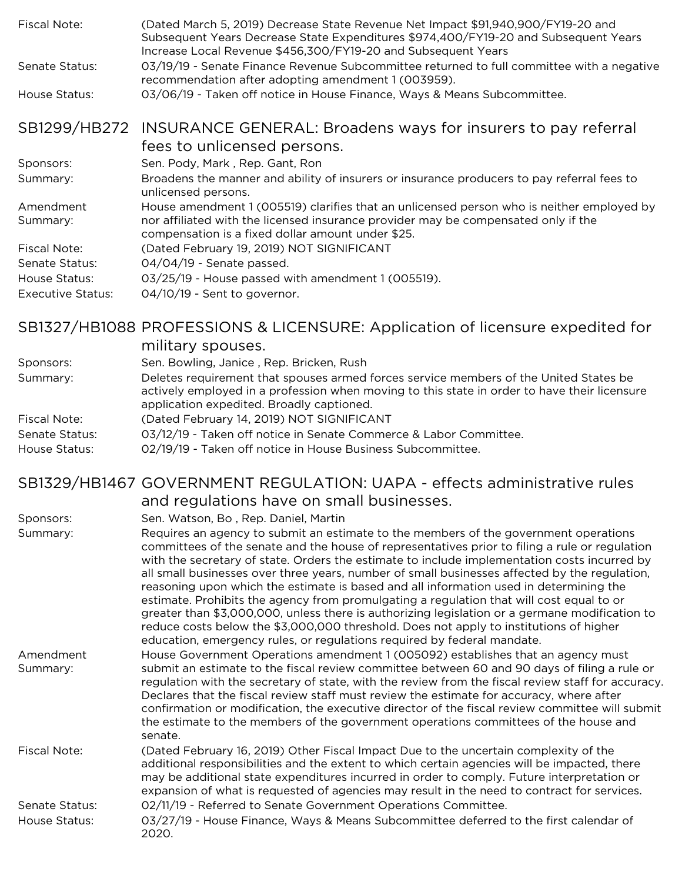| Fiscal Note:          | (Dated March 5, 2019) Decrease State Revenue Net Impact \$91,940,900/FY19-20 and<br>Subsequent Years Decrease State Expenditures \$974,400/FY19-20 and Subsequent Years<br>Increase Local Revenue \$456,300/FY19-20 and Subsequent Years |
|-----------------------|------------------------------------------------------------------------------------------------------------------------------------------------------------------------------------------------------------------------------------------|
| Senate Status:        | 03/19/19 - Senate Finance Revenue Subcommittee returned to full committee with a negative<br>recommendation after adopting amendment 1 (003959).                                                                                         |
| House Status:         | 03/06/19 - Taken off notice in House Finance, Ways & Means Subcommittee.                                                                                                                                                                 |
|                       | SB1299/HB272 INSURANCE GENERAL: Broadens ways for insurers to pay referral<br>fees to unlicensed persons.                                                                                                                                |
| Sponsors:             | Sen. Pody, Mark, Rep. Gant, Ron                                                                                                                                                                                                          |
| Summary:              | Broadens the manner and ability of insurers or insurance producers to pay referral fees to<br>unlicensed persons.                                                                                                                        |
| Amendment<br>Summary: | House amendment 1 (005519) clarifies that an unlicensed person who is neither employed by<br>nor affiliated with the licensed insurance provider may be compensated only if the<br>compensation is a fixed dollar amount under \$25.     |
| Fiscal Note:          | (Dated February 19, 2019) NOT SIGNIFICANT                                                                                                                                                                                                |
| Senate Status:        | 04/04/19 - Senate passed.                                                                                                                                                                                                                |
| House Status:         | 03/25/19 - House passed with amendment 1 (005519).                                                                                                                                                                                       |
| Executive Status:     | 04/10/19 - Sent to governor.                                                                                                                                                                                                             |

# SB1327/HB1088 PROFESSIONS & LICENSURE: Application of licensure expedited for

|                                 | military spouses.                                                                                                                                                                                                                  |
|---------------------------------|------------------------------------------------------------------------------------------------------------------------------------------------------------------------------------------------------------------------------------|
| Sponsors:                       | Sen. Bowling, Janice, Rep. Bricken, Rush                                                                                                                                                                                           |
| Summary:                        | Deletes requirement that spouses armed forces service members of the United States be<br>actively employed in a profession when moving to this state in order to have their licensure<br>application expedited. Broadly captioned. |
| Fiscal Note:                    | (Dated February 14, 2019) NOT SIGNIFICANT                                                                                                                                                                                          |
| Senate Status:<br>House Status: | 03/12/19 - Taken off notice in Senate Commerce & Labor Committee.<br>02/19/19 - Taken off notice in House Business Subcommittee.                                                                                                   |

#### SB1329/HB1467 GOVERNMENT REGULATION: UAPA - effects administrative rules and regulations have on small businesses.

Sponsors: Sen. Watson, Bo , Rep. Daniel, Martin

Summary: Requires an agency to submit an estimate to the members of the government operations committees of the senate and the house of representatives prior to filing a rule or regulation with the secretary of state. Orders the estimate to include implementation costs incurred by all small businesses over three years, number of small businesses affected by the regulation, reasoning upon which the estimate is based and all information used in determining the estimate. Prohibits the agency from promulgating a regulation that will cost equal to or greater than \$3,000,000, unless there is authorizing legislation or a germane modification to reduce costs below the \$3,000,000 threshold. Does not apply to institutions of higher education, emergency rules, or regulations required by federal mandate. Amendment Summary: House Government Operations amendment 1 (005092) establishes that an agency must submit an estimate to the fiscal review committee between 60 and 90 days of filing a rule or regulation with the secretary of state, with the review from the fiscal review staff for accuracy. Declares that the fiscal review staff must review the estimate for accuracy, where after confirmation or modification, the executive director of the fiscal review committee will submit the estimate to the members of the government operations committees of the house and senate. Fiscal Note: (Dated February 16, 2019) Other Fiscal Impact Due to the uncertain complexity of the

additional responsibilities and the extent to which certain agencies will be impacted, there may be additional state expenditures incurred in order to comply. Future interpretation or expansion of what is requested of agencies may result in the need to contract for services. Senate Status: 02/11/19 - Referred to Senate Government Operations Committee. House Status: 03/27/19 - House Finance, Ways & Means Subcommittee deferred to the first calendar of 2020.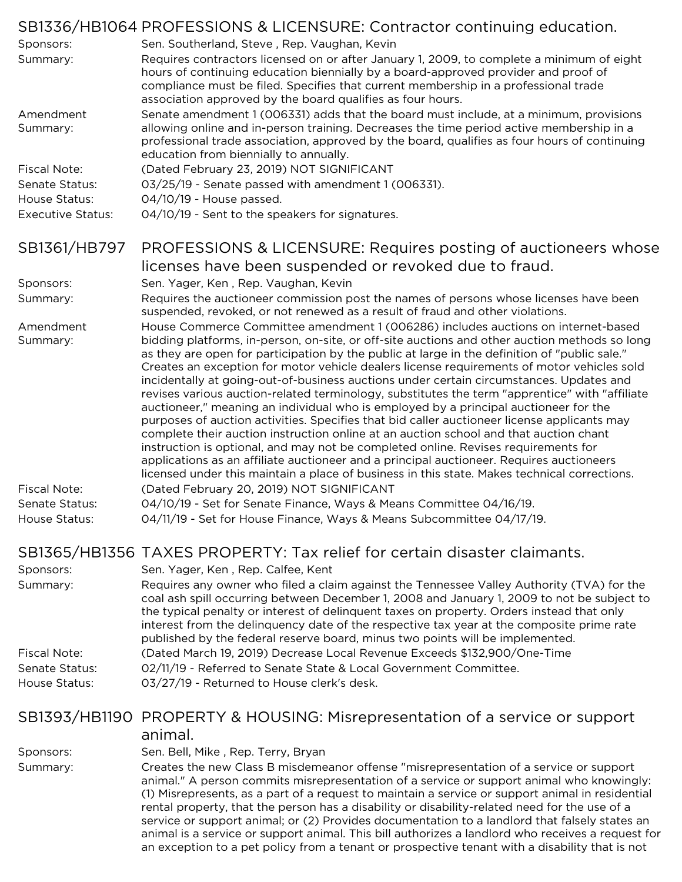|                          | SB1336/HB1064 PROFESSIONS & LICENSURE: Contractor continuing education.                                                                                                                                                                                                                                                              |
|--------------------------|--------------------------------------------------------------------------------------------------------------------------------------------------------------------------------------------------------------------------------------------------------------------------------------------------------------------------------------|
| Sponsors:                | Sen. Southerland, Steve, Rep. Vaughan, Kevin                                                                                                                                                                                                                                                                                         |
| Summary:                 | Requires contractors licensed on or after January 1, 2009, to complete a minimum of eight<br>hours of continuing education biennially by a board-approved provider and proof of<br>compliance must be filed. Specifies that current membership in a professional trade<br>association approved by the board qualifies as four hours. |
| Amendment                | Senate amendment 1 (006331) adds that the board must include, at a minimum, provisions                                                                                                                                                                                                                                               |
| Summary:                 | allowing online and in-person training. Decreases the time period active membership in a<br>professional trade association, approved by the board, qualifies as four hours of continuing<br>education from biennially to annually.                                                                                                   |
| <b>Fiscal Note:</b>      | (Dated February 23, 2019) NOT SIGNIFICANT                                                                                                                                                                                                                                                                                            |
| Senate Status:           | 03/25/19 - Senate passed with amendment 1 (006331).                                                                                                                                                                                                                                                                                  |
| House Status:            | 04/10/19 - House passed.                                                                                                                                                                                                                                                                                                             |
| <b>Executive Status:</b> | 04/10/19 - Sent to the speakers for signatures.                                                                                                                                                                                                                                                                                      |
| SB1361/HB797             | PROFESSIONS & LICENSURE: Requires posting of auctioneers whose                                                                                                                                                                                                                                                                       |
|                          | licenses have been suspended or revoked due to fraud.                                                                                                                                                                                                                                                                                |
| Sponsors:                | Sen. Yager, Ken, Rep. Vaughan, Kevin                                                                                                                                                                                                                                                                                                 |
| Summary:                 | Requires the auctioneer commission post the names of persons whose licenses have been<br>suspended, revoked, or not renewed as a result of fraud and other violations.                                                                                                                                                               |
| Amendment<br>Summary:    | House Commerce Committee amendment 1 (006286) includes auctions on internet-based<br>bidding platforms, in-person, on-site, or off-site auctions and other auction methods so long                                                                                                                                                   |
|                          | as they are open for participation by the public at large in the definition of "public sale."<br>Creates an exception for motor vehicle dealers license requirements of motor vehicles sold                                                                                                                                          |
|                          | incidentally at going-out-of-business auctions under certain circumstances. Updates and<br>revises various auction-related terminology, substitutes the term "apprentice" with "affiliate                                                                                                                                            |
|                          | auctioneer," meaning an individual who is employed by a principal auctioneer for the                                                                                                                                                                                                                                                 |
|                          | purposes of auction activities. Specifies that bid caller auctioneer license applicants may<br>complete their auction instruction online at an auction school and that auction chant                                                                                                                                                 |
|                          | instruction is optional, and may not be completed online. Revises requirements for                                                                                                                                                                                                                                                   |
|                          | applications as an affiliate auctioneer and a principal auctioneer. Requires auctioneers<br>licensed under this maintain a place of business in this state. Makes technical corrections.                                                                                                                                             |
| <b>Fiscal Note:</b>      | (Dated February 20, 2019) NOT SIGNIFICANT                                                                                                                                                                                                                                                                                            |
| Senate Status:           | 04/10/19 - Set for Senate Finance, Ways & Means Committee 04/16/19.                                                                                                                                                                                                                                                                  |
| House Status:            | 04/11/19 - Set for House Finance, Ways & Means Subcommittee 04/17/19.                                                                                                                                                                                                                                                                |
|                          | SB1365/HB1356 TAXES PROPERTY: Tax relief for certain disaster claimants.                                                                                                                                                                                                                                                             |
| Sponsors:                | Sen. Yager, Ken, Rep. Calfee, Kent                                                                                                                                                                                                                                                                                                   |
| Summary:                 | Requires any owner who filed a claim against the Tennessee Valley Authority (TVA) for the<br>coal ash spill occurring between December 1, 2008 and January 1, 2009 to not be subject to                                                                                                                                              |
|                          | the typical penalty or interest of delinquent taxes on property. Orders instead that only<br>interest from the delinquency date of the respective tax year at the composite prime rate<br>published by the federal reserve board, minus two points will be implemented.                                                              |
| <b>Fiscal Note:</b>      | (Dated March 19, 2019) Decrease Local Revenue Exceeds \$132,900/One-Time                                                                                                                                                                                                                                                             |
| Senate Status:           | 02/11/19 - Referred to Senate State & Local Government Committee.                                                                                                                                                                                                                                                                    |
| House Status:            | 03/27/19 - Returned to House clerk's desk.                                                                                                                                                                                                                                                                                           |
|                          | SB1393/HB1190 PROPERTY & HOUSING: Misrepresentation of a service or support                                                                                                                                                                                                                                                          |
|                          | animal.                                                                                                                                                                                                                                                                                                                              |
| Sponsors:                | Sen. Bell, Mike, Rep. Terry, Bryan                                                                                                                                                                                                                                                                                                   |
| Summary:                 | Creates the new Class B misdemeanor offense "misrepresentation of a service or support                                                                                                                                                                                                                                               |
|                          | animal." A person commits misrepresentation of a service or support animal who knowingly:                                                                                                                                                                                                                                            |
|                          | (1) Misrepresents, as a part of a request to maintain a service or support animal in residential                                                                                                                                                                                                                                     |
|                          | rental property, that the person has a disability or disability-related need for the use of a                                                                                                                                                                                                                                        |
|                          | service or support animal; or (2) Provides documentation to a landlord that falsely states an<br>animal is a service or support animal. This bill authorizes a landlord who receives a request for                                                                                                                                   |
|                          | an exception to a pet policy from a tenant or prospective tenant with a disability that is not                                                                                                                                                                                                                                       |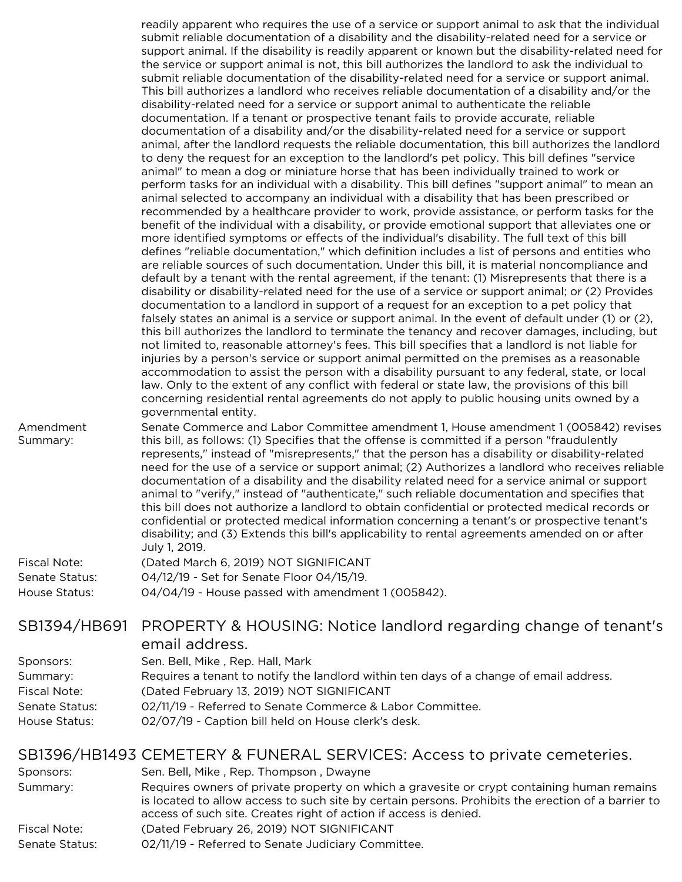readily apparent who requires the use of a service or support animal to ask that the individual submit reliable documentation of a disability and the disability-related need for a service or support animal. If the disability is readily apparent or known but the disability-related need for the service or support animal is not, this bill authorizes the landlord to ask the individual to submit reliable documentation of the disability-related need for a service or support animal. This bill authorizes a landlord who receives reliable documentation of a disability and/or the disability-related need for a service or support animal to authenticate the reliable documentation. If a tenant or prospective tenant fails to provide accurate, reliable documentation of a disability and/or the disability-related need for a service or support animal, after the landlord requests the reliable documentation, this bill authorizes the landlord to deny the request for an exception to the landlord's pet policy. This bill defines "service animal" to mean a dog or miniature horse that has been individually trained to work or perform tasks for an individual with a disability. This bill defines "support animal" to mean an animal selected to accompany an individual with a disability that has been prescribed or recommended by a healthcare provider to work, provide assistance, or perform tasks for the benefit of the individual with a disability, or provide emotional support that alleviates one or more identified symptoms or effects of the individual's disability. The full text of this bill defines "reliable documentation," which definition includes a list of persons and entities who are reliable sources of such documentation. Under this bill, it is material noncompliance and default by a tenant with the rental agreement, if the tenant: (1) Misrepresents that there is a disability or disability-related need for the use of a service or support animal; or (2) Provides documentation to a landlord in support of a request for an exception to a pet policy that falsely states an animal is a service or support animal. In the event of default under (1) or (2), this bill authorizes the landlord to terminate the tenancy and recover damages, including, but not limited to, reasonable attorney's fees. This bill specifies that a landlord is not liable for injuries by a person's service or support animal permitted on the premises as a reasonable accommodation to assist the person with a disability pursuant to any federal, state, or local law. Only to the extent of any conflict with federal or state law, the provisions of this bill concerning residential rental agreements do not apply to public housing units owned by a governmental entity. Senate Commerce and Labor Committee amendment 1, House amendment 1 (005842) revises

Amendment Summary: this bill, as follows: (1) Specifies that the offense is committed if a person "fraudulently represents," instead of "misrepresents," that the person has a disability or disability-related need for the use of a service or support animal; (2) Authorizes a landlord who receives reliable documentation of a disability and the disability related need for a service animal or support animal to "verify," instead of "authenticate," such reliable documentation and specifies that this bill does not authorize a landlord to obtain confidential or protected medical records or confidential or protected medical information concerning a tenant's or prospective tenant's disability; and (3) Extends this bill's applicability to rental agreements amended on or after July 1, 2019.

| Fiscal Note:   | (Dated March 6, 2019) NOT SIGNIFICANT              |
|----------------|----------------------------------------------------|
| Senate Status: | 04/12/19 - Set for Senate Floor 04/15/19.          |
| House Status:  | 04/04/19 - House passed with amendment 1 (005842). |

#### SB1394/HB691 PROPERTY & HOUSING: Notice landlord regarding change of tenant's email address.

| Sponsors:      | Sen. Bell, Mike, Rep. Hall, Mark                                                       |
|----------------|----------------------------------------------------------------------------------------|
| Summary:       | Requires a tenant to notify the landlord within ten days of a change of email address. |
| Fiscal Note:   | (Dated February 13, 2019) NOT SIGNIFICANT                                              |
| Senate Status: | 02/11/19 - Referred to Senate Commerce & Labor Committee.                              |
| House Status:  | 02/07/19 - Caption bill held on House clerk's desk.                                    |

#### SB1396/HB1493 CEMETERY & FUNERAL SERVICES: Access to private cemeteries.

| Sponsors:      | Sen. Bell, Mike, Rep. Thompson, Dwayne                                                                                                                                                                                                                                |
|----------------|-----------------------------------------------------------------------------------------------------------------------------------------------------------------------------------------------------------------------------------------------------------------------|
| Summary:       | Requires owners of private property on which a gravesite or crypt containing human remains<br>is located to allow access to such site by certain persons. Prohibits the erection of a barrier to<br>access of such site. Creates right of action if access is denied. |
| Fiscal Note:   | (Dated February 26, 2019) NOT SIGNIFICANT                                                                                                                                                                                                                             |
| Senate Status: | 02/11/19 - Referred to Senate Judiciary Committee.                                                                                                                                                                                                                    |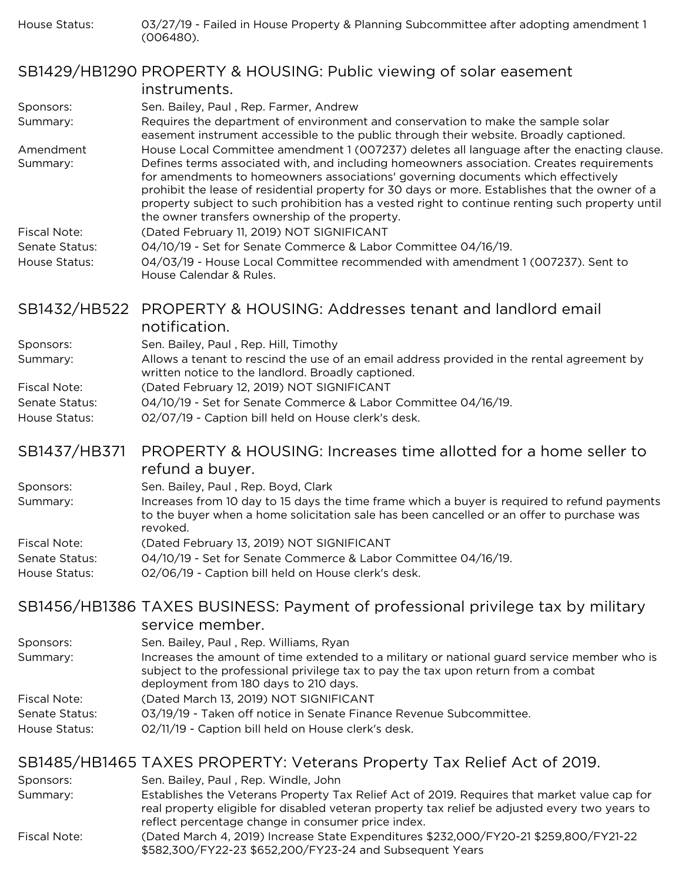House Status: 03/27/19 - Failed in House Property & Planning Subcommittee after adopting amendment 1 (006480).

#### SB1429/HB1290 PROPERTY & HOUSING: Public viewing of solar easement

|                | instruments.                                                                                                                                                                                                                                                                                                                                                                                                                          |
|----------------|---------------------------------------------------------------------------------------------------------------------------------------------------------------------------------------------------------------------------------------------------------------------------------------------------------------------------------------------------------------------------------------------------------------------------------------|
| Sponsors:      | Sen. Bailey, Paul, Rep. Farmer, Andrew                                                                                                                                                                                                                                                                                                                                                                                                |
| Summary:       | Requires the department of environment and conservation to make the sample solar<br>easement instrument accessible to the public through their website. Broadly captioned.                                                                                                                                                                                                                                                            |
| Amendment      | House Local Committee amendment 1 (007237) deletes all language after the enacting clause.                                                                                                                                                                                                                                                                                                                                            |
| Summary:       | Defines terms associated with, and including homeowners association. Creates requirements<br>for amendments to homeowners associations' governing documents which effectively<br>prohibit the lease of residential property for 30 days or more. Establishes that the owner of a<br>property subject to such prohibition has a vested right to continue renting such property until<br>the owner transfers ownership of the property. |
| Fiscal Note:   | (Dated February 11, 2019) NOT SIGNIFICANT                                                                                                                                                                                                                                                                                                                                                                                             |
| Senate Status: | 04/10/19 - Set for Senate Commerce & Labor Committee 04/16/19.                                                                                                                                                                                                                                                                                                                                                                        |
| House Status:  | 04/03/19 - House Local Committee recommended with amendment 1 (007237). Sent to<br>House Calendar & Rules.                                                                                                                                                                                                                                                                                                                            |

#### SB1432/HB522 PROPERTY & HOUSING: Addresses tenant and landlord email notification.

|                | HUUHLU GUUH.                                                                                                                                     |
|----------------|--------------------------------------------------------------------------------------------------------------------------------------------------|
| Sponsors:      | Sen. Bailey, Paul, Rep. Hill, Timothy                                                                                                            |
| Summary:       | Allows a tenant to rescind the use of an email address provided in the rental agreement by<br>written notice to the landlord. Broadly captioned. |
| Fiscal Note:   | (Dated February 12, 2019) NOT SIGNIFICANT                                                                                                        |
| Senate Status: | 04/10/19 - Set for Senate Commerce & Labor Committee 04/16/19.                                                                                   |
| House Status:  | 02/07/19 - Caption bill held on House clerk's desk.                                                                                              |
|                |                                                                                                                                                  |

#### SB1437/HB371 PROPERTY & HOUSING: Increases time allotted for a home seller to refund a buyer.

| Sponsors:                       | Sen. Bailey, Paul, Rep. Boyd, Clark                                                                                                                                                                   |
|---------------------------------|-------------------------------------------------------------------------------------------------------------------------------------------------------------------------------------------------------|
| Summary:                        | Increases from 10 day to 15 days the time frame which a buyer is required to refund payments<br>to the buyer when a home solicitation sale has been cancelled or an offer to purchase was<br>revoked. |
| Fiscal Note:                    | (Dated February 13, 2019) NOT SIGNIFICANT                                                                                                                                                             |
| Senate Status:<br>House Status: | 04/10/19 - Set for Senate Commerce & Labor Committee 04/16/19.<br>02/06/19 - Caption bill held on House clerk's desk.                                                                                 |

## SB1456/HB1386 TAXES BUSINESS: Payment of professional privilege tax by military

|                                 | service member.                                                                                                                                                                                                            |
|---------------------------------|----------------------------------------------------------------------------------------------------------------------------------------------------------------------------------------------------------------------------|
| Sponsors:                       | Sen. Bailey, Paul, Rep. Williams, Ryan                                                                                                                                                                                     |
| Summary:                        | Increases the amount of time extended to a military or national guard service member who is<br>subject to the professional privilege tax to pay the tax upon return from a combat<br>deployment from 180 days to 210 days. |
| Fiscal Note:                    | (Dated March 13, 2019) NOT SIGNIFICANT                                                                                                                                                                                     |
| Senate Status:<br>House Status: | 03/19/19 - Taken off notice in Senate Finance Revenue Subcommittee.<br>02/11/19 - Caption bill held on House clerk's desk.                                                                                                 |

# SB1485/HB1465 TAXES PROPERTY: Veterans Property Tax Relief Act of 2019.

| Sponsors:    | Sen. Bailey, Paul, Rep. Windle, John                                                                                                                                                                                                                 |
|--------------|------------------------------------------------------------------------------------------------------------------------------------------------------------------------------------------------------------------------------------------------------|
| Summary:     | Establishes the Veterans Property Tax Relief Act of 2019. Requires that market value cap for<br>real property eligible for disabled veteran property tax relief be adjusted every two years to<br>reflect percentage change in consumer price index. |
| Fiscal Note: | (Dated March 4, 2019) Increase State Expenditures \$232,000/FY20-21 \$259,800/FY21-22<br>\$582,300/FY22-23 \$652,200/FY23-24 and Subsequent Years                                                                                                    |